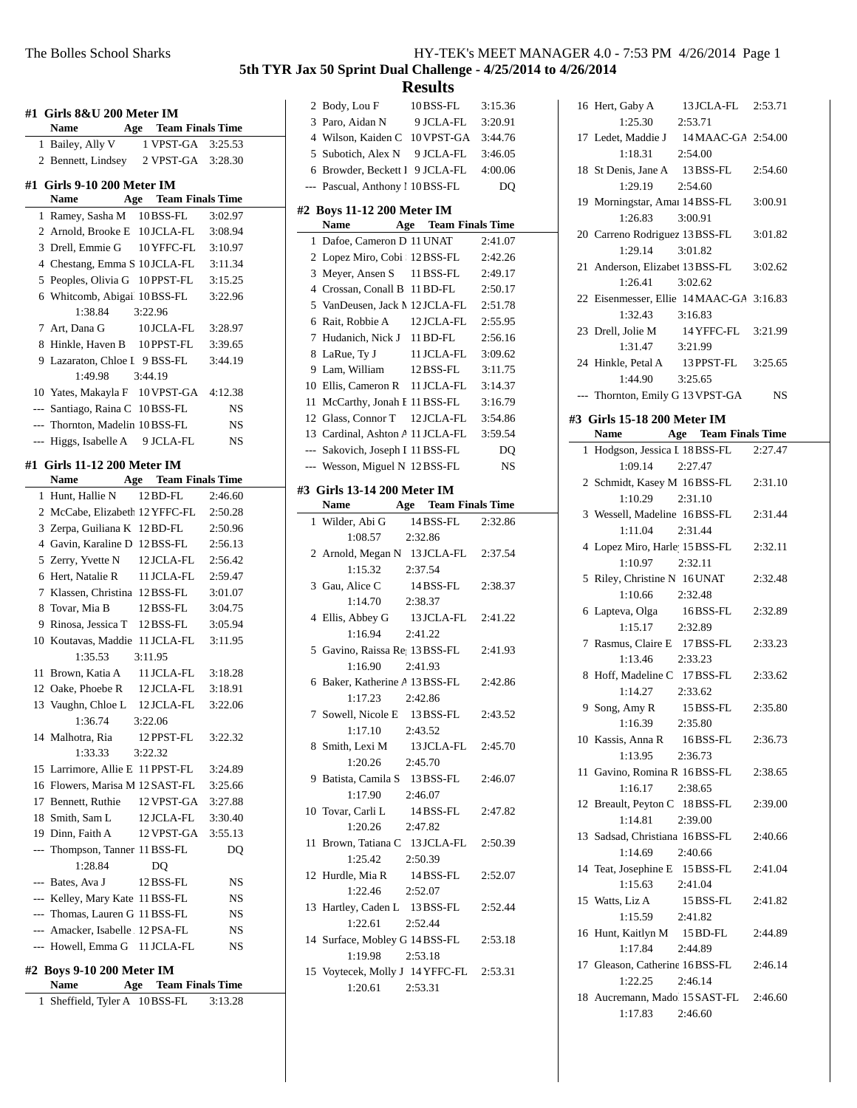| HY-TEK's MEET MANAGER 4.0 - 7:53 PM 4/26/2014 Page 1 |  |
|------------------------------------------------------|--|
|------------------------------------------------------|--|

| <b>Name</b> | #1 Girls 8&U 200 Meter IM<br>Age                                  | <b>Team Finals Time</b>                   |                    |
|-------------|-------------------------------------------------------------------|-------------------------------------------|--------------------|
|             | 1 Bailey, Ally V                                                  | 1 VPST-GA                                 | 3:25.53            |
|             |                                                                   | 2 Bennett, Lindsey 2 VPST-GA              | 3:28.30            |
|             | #1 Girls 9-10 200 Meter IM                                        |                                           |                    |
| <b>Name</b> |                                                                   | Age Team Finals Time                      |                    |
|             | 1 Ramey, Sasha M                                                  | 10 BSS-FL                                 | 3:02.97            |
|             | 2 Arnold, Brooke E                                                | 10 JCLA-FL                                | 3:08.94            |
|             | 3 Drell, Emmie G                                                  | 10 YFFC-FL                                | 3:10.97            |
|             |                                                                   | 4 Chestang, Emma S 10 JCLA-FL             | 3:11.34            |
|             | 5 Peoples, Olivia G                                               | 10 PPST-FL                                | 3:15.25            |
|             |                                                                   | 6 Whitcomb, Abigai 10BSS-FL               | 3:22.96            |
|             | 1:38.84                                                           | 3:22.96                                   |                    |
|             | 7 Art, Dana G                                                     | 10 JCLA-FL                                | 3:28.97            |
|             |                                                                   | 8 Hinkle, Haven B 10PPST-FL               | 3:39.65            |
|             |                                                                   | 9 Lazaraton, Chloe I 9 BSS-FL             | 3:44.19            |
|             | 1:49.98                                                           | 3:44.19                                   |                    |
|             |                                                                   | 10 Yates, Makayla F 10 VPST-GA            | 4:12.38            |
|             | --- Santiago, Raina C                                             | 10BSS-FL                                  | NS                 |
|             | --- Thornton, Madelin 10BSS-FL                                    |                                           | NS                 |
|             |                                                                   | --- Higgs, Isabelle A 9 JCLA-FL           | <b>NS</b>          |
|             | #1 Girls 11-12 200 Meter IM                                       |                                           |                    |
| <b>Name</b> |                                                                   | <b>Team Finals Time</b><br>Age            |                    |
|             | 1 Hunt, Hallie N                                                  | 12 BD-FL                                  | 2:46.60            |
|             |                                                                   | 2 McCabe, Elizabeth 12 YFFC-FL            | 2:50.28            |
|             | 3 Zerpa, Guiliana K 12 BD-FL                                      |                                           | 2:50.96            |
|             | 4 Gavin, Karaline D 12 BSS-FL                                     |                                           | 2:56.13            |
|             | 5 Zerry, Yvette N                                                 | 12 JCLA-FL                                | 2:56.42            |
|             | 6 Hert, Natalie R                                                 | 11 JCLA-FL                                | 2:59.47            |
|             | 7 Klassen, Christina 12 BSS-FL                                    |                                           | 3:01.07            |
|             | 8 Tovar, Mia B                                                    | 12 BSS-FL                                 | 3:04.75            |
|             | 9 Rinosa, Jessica T                                               | 12 BSS-FL                                 | 3:05.94<br>3:11.95 |
|             | 1:35.53                                                           | 10 Koutavas, Maddie 11 JCLA-FL<br>3:11.95 |                    |
|             | 11 Brown, Katia A                                                 | 11 JCLA-FL                                | 3:18.28            |
|             | 12 Oake, Phoebe R                                                 | 12 JCLA-FL                                | 3:18.91            |
|             |                                                                   | 13 Vaughn, Chloe L 12 JCLA-FL             | 3:22.06            |
|             | 1:36.74                                                           | 3:22.06                                   |                    |
|             | 14 Malhotra, Ria                                                  | 12 PPST-FL                                | 3:22.32            |
|             | 1:33.33                                                           | 3:22.32                                   |                    |
|             |                                                                   | 15 Larrimore, Allie E 11 PPST-FL          | 3:24.89            |
|             |                                                                   | 16 Flowers, Marisa M 12SAST-FL            | 3:25.66            |
|             | 17 Bennett, Ruthie                                                | 12 VPST-GA                                | 3:27.88            |
|             | 18 Smith, Sam L                                                   | 12 JCLA-FL                                | 3:30.40            |
|             | 19 Dinn, Faith A                                                  | 12 VPST-GA                                | 3:55.13            |
|             | --- Thompson, Tanner 11 BSS-FL                                    |                                           | DQ                 |
|             | 1:28.84                                                           | DQ                                        |                    |
|             | --- Bates, Ava J                                                  | 12 BSS-FL                                 | NS                 |
|             | --- Kelley, Mary Kate 11 BSS-FL<br>--- Thomas, Lauren G 11 BSS-FL |                                           | NS                 |
|             | --- Amacker, Isabelle 12PSA-FL                                    |                                           | NS<br>NS           |
|             |                                                                   | --- Howell, Emma G 11 JCLA-FL             | NS                 |
|             | #2 Boys 9-10 200 Meter IM                                         |                                           |                    |
| Name        |                                                                   | <b>Age</b> Team Finals Time               |                    |
| 1           |                                                                   | Sheffield, Tyler A 10BSS-FL               | 3:13.28            |

| 2 Body, Lou F                            |         | 10BSS-FL                    | 3:15.36 |
|------------------------------------------|---------|-----------------------------|---------|
| 3 Paro, Aidan N 9 JCLA-FL                |         |                             | 3:20.91 |
| 4 Wilson, Kaiden C 10 VPST-GA 3:44.76    |         |                             |         |
| 5 Subotich, Alex N 9 JCLA-FL             |         |                             | 3:46.05 |
| 6 Browder, Beckett I 9 JCLA-FL 4:00.06   |         |                             |         |
| --- Pascual, Anthony 1 10 BSS-FL         |         |                             | DQ      |
|                                          |         |                             |         |
| #2 Boys 11-12 200 Meter IM               |         |                             |         |
| Name Age Team Finals Time                |         |                             |         |
| 1 Dafoe, Cameron D 11 UNAT               |         |                             | 2:41.07 |
| 2 Lopez Miro, Cobi : 12 BSS-FL           |         |                             | 2:42.26 |
| 3 Meyer, Ansen S 11 BSS-FL               |         |                             | 2:49.17 |
| 4 Crossan, Conall B 11 BD-FL             |         |                             | 2:50.17 |
| 5 VanDeusen, Jack M 12 JCLA-FL 2:51.78   |         |                             |         |
| 6 Rait, Robbie A 12 JCLA-FL 2:55.95      |         |                             |         |
| 7 Hudanich, Nick J 11 BD-FL              |         |                             | 2:56.16 |
| 8 LaRue, Ty J                            |         | 11 JCLA-FL 3:09.62          |         |
| 9 Lam, William                           |         | 12 BSS-FL                   | 3:11.75 |
| 10 Ellis, Cameron R 11 JCLA-FL           |         |                             | 3:14.37 |
| 11 McCarthy, Jonah E 11 BSS-FL           |         |                             | 3:16.79 |
| 12 Glass, Connor T 12 JCLA-FL 3:54.86    |         |                             |         |
| 13 Cardinal, Ashton A 11 JCLA-FL 3:59.54 |         |                             |         |
| --- Sakovich, Joseph I 11 BSS-FL         |         |                             | DQ      |
| --- Wesson, Miguel N 12 BSS-FL           |         |                             | NS      |
|                                          |         |                             |         |
| #3 Girls 13-14 200 Meter IM              |         |                             |         |
| Name                                     |         | <b>Age</b> Team Finals Time |         |
| 1 Wilder, Abi G                          |         | 14 BSS-FL 2:32.86           |         |
| 1:08.57                                  | 2:32.86 |                             |         |
| 2 Arnold, Megan N 13 JCLA-FL 2:37.54     |         |                             |         |
| 1:15.32                                  | 2:37.54 |                             |         |
| 3 Gau, Alice C                           |         | 14 BSS-FL 2:38.37           |         |
| 1:14.70 2:38.37                          |         |                             |         |
| 4 Ellis, Abbey G 13 JCLA-FL 2:41.22      |         |                             |         |
| 1:16.94                                  | 2:41.22 |                             |         |
| 5 Gavino, Raissa Re; 13 BSS-FL 2:41.93   |         |                             |         |
| 1:16.90 2:41.93                          |         |                             |         |
| 6 Baker, Katherine A 13 BSS-FL 2:42.86   |         |                             |         |
| 1:17.23                                  | 2:42.86 |                             |         |
| 7 Sowell, Nicole E 13 BSS-FL 2:43.52     |         |                             |         |
| $1:17.10$ $2:43.52$                      |         |                             |         |
| 8 Smith, Lexi M                          |         | 13 JCLA-FL 2:45.70          |         |
| 1:20.26                                  | 2:45.70 |                             |         |
| 9 Batista, Camila S 13 BSS-FL 2:46.07    |         |                             |         |
| 1:17.90                                  | 2:46.07 |                             |         |
| 10 Tovar, Carli L 14 BSS-FL 2:47.82      |         |                             |         |
| 1:20.26 2:47.82                          |         |                             |         |
| 11 Brown, Tatiana C 13 JCLA-FL 2:50.39   |         |                             |         |
| 1:25.42  2:50.39                         |         |                             |         |
| 12 Hurdle, Mia R 14 BSS-FL 2:52.07       |         |                             |         |
| 1:22.46                                  | 2:52.07 |                             |         |
| 13 Hartley, Caden L 13 BSS-FL 2:52.44    |         |                             |         |
| 1:22.61 2:52.44                          |         |                             |         |
| 14 Surface, Mobley G 14 BSS-FL 2:53.18   |         |                             |         |
| 1:19.98 2:53.18                          |         |                             |         |
| 15 Voytecek, Molly J 14 YFFC-FL 2:53.31  |         |                             |         |
| $1:20.61$ $2:53.31$                      |         |                             |         |
|                                          |         |                             |         |
|                                          |         |                             |         |
|                                          |         |                             |         |

| 16 Hert, Gaby A<br>$1:25.30$ 2:53.71                          | 13 JCLA-FL 2:53.71 |           |
|---------------------------------------------------------------|--------------------|-----------|
| 17 Ledet, Maddie J 14 MAAC-GA 2:54.00<br>1:18.31              | 2:54.00            |           |
| 18 St Denis, Jane A 13 BSS-FL 2:54.60<br>1:29.19              | 2:54.60            |           |
| 19 Morningstar, Amai 14 BSS-FL 3:00.91<br>1:26.83             | 3:00.91            |           |
| 20 Carreno Rodriguez 13 BSS-FL 3:01.82<br>1:29.14 3:01.82     |                    |           |
| 21 Anderson, Elizabet 13 BSS-FL<br>$1:26.41$ $3:02.62$        |                    | 3:02.62   |
| 22 Eisenmesser, Ellie 14 MAAC-GA 3:16.83<br>1:32.43           | 3:16.83            |           |
| 23 Drell, Jolie M 14 YFFC-FL 3:21.99<br>1:31.47               | 3:21.99            |           |
| 24 Hinkle, Petal A 13 PPST-FL 3:25.65<br>$1:44.90$ $3:25.65$  |                    |           |
| --- Thornton, Emily G 13 VPST-GA                              |                    | <b>NS</b> |
| #3 Girls 15-18 200 Meter IM                                   |                    |           |
| Name Age Team Finals Time                                     |                    |           |
| 1 Hodgson, Jessica I 18 BSS-FL 2:27.47<br>$1:09.14$ $2:27.47$ |                    |           |
| 2 Schmidt, Kasey M 16BSS-FL 2:31.10<br>1:10.29                | 2:31.10            |           |
| 3 Wessell, Madeline 16BSS-FL                                  | 2:31.44            | 2:31.44   |
| 1:11.04<br>4 Lopez Miro, Harle 15 BSS-FL                      |                    | 2:32.11   |
| $1:10.97$ $2:32.11$<br>5 Riley, Christine N 16 UNAT           |                    | 2:32.48   |
| 1:10.66                                                       | 2:32.48            |           |
| 6 Lapteva, Olga 16BSS-FL<br>1:15.17                           | 2:32.89            | 2:32.89   |
| 7 Rasmus, Claire E 17 BSS-FL<br>$1:13.46$ $2:33.23$           |                    | 2:33.23   |
| 8 Hoff, Madeline C 17BSS-FL<br>1:14.27                        | 2:33.62            | 2:33.62   |
| 9 Song, Amy R 15 BSS-FL 2:35.80<br>1:16.39                    | 2:35.80            |           |
| 10 Kassis, Anna R 16BSS-FL<br>1:13.95                         | 2:36.73            | 2:36.73   |
| 11 Gavino, Romina R 16BSS-FL<br>1:16.17                       | 2:38.65            | 2:38.65   |
| 12 Breault, Peyton C 18BSS-FL<br>1:14.81                      | 2:39.00            | 2:39.00   |
| 13 Sadsad, Christiana 16BSS-FL<br>1:14.69                     | 2:40.66            | 2:40.66   |
| 14 Teat, Josephine E 15 BSS-FL<br>$1:15.63$ $2:41.04$         |                    | 2:41.04   |
| 15 Watts, Liz A 15 BSS-FL<br>1:15.59 2:41.82                  |                    | 2:41.82   |
| 16 Hunt, Kaitlyn M 15 BD-FL<br>1:17.84                        | 2:44.89            | 2:44.89   |
| 17 Gleason, Catherine 16BSS-FL 2:46.14<br>1:22.25             | 2:46.14            |           |
| 18 Aucremann, Mado 15 SAST-FL 2:46.60<br>$1:17.83$ $2:46.60$  |                    |           |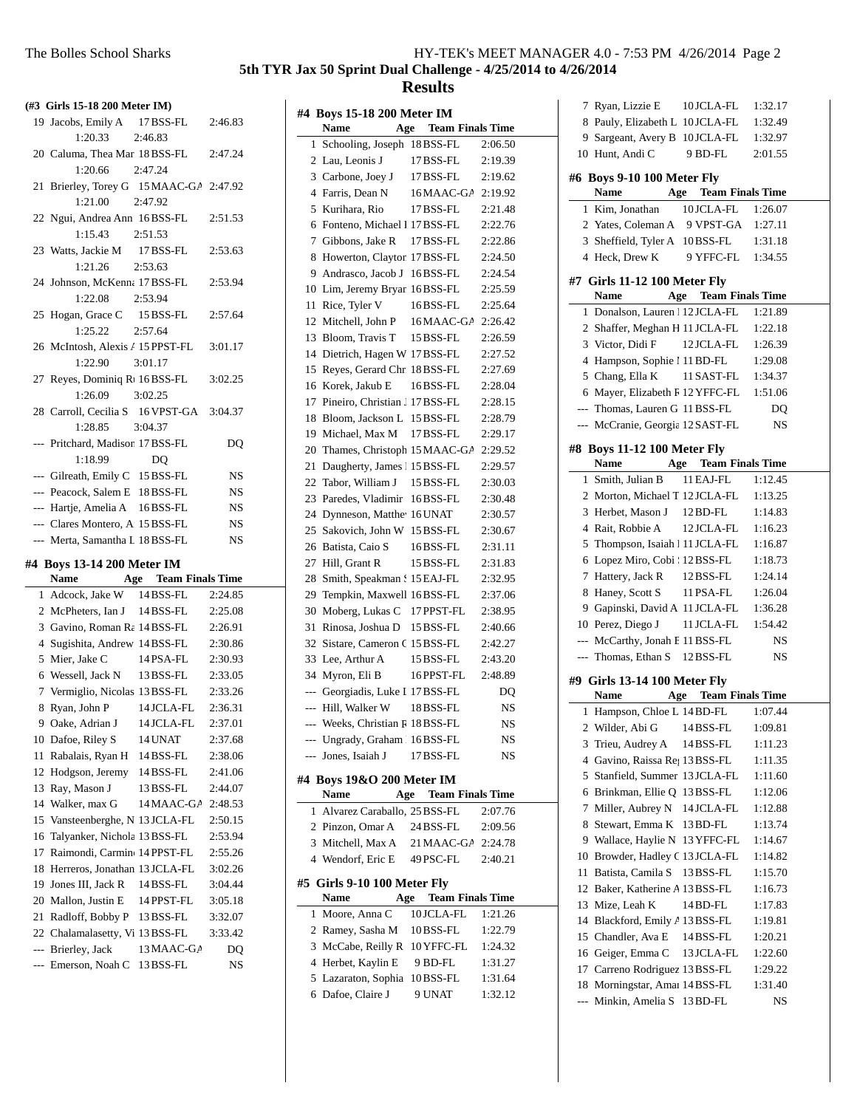**5th TYR Jax 50 Sprint Dual Challenge - 4/25/2014 to 4/26/2014**

#### **Results**

**Name Age Team Finals Time** 1 Schooling, Joseph 18 BSS-FL 2:06.50 2 Lau, Leonis J 17 BSS-FL 2:19.39 3 2:19.62 Carbone, Joey J 17BSS-FL 4 Farris, Dean N 16 MAAC-GA 2:19.92 5 2:21.48 Kurihara, Rio 17BSS-FL 6 Fonteno, Michael I 17 BSS-FL 2:22.76

**#4 Boys 15-18 200 Meter IM**

| (#3 Girls 15-18 200 Meter IM) |                                          |                |           |  |
|-------------------------------|------------------------------------------|----------------|-----------|--|
|                               | 19 Jacobs, Emily A 17 BSS-FL             |                | 2:46.83   |  |
|                               | 1:20.33                                  | 2:46.83        |           |  |
|                               | 20 Caluma, Thea Mar 18BSS-FL             |                | 2:47.24   |  |
|                               | 1:20.66                                  | 2:47.24        |           |  |
| 21                            | Brierley, Torey G 15 MAAC-GA 2:47.92     |                |           |  |
|                               | 1:21.00                                  | 2:47.92        |           |  |
|                               | 22 Ngui, Andrea Ann 16BSS-FL             |                | 2:51.53   |  |
|                               | 1:15.43                                  | 2:51.53        |           |  |
|                               | 23 Watts, Jackie M                       | 17 BSS-FL      | 2:53.63   |  |
|                               | 1:21.26                                  | 2:53.63        |           |  |
|                               | 24 Johnson, McKenna 17 BSS-FL            |                | 2:53.94   |  |
|                               | 1:22.08                                  | 2:53.94        |           |  |
| 25                            | Hogan, Grace C                           | 15 BSS-FL      | 2:57.64   |  |
|                               | 1:25.22                                  | 2:57.64        |           |  |
|                               | 26 McIntosh, Alexis / 15 PPST-FL         |                | 3:01.17   |  |
|                               | 1:22.90                                  | 3:01.17        |           |  |
|                               | 27 Reyes, Dominiq R1 16BSS-FL            |                | 3:02.25   |  |
|                               | 1:26.09                                  | 3:02.25        |           |  |
|                               | 28 Carroll, Cecilia S 16 VPST-GA 3:04.37 |                |           |  |
|                               | 1:28.85                                  | 3:04.37        |           |  |
|                               | --- Pritchard, Madison 17 BSS-FL         |                | DQ        |  |
|                               | 1:18.99                                  | D <sub>O</sub> |           |  |
|                               | --- Gilreath, Emily C 15 BSS-FL          |                | NS        |  |
|                               | --- Peacock, Salem E 18 BSS-FL           |                | <b>NS</b> |  |
|                               | --- Hartje, Amelia A 16BSS-FL            |                | <b>NS</b> |  |
|                               | --- Clares Montero, A 15 BSS-FL          |                | <b>NS</b> |  |
|                               | --- Merta, Samantha L 18 BSS-FL          |                | <b>NS</b> |  |
|                               | #4 Boys 13-14 200 Meter IM               |                |           |  |
|                               | Name Age Team Finals Time                |                |           |  |
|                               | 1 Adcock, Jake W 14 BSS-FL               |                | 2:24.85   |  |
|                               | 2 McPheters, Ian J 14 BSS-FL             |                | 2:25.08   |  |
|                               | 3 Gavino, Roman Ra 14 BSS-FL             |                | 2:26.91   |  |
|                               | 4 Sugishita, Andrew 14 BSS-FL            |                | 2:30.86   |  |
|                               | 5 Mier, Jake C                           | 14 PSA-FL      | 2:30.93   |  |
|                               | 6 Wessell, Jack N                        | 13 BSS-FL      | 2:33.05   |  |
| $\tau$                        | Vermiglio, Nicolas 13 BSS-FL             |                | 2:33.26   |  |
|                               | 8 Ryan, John P                           | 14 JCLA-FL     | 2:36.31   |  |
|                               | 9 Oake, Adrian J                         | 14 JCLA-FL     | 2:37.01   |  |
|                               | 10 Dafoe, Riley S                        | 14 UNAT        | 2:37.68   |  |
|                               | 11 Rabalais, Ryan H 14 BSS-FL            |                | 2:38.06   |  |
|                               | 12 Hodgson, Jeremy                       | $14$ BSS-FL    | 2:41.06   |  |
| 13                            | Ray, Mason J                             | 13 BSS-FL      | 2:44.07   |  |
| 14                            | Walker, max G                            | 14 MAAC-GA     | 2:48.53   |  |

15 2:50.15 Vansteenberghe, N 13 JCLA-FL 16 Talyanker, Nichola 13 BSS-FL 2:53.94 17 Raimondi, Carmine 14 PPST-FL 2:55.26 18 Herreros, Jonathan 13 JCLA-FL 3:02.26 19 Jones III, Jack R 14 BSS-FL 3:04.44 20 Mallon, Justin E 14 PPST-FL 3:05.18 21 Radloff, Bobby P 13 BSS-FL 3:32.07 22 Chalamalasetty, Vi 13BSS-FL 3:33.42 --- Brierley, Jack 13 MAAC-GA DQ --- Emerson, Noah C 13 BSS-FL NS

|                          | 7 Gibbons, Jake R                     | 17 BSS-FL                   | 2:22.86   |
|--------------------------|---------------------------------------|-----------------------------|-----------|
| 8                        | Howerton, Clayton 17 BSS-FL           |                             | 2:24.50   |
| 9                        | Andrasco, Jacob J 16 BSS-FL           |                             | 2:24.54   |
|                          | 10 Lim, Jeremy Bryan 16 BSS-FL        |                             | 2:25.59   |
| 11                       | Rice, Tyler V                         | 16BSS-FL                    | 2:25.64   |
| 12                       | Mitchell, John P                      | 16 MAAC-GA                  | 2:26.42   |
| 13                       | Bloom, Travis T                       | 15 BSS-FL                   | 2:26.59   |
| 14                       | Dietrich, Hagen W 17 BSS-FL           |                             | 2:27.52   |
| 15                       | Reyes, Gerard Chr. 18 BSS-FL          |                             | 2:27.69   |
| 16                       | Korek, Jakub E                        | 16BSS-FL                    | 2:28.04   |
| 17                       | Pineiro, Christian J 17 BSS-FL        |                             | 2:28.15   |
| 18                       | Bloom, Jackson L 15 BSS-FL            |                             | 2:28.79   |
| 19                       | Michael, Max M                        | 17 BSS-FL                   | 2:29.17   |
| 20                       | Thames, Christoph 15 MAAC-GA          |                             | 2:29.52   |
| 21                       | Daugherty, James 115 BSS-FL           |                             | 2:29.57   |
| 22                       | Tabor, William J                      | 15 BSS-FL                   | 2:30.03   |
| 23                       | Paredes, Vladimir                     | 16BSS-FL                    | 2:30.48   |
| 24                       | Dynneson, Matthe <sup>1</sup> 16 UNAT |                             | 2:30.57   |
| 25                       | Sakovich, John W 15 BSS-FL            |                             | 2:30.67   |
| 26                       | Batista, Caio S                       | 16BSS-FL                    | 2:31.11   |
| 27                       | Hill, Grant R                         | 15 BSS-FL                   | 2:31.83   |
| 28                       | Smith, Speakman § 15 EAJ-FL           |                             | 2:32.95   |
| 29                       | Tempkin, Maxwell 16BSS-FL             |                             | 2:37.06   |
| 30                       | Moberg, Lukas C 17 PPST-FL            |                             | 2:38.95   |
| 31                       | Rinosa, Joshua D 15 BSS-FL            |                             | 2:40.66   |
| 32                       | Sistare, Cameron C 15 BSS-FL          |                             | 2:42.27   |
| 33                       | Lee, Arthur A                         | 15 BSS-FL                   | 2:43.20   |
| 34                       | Myron, Eli B                          | 16 PPST-FL                  | 2:48.89   |
|                          | --- Georgiadis, Luke I 17 BSS-FL      |                             | DQ        |
|                          | --- Hill, Walker W                    | 18 BSS-FL                   | NS.       |
| $---$                    | Weeks, Christian R 18 BSS-FL          |                             | <b>NS</b> |
| $\overline{\phantom{a}}$ | Ungrady, Graham 16 BSS-FL             |                             | <b>NS</b> |
| ---                      | Jones, Isaiah J                       | 17 BSS-FL                   | <b>NS</b> |
|                          |                                       |                             |           |
|                          | #4 Boys 19&O 200 Meter IM             |                             |           |
|                          | <b>Name</b>                           | <b>Age</b> Team Finals Time |           |
| 1                        | Alvarez Caraballo, 25 BSS-FL          |                             | 2:07.76   |
|                          | 2 Pinzon, Omar A 24 BSS-FL            |                             | 2:09.56   |
|                          | 3 Mitchell, Max A 21 MAAC-GA 2:24.78  |                             |           |
|                          | 4 Wendorf, Eric E 49 PSC-FL           |                             | 2:40.21   |
|                          | #5 Girls 9-10 100 Meter Fly           |                             |           |
|                          | Age<br>Name                           | <b>Team Finals Time</b>     |           |
| 1                        | Moore, Anna C                         | 10 JCLA-FL                  | 1:21.26   |
| 2                        | Ramey, Sasha M                        | 10 BSS-FL                   | 1:22.79   |
| 3                        | McCabe, Reilly R                      | 10 YFFC-FL                  | 1:24.32   |
|                          | 4 Herbet, Kaylin E                    | 9 BD-FL                     | 1:31.27   |
| 5                        | Lazaraton, Sophia                     | 10BSS-FL                    | 1:31.64   |
| 6                        | Dafoe, Claire J                       | 9 UNAT                      | 1:32.12   |
|                          |                                       |                             |           |
|                          |                                       |                             |           |

|                | 7 Ryan, Lizzie E 10JCLA-FL       |                             | 1:32.17        |
|----------------|----------------------------------|-----------------------------|----------------|
|                | 8 Pauly, Elizabeth L 10JCLA-FL   |                             | 1:32.49        |
|                | 9 Sargeant, Avery B 10JCLA-FL    |                             | 1:32.97        |
|                | 10 Hunt, Andi C                  | 9 BD-FL                     | 2:01.55        |
|                | #6 Boys 9-10 100 Meter Fly       |                             |                |
|                | Name                             | <b>Age</b> Team Finals Time |                |
|                |                                  |                             |                |
|                | 1 Kim, Jonathan                  | 10 JCLA-FL                  | 1:26.07        |
|                | 2 Yates, Coleman A 9 VPST-GA     |                             | 1:27.11        |
|                | 3 Sheffield, Tyler A 10BSS-FL    |                             | 1:31.18        |
|                | 4 Heck, Drew K                   | 9 YFFC-FL                   | 1:34.55        |
|                | #7 Girls 11-12 100 Meter Fly     |                             |                |
|                | <b>Name</b>                      | <b>Age</b> Team Finals Time |                |
|                | 1 Donalson, Lauren 12 JCLA-FL    |                             | 1:21.89        |
|                | 2 Shaffer, Meghan H 11 JCLA-FL   |                             | 1:22.18        |
|                | 3 Victor, Didi F                 | 12 JCLA-FL                  | 1:26.39        |
|                | 4 Hampson, Sophie 1 11 BD-FL     |                             | 1:29.08        |
|                | 5 Chang, Ella K                  | 11 SAST-FL                  | 1:34.37        |
|                | 6 Mayer, Elizabeth F 12 YFFC-FL  |                             | 1:51.06        |
|                |                                  |                             |                |
|                | --- Thomas, Lauren G 11 BSS-FL   |                             | D <sub>O</sub> |
|                | --- McCranie, Georgia 12 SAST-FL |                             | NS             |
|                | #8 Boys 11-12 100 Meter Fly      |                             |                |
|                | Name                             | Age Team Finals Time        |                |
|                | 1 Smith, Julian B                | 11 EAJ-FL                   | 1:12.45        |
|                | 2 Morton, Michael T 12 JCLA-FL   |                             | 1:13.25        |
|                | 3 Herbet, Mason J 12BD-FL        |                             | 1:14.83        |
|                | 4 Rait, Robbie A                 | 12 JCLA-FL                  | 1:16.23        |
|                | 5 Thompson, Isaiah   11 JCLA-FL  |                             | 1:16.87        |
|                |                                  |                             |                |
|                | 6 Lopez Miro, Cobi   12 BSS-FL   |                             | 1:18.73        |
|                | 7 Hattery, Jack R                | 12BSS-FL                    | 1:24.14        |
| 8              | Haney, Scott S                   | 11 PSA-FL                   | 1:26.04        |
|                | 9 Gapinski, David A 11 JCLA-FL   |                             | 1:36.28        |
|                | 10 Perez, Diego J                | 11 JCLA-FL                  | 1:54.42        |
| $\overline{a}$ | McCarthy, Jonah F 11 BSS-FL      |                             | NS             |
| $---$          | Thomas, Ethan S 12 BSS-FL        |                             | NS             |
|                | #9 Girls 13-14 100 Meter Fly     |                             |                |
|                | <b>Name</b>                      | <b>Age</b> Team Finals Time |                |
| 1              | Hampson, Chloe L 14 BD-FL        |                             | 1:07.44        |
|                | 2 Wilder, Abi G                  | 14BSS-FL                    | 1:09.81        |
|                | 3 Trieu, Audrey A                | 14 BSS-FL                   | 1:11.23        |
|                | 4 Gavino, Raissa Re; 13 BSS-FL   |                             | 1:11.35        |
|                | 5 Stanfield, Summer 13 JCLA-FL   |                             |                |
|                |                                  |                             | 1:11.60        |
|                | 6 Brinkman, Ellie Q 13BSS-FL     |                             | 1:12.06        |
| 7              | Miller, Aubrey N                 | 14 JCLA-FL                  | 1:12.88        |
| 8              | Stewart, Emma K                  | 13 BD-FL                    | 1:13.74        |
| 9              | Wallace, Haylie N                | 13 YFFC-FL                  | 1:14.67        |
| 10             | Browder, Hadley C 13 JCLA-FL     |                             | 1:14.82        |
| 11             | Batista, Camila S                | 13 BSS-FL                   | 1:15.70        |
| 12             | Baker, Katherine A 13 BSS-FL     |                             | 1:16.73        |
| 13             | Mize, Leah K                     | 14 BD-FL                    | 1:17.83        |
| 14             | Blackford, Emily A 13 BSS-FL     |                             | 1:19.81        |
| 15             | Chandler, Ava E                  | 14 BSS-FL                   | 1:20.21        |
| 16             | Geiger, Emma C                   | 13 JCLA-FL                  | 1:22.60        |
| 17             | Carreno Rodriguez 13 BSS-FL      |                             | 1:29.22        |
| 18             | Morningstar, Amai 14 BSS-FL      |                             | 1:31.40        |
| ---            |                                  | 13 BD-FL                    | NS             |
|                | Minkin, Amelia S                 |                             |                |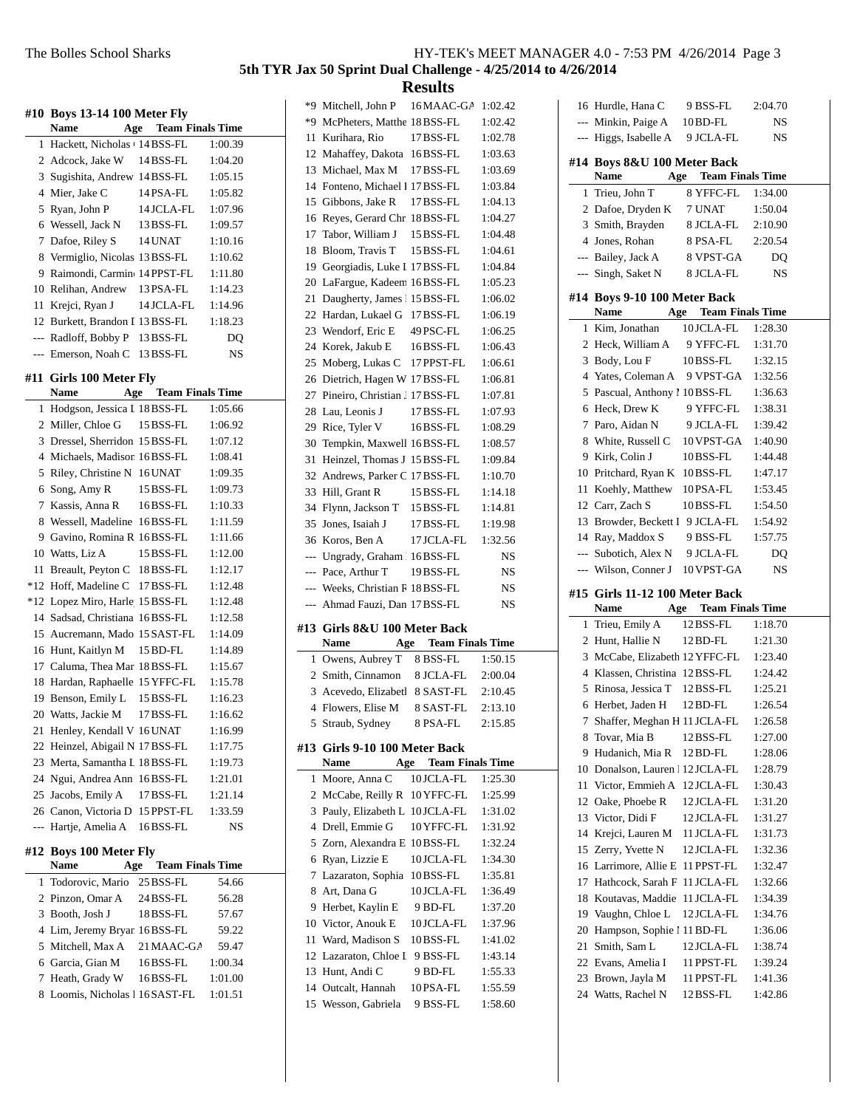**Results**

|     |                                             |                             | 5th T     |
|-----|---------------------------------------------|-----------------------------|-----------|
|     | #10 Boys 13-14 100 Meter Fly<br><b>Name</b> | <b>Age</b> Team Finals Time |           |
|     | 1 Hackett, Nicholas + 14 BSS-FL             |                             | 1:00.39   |
|     | 2 Adcock, Jake W                            | 14 BSS-FL                   | 1:04.20   |
|     | 3 Sugishita, Andrew 14 BSS-FL               |                             | 1:05.15   |
|     | 4 Mier, Jake C                              | 14 PSA-FL                   | 1:05.82   |
|     | 5 Ryan, John P                              | 14 JCLA-FL                  | 1:07.96   |
|     | 6 Wessell, Jack N                           | 13 BSS-FL                   | 1:09.57   |
|     | 7 Dafoe, Riley S                            | 14 UNAT                     | 1:10.16   |
|     | 8 Vermiglio, Nicolas 13 BSS-FL              |                             | 1:10.62   |
|     | 9 Raimondi, Carmin 14 PPST-FL               |                             | 1:11.80   |
|     | 10 Relihan, Andrew                          | 13 PSA-FL                   | 1:14.23   |
|     | 11 Krejci, Ryan J                           | 14 JCLA-FL                  | 1:14.96   |
|     | 12 Burkett, Brandon I 13 BSS-FL             |                             | 1:18.23   |
|     | --- Radloff, Bobby P                        | 13 BSS-FL                   | DQ        |
|     | --- Emerson, Noah C 13 BSS-FL               |                             | <b>NS</b> |
|     | #11 Girls 100 Meter Fly                     |                             |           |
|     | <b>Name</b>                                 | <b>Age</b> Team Finals Time |           |
| 1   | Hodgson, Jessica I 18 BSS-FL                |                             | 1:05.66   |
|     | 2 Miller, Chloe G                           | 15 BSS-FL                   | 1:06.92   |
|     | 3 Dressel, Sherridon 15 BSS-FL              |                             | 1:07.12   |
|     | 4 Michaels, Madison 16BSS-FL                |                             | 1:08.41   |
| 5   | Riley, Christine N 16 UNAT                  |                             | 1:09.35   |
|     | 6 Song, Amy R                               | 15 BSS-FL                   | 1:09.73   |
| 7   | Kassis, Anna R                              | 16BSS-FL                    | 1:10.33   |
|     | 8 Wessell, Madeline 16BSS-FL                |                             | 1:11.59   |
|     | 9 Gavino, Romina R 16 BSS-FL                |                             | 1:11.66   |
|     | 10 Watts, Liz A                             | 15 BSS-FL                   | 1:12.00   |
| 11  | Breault, Peyton C 18BSS-FL                  |                             | 1:12.17   |
|     | *12 Hoff, Madeline C 17 BSS-FL              |                             | 1:12.48   |
|     | *12 Lopez Miro, Harle 15 BSS-FL             |                             | 1:12.48   |
|     | 14 Sadsad, Christiana 16BSS-FL              |                             | 1:12.58   |
|     | 15 Aucremann, Mado 15 SAST-FL               |                             | 1:14.09   |
|     | 16 Hunt, Kaitlyn M                          | 15 BD-FL                    | 1:14.89   |
|     | 17 Caluma, Thea Mar 18BSS-FL                |                             | 1:15.67   |
|     | 18 Hardan, Raphaelle 15 YFFC-FL             |                             | 1:15.78   |
| 19  | Benson, Emily L                             | 15 BSS-FL                   | 1:16.23   |
| 20  | Watts, Jackie M                             | 17 BSS-FL                   | 1:16.62   |
| 21  | Henley, Kendall V                           | 16 UNAT                     | 1:16.99   |
| 22  | Heinzel, Abigail N 17 BSS-FL                |                             | 1:17.75   |
| 23  | Merta, Samantha L                           | 18 BSS-FL                   | 1:19.73   |
| 24  | Ngui, Andrea Ann                            | 16BSS-FL                    | 1:21.01   |
| 25  | Jacobs, Emily A                             | 17 BSS-FL                   | 1:21.14   |
|     | 26 Canon, Victoria D                        | 15 PPST-FL                  | 1:33.59   |
| --- | Hartje, Amelia A                            | 16BSS-FL                    | NS        |

#### **#12 Boys 100 Meter Fly**

| Name            | Age                             | <b>Team Finals Time</b> |         |  |
|-----------------|---------------------------------|-------------------------|---------|--|
|                 | 1 Todorovic, Mario 25 BSS-FL    |                         | 54.66   |  |
|                 | 2 Pinzon, Omar A                | 24 BSS-FL               | 56.28   |  |
| 3 Booth, Josh J |                                 | 18 BSS-FL               | 57.67   |  |
|                 | 4 Lim, Jeremy Bryar 16 BSS-FL   |                         | 59.22   |  |
|                 | 5 Mitchell, Max A               | $21$ MAAC-GA            | 59.47   |  |
|                 | 6 Garcia, Gian M                | 16 BSS-FL               | 1:00.34 |  |
|                 | 7 Heath, Grady W                | 16BSS-FL                | 1:01.00 |  |
|                 | 8 Loomis, Nicholas 1 16 SAST-FL |                         | 1:01.51 |  |

| *9             | Mitchell, John P                  | 16 MAAC-GA                     | 1:02.42  |
|----------------|-----------------------------------|--------------------------------|----------|
|                | *9 McPheters, Matthe 18BSS-FL     |                                | 1:02.42  |
| 11             | Kurihara, Rio                     | 17 BSS-FL                      | 1:02.78  |
|                | 12 Mahaffey, Dakota 16BSS-FL      |                                | 1:03.63  |
|                | 13 Michael, Max M                 | 17 BSS-FL                      | 1:03.69  |
|                | 14 Fonteno, Michael I 17 BSS-FL   |                                | 1:03.84  |
|                | 15 Gibbons, Jake R                | 17 BSS-FL                      | 1:04.13  |
|                | 16 Reyes, Gerard Chr. 18BSS-FL    |                                | 1:04.27  |
|                | 17 Tabor, William J               | 15 BSS-FL                      | 1:04.48  |
| 18             | Bloom, Travis T 15 BSS-FL         |                                | 1:04.61  |
|                | 19 Georgiadis, Luke I 17 BSS-FL   |                                | 1:04.84  |
| 20             | LaFargue, Kadeem 16 BSS-FL        |                                | 1:05.23  |
| 21             | Daugherty, James 115 BSS-FL       |                                | 1:06.02  |
|                | 22 Hardan, Lukael G               | 17 BSS-FL                      | 1:06.19  |
|                | 23 Wendorf, Eric E 49 PSC-FL      |                                | 1:06.25  |
|                | 24 Korek, Jakub E 16 BSS-FL       |                                | 1:06.43  |
|                | 25 Moberg, Lukas C 17 PPST-FL     |                                | 1:06.61  |
|                | 26 Dietrich, Hagen W 17 BSS-FL    |                                | 1:06.81  |
|                | 27 Pineiro, Christian J 17 BSS-FL |                                | 1:07.81  |
| 28             | Lau, Leonis J                     | 17 BSS-FL                      | 1:07.93  |
|                | 29 Rice, Tyler V                  | 16BSS-FL                       | 1:08.29  |
|                | 30 Tempkin, Maxwell 16BSS-FL      |                                | 1:08.57  |
| 31             | Heinzel, Thomas J 15 BSS-FL       |                                | 1:09.84  |
|                | 32 Andrews, Parker C 17 BSS-FL    |                                | 1:10.70  |
|                | 33 Hill, Grant R                  | 15 BSS-FL                      | 1:14.18  |
|                | 34 Flynn, Jackson T 15 BSS-FL     |                                | 1:14.81  |
|                | 35 Jones, Isaiah J                | 17 BSS-FL                      | 1:19.98  |
|                | 36 Koros, Ben A                   | 17 JCLA-FL                     | 1:32.56  |
|                |                                   |                                |          |
|                |                                   |                                |          |
|                | --- Ungrady, Graham 16BSS-FL      |                                | NS       |
|                | --- Pace, Arthur T                | 19 BSS-FL                      | NS       |
| $---$          | --- Weeks, Christian R 18 BSS-FL  |                                | NS<br>NS |
|                | Ahmad Fauzi, Dan 17 BSS-FL        |                                |          |
|                | #13  Girls 8&U 100 Meter Back     |                                |          |
|                | <b>Name</b>                       | <b>Age</b> Team Finals Time    |          |
| 1              | Owens, Aubrey T 8 BSS-FL          |                                | 1:50.15  |
| $\overline{2}$ | Smith, Cinnamon 8 JCLA-FL         |                                | 2:00.04  |
| 3              | Acevedo, Elizabetl 8 SAST-FL      |                                | 2:10.45  |
|                | 4 Flowers, Elise M 8 SAST-FL      |                                | 2:13.10  |
| 5              | Straub, Sydney                    | 8 PSA-FL                       | 2:15.85  |
|                | #13 Girls 9-10 100 Meter Back     |                                |          |
|                | <b>Name</b>                       | <b>Team Finals Time</b><br>Age |          |
| 1              | Moore, Anna C                     | 10 JCLA-FL                     | 1:25.30  |
| 2              | McCabe, Reilly R                  | 10 YFFC-FL                     | 1:25.99  |
| 3              | Pauly, Elizabeth L                | 10 JCLA-FL                     | 1:31.02  |
| $\overline{4}$ | Drell, Emmie G                    | 10 YFFC-FL                     | 1:31.92  |
| 5              | Zorn, Alexandra E 10 BSS-FL       |                                | 1:32.24  |
| 6              | Ryan, Lizzie E                    | 10 JCLA-FL                     | 1:34.30  |
| 7              | Lazaraton, Sophia                 | 10BSS-FL                       | 1:35.81  |
| 8              | Art, Dana G                       | 10 JCLA-FL                     | 1:36.49  |
| 9              | Herbet, Kaylin E                  | 9 BD-FL                        | 1:37.20  |
|                | 10 Victor, Anouk E                | 10 JCLA-FL                     | 1:37.96  |
| 11             | Ward, Madison S                   | 10BSS-FL                       | 1:41.02  |
|                | 12 Lazaraton, Chloe I 9 BSS-FL    |                                | 1:43.14  |
|                | 13 Hunt, Andi C                   | 9 BD-FL                        | 1:55.33  |
|                | 14 Outcalt, Hannah                | 10 PSA-FL                      | 1:55.59  |
|                | 15 Wesson, Gabriela               | 9 BSS-FL                       | 1:58.60  |
|                |                                   |                                |          |

|                | 16 Hurdle, Hana C                          | 9 BSS-FL                                 | 2:04.70 |
|----------------|--------------------------------------------|------------------------------------------|---------|
|                | --- Minkin, Paige A                        | 10 BD-FL                                 | NS      |
| $\overline{a}$ | Higgs, Isabelle A                          | 9 JCLA-FL                                | NS      |
|                |                                            |                                          |         |
|                | #14 Boys 8&U 100 Meter Back<br>Name<br>Age | <b>Team Finals Time</b>                  |         |
| 1              | Trieu, John T                              | 8 YFFC-FL                                | 1:34.00 |
|                | 2 Dafoe, Dryden K                          | 7 UNAT                                   | 1:50.04 |
|                | 3 Smith, Brayden                           | 8 JCLA-FL                                | 2:10.90 |
|                | 4 Jones, Rohan                             | 8 PSA-FL                                 | 2:20.54 |
|                | --- Bailey, Jack A                         | 8 VPST-GA                                | DQ      |
|                | --- Singh, Saket N                         | 8 JCLA-FL                                | NS      |
|                | #14 Boys 9-10 100 Meter Back               |                                          |         |
|                | Name<br>1 Kim, Jonathan                    | <b>Age</b> Team Finals Time<br>10JCLA-FL | 1:28.30 |
|                |                                            |                                          |         |
|                | 2 Heck, William A                          | 9 YFFC-FL                                | 1:31.70 |
|                | 3 Body, Lou F                              | 10BSS-FL                                 | 1:32.15 |
|                | 4 Yates, Coleman A                         | 9 VPST-GA                                | 1:32.56 |
|                | 5 Pascual, Anthony 1 10 BSS-FL             |                                          | 1:36.63 |
|                | 6 Heck, Drew K                             | 9 YFFC-FL                                | 1:38.31 |
|                | 7 Paro, Aidan N                            | 9 JCLA-FL                                | 1:39.42 |
|                | 8 White, Russell C                         | 10 VPST-GA                               | 1:40.90 |
|                | 9 Kirk, Colin J                            | 10BSS-FL                                 | 1:44.48 |
|                | 10 Pritchard, Ryan K 10BSS-FL              |                                          | 1:47.17 |
|                | 11 Koehly, Matthew 10PSA-FL                |                                          | 1:53.45 |
|                | 12 Carr, Zach S                            | 10BSS-FL                                 | 1:54.50 |
|                | 13 Browder, Beckett I 9 JCLA-FL            |                                          | 1:54.92 |
|                | 14 Ray, Maddox S                           | 9 BSS-FL                                 | 1:57.75 |
|                | --- Subotich, Alex N                       | 9 JCLA-FL                                | DQ      |
| $---$          | Wilson, Conner J                           | 10 VPST-GA                               | NS      |
|                |                                            |                                          |         |
| #15            | Girls 11-12 100 Meter Back                 |                                          |         |
|                | Name<br>Age                                | <b>Team Finals Time</b>                  |         |
|                | 1 Trieu, Emily A                           | 12 BSS-FL                                | 1:18.70 |
|                | 2 Hunt, Hallie N                           | 12 BD-FL                                 | 1:21.30 |
|                | 3 McCabe, Elizabeth 12 YFFC-FL             |                                          | 1:23.40 |
|                | 4 Klassen, Christina 12BSS-FL              |                                          | 1:24.42 |
|                | 5 Rinosa, Jessica T                        | 12 BSS-FL                                | 1:25.21 |
|                | 6 Herbet, Jaden H                          | 12 BD-FL                                 | 1:26.54 |
|                |                                            |                                          | 1:26.58 |
|                | 7 Shaffer, Meghan H 11 JCLA-FL             | 12 BSS-FL                                | 1:27.00 |
| 8              | Tovar, Mia B                               | $12$ BD-FL                               |         |
| 9              | Hudanich, Mia R                            |                                          | 1:28.06 |
| 10             | Donalson, Lauren 12 JCLA-FL                |                                          | 1:28.79 |
| 11             | Victor, Emmieh A                           | 12 JCLA-FL                               | 1:30.43 |
| 12             | Oake, Phoebe R                             | 12 JCLA-FL                               | 1:31.20 |
| 13             | Victor, Didi F                             | 12JCLA-FL                                | 1:31.27 |
| 14             | Krejci, Lauren M                           | 11 JCLA-FL                               | 1:31.73 |
| 15             | Zerry, Yvette N                            | 12 JCLA-FL                               | 1:32.36 |
| 16             | Larrimore, Allie E                         | 11 PPST-FL                               | 1:32.47 |
| 17             | Hathcock, Sarah F                          | 11 JCLA-FL                               | 1:32.66 |
| 18             | Koutavas, Maddie                           | 11 JCLA-FL                               | 1:34.39 |
| 19             | Vaughn, Chloe L                            | 12 JCLA-FL                               | 1:34.76 |
| 20             | Hampson, Sophie 1 11 BD-FL                 |                                          | 1:36.06 |
| 21             | Smith, Sam L                               | 12 JCLA-FL                               | 1:38.74 |
| 22             | Evans, Amelia I                            | 11 PPST-FL                               | 1:39.24 |
| 23             | Brown, Jayla M                             | 11 PPST-FL                               | 1:41.36 |
| 24             | Watts, Rachel N                            | 12 BSS-FL                                | 1:42.86 |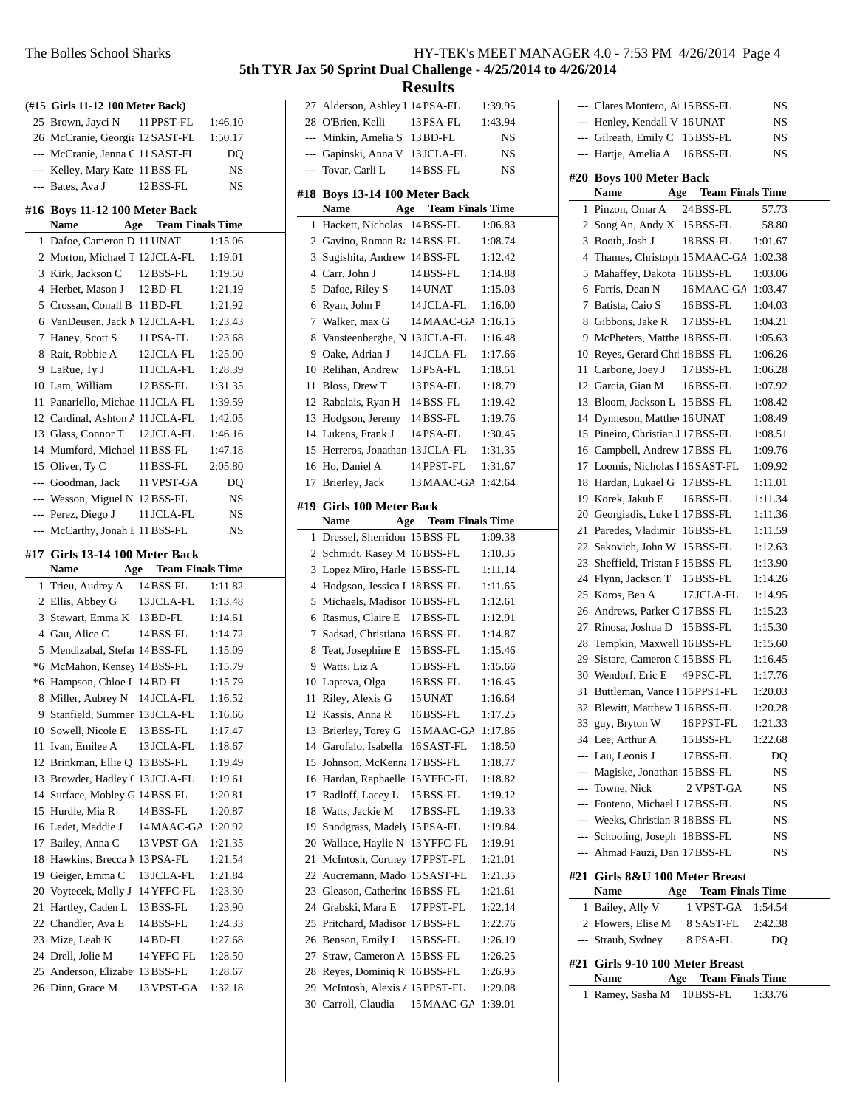|    | (#15 Girls 11-12 100 Meter Back) |                                         |         |
|----|----------------------------------|-----------------------------------------|---------|
|    | 25 Brown, Jayci N 11 PPST-FL     |                                         | 1:46.10 |
|    | 26 McCranie, Georgia 12 SAST-FL  |                                         | 1:50.17 |
|    | --- McCranie, Jenna C 11 SAST-FL |                                         | DQ      |
|    | --- Kelley, Mary Kate 11 BSS-FL  |                                         | NS      |
|    | --- Bates, Ava J                 | 12 BSS-FL                               | NS      |
|    | #16 Boys 11-12 100 Meter Back    |                                         |         |
|    | Name                             | <b>Exam Series Age Team Finals Time</b> |         |
|    | 1 Dafoe, Cameron D 11 UNAT       |                                         | 1:15.06 |
|    | 2 Morton, Michael T 12 JCLA-FL   |                                         | 1:19.01 |
| 3  | Kirk, Jackson C 12 BSS-FL        |                                         | 1:19.50 |
| 4  | Herbet, Mason J 12 BD-FL         |                                         | 1:21.19 |
| 5  | Crossan, Conall B 11 BD-FL       |                                         | 1:21.92 |
| 6  | VanDeusen, Jack M 12 JCLA-FL     |                                         | 1:23.43 |
| 7  | Haney, Scott S                   | 11 PSA-FL                               | 1:23.68 |
| 8  | Rait, Robbie A                   | 12 JCLA-FL                              | 1:25.00 |
|    | 9 LaRue, Ty J                    | 11 JCLA-FL                              | 1:28.39 |
|    | 10 Lam. William                  | 12 BSS-FL                               | 1:31.35 |
|    | 11 Panariello, Michae 11 JCLA-FL |                                         | 1:39.59 |
|    | 12 Cardinal, Ashton A 11 JCLA-FL |                                         | 1:42.05 |
|    | 13 Glass, Connor T               | 12 JCLA-FL                              | 1:46.16 |
|    | 14 Mumford, Michael 11 BSS-FL    |                                         | 1:47.18 |
|    | 15 Oliver, Ty C                  | 11 BSS-FL                               | 2:05.80 |
|    | --- Goodman, Jack 11 VPST-GA     |                                         | DQ      |
|    | --- Wesson, Miguel N 12BSS-FL    |                                         | NS      |
|    | --- Perez, Diego J               | 11 JCLA-FL                              | NS      |
|    | --- McCarthy, Jonah F 11 BSS-FL  |                                         | NS      |
|    | #17 Girls 13-14 100 Meter Back   |                                         |         |
|    | Name                             | <b>Age</b> Team Finals Time             |         |
| 1  | Trieu, Audrey A                  | 14 BSS-FL                               | 1:11.82 |
| 2  | Ellis, Abbey G                   | 13 JCLA-FL                              | 1:13.48 |
| 3  | Stewart, Emma K 13 BD-FL         |                                         | 1:14.61 |
| 4  | Gau, Alice C                     | 14 BSS-FL                               | 1:14.72 |
| 5  | Mendizabal, Stefar 14 BSS-FL     |                                         | 1:15.09 |
| *6 | McMahon, Kensey 14 BSS-FL        |                                         | 1:15.79 |
| *6 | Hampson, Chloe L 14 BD-FL        |                                         | 1:15.79 |
| 8  | Miller, Aubrey N 14 JCLA-FL      |                                         | 1:16.52 |
|    | 9 Stanfield, Summer 13 JCLA-FL   |                                         | 1:16.66 |
|    | 10 Sowell, Nicole E              | 13 BSS-FL                               | 1:17.47 |
| 11 | Ivan, Emilee A                   | 13 JCLA-FL                              | 1:18.67 |
|    | 12 Brinkman, Ellie Q             | 13 BSS-FL                               | 1:19.49 |
|    | 13 Browder, Hadley C 13 JCLA-FL  |                                         | 1:19.61 |
|    | 14 Surface, Mobley G 14 BSS-FL   |                                         | 1:20.81 |
| 15 | Hurdle, Mia R                    | 14 BSS-FL                               | 1:20.87 |
|    | 16 Ledet, Maddie J               | 14 MAAC-GA 1:20.92                      |         |

17 Bailey, Anna C 13 VPST-GA 1:21.35 18 Hawkins, Brecca M 13PSA-FL 1:21.54 19 Geiger, Emma C 13 JCLA-FL 1:21.84 20 Voytecek, Molly J 14 YFFC-FL 1:23.30 21 Hartley, Caden L 13 BSS-FL 1:23.90 22 Chandler, Ava E 14 BSS-FL 1:24.33 23 Mize, Leah K 14 BD-FL 1:27.68 24 Drell, Jolie M 14 YFFC-FL 1:28.50 25 Anderson, Elizabet 13 BSS-FL 1:28.67 26 Dinn, Grace M 13 VPST-GA 1:32.18

| 5th TYR Jax 50 Sprint Dual Challenge - 4/25/2014 to 4/26/2014 |                | 111 TERS MEET MITH WOLK T.V |  |  |
|---------------------------------------------------------------|----------------|-----------------------------|--|--|
|                                                               | <b>Results</b> |                             |  |  |

|                |                                          | ncəuilə                     |                    |
|----------------|------------------------------------------|-----------------------------|--------------------|
|                | 27 Alderson, Ashley I 14 PSA-FL          |                             | 1:39.95            |
|                | 28 O'Brien, Kelli                        | 13 PSA-FL                   | 1:43.94            |
|                | --- Minkin, Amelia S 13 BD-FL            |                             | NS                 |
|                | --- Gapinski, Anna V 13 JCLA-FL          |                             | NS                 |
| ---            | Tovar, Carli L                           | 14 BSS-FL                   | NS                 |
|                |                                          |                             |                    |
| #18            | Boys 13-14 100 Meter Back<br><b>Name</b> | <b>Age</b> Team Finals Time |                    |
| 1              | Hackett, Nicholas (14 BSS-FL             |                             |                    |
|                | 2 Gavino, Roman Ra 14 BSS-FL             |                             | 1:06.83<br>1:08.74 |
| 3              | Sugishita, Andrew 14 BSS-FL              |                             | 1:12.42            |
|                | 4 Carr, John J                           | 14 BSS-FL                   | 1:14.88            |
| 5              | Dafoe, Riley S                           | 14 UNAT                     | 1:15.03            |
| 6              | Ryan, John P                             | 14 JCLA-FL                  | 1:16.00            |
| 7              | Walker, max G                            | 14 MAAC-GA                  | 1:16.15            |
| 8              | Vansteenberghe, N 13 JCLA-FL             |                             | 1:16.48            |
| 9              | Oake, Adrian J                           | 14 JCLA-FL                  | 1:17.66            |
| 10             | Relihan, Andrew                          | 13 PSA-FL                   | 1:18.51            |
| 11             | Bloss, Drew T                            | 13 PSA-FL                   | 1:18.79            |
|                | 12 Rabalais, Ryan H 14 BSS-FL            |                             | 1:19.42            |
|                | 13 Hodgson, Jeremy 14 BSS-FL             |                             | 1:19.76            |
|                | 14 Lukens, Frank J                       | 14 PSA-FL                   | 1:30.45            |
| 15             | Herreros, Jonathan 13 JCLA-FL            |                             | 1:31.35            |
| 16             | Ho, Daniel A                             | 14 PPST-FL                  | 1:31.67            |
| 17             | Brierley, Jack                           | 13 MAAC-GA                  | 1:42.64            |
|                |                                          |                             |                    |
|                | #19  Girls 100 Meter Back                |                             |                    |
|                | Name                                     | <b>Age</b> Team Finals Time |                    |
| 1              | Dressel, Sherridon 15 BSS-FL             |                             | 1:09.38            |
| $\overline{2}$ | Schmidt, Kasey M 16BSS-FL                |                             | 1:10.35            |
| 3              | Lopez Miro, Harle 15 BSS-FL              |                             | 1:11.14            |
| $\overline{4}$ | Hodgson, Jessica I 18 BSS-FL             |                             | 1:11.65            |
| 5              | Michaels, Madison 16 BSS-FL              |                             | 1:12.61            |
| 6              | Rasmus, Claire E                         | 17 BSS-FL                   | 1:12.91            |
| 7              | Sadsad, Christiana 16BSS-FL              |                             | 1:14.87            |
| 8              | Teat, Josephine E                        | 15 BSS-FL                   | 1:15.46            |
| 9              | Watts, Liz A                             | 15 BSS-FL                   | 1:15.66            |
| 10             | Lapteva, Olga                            | 16BSS-FL                    | 1:16.45            |
| 11             | Riley, Alexis G                          | 15 UNAT                     | 1:16.64            |
|                | 12 Kassis, Anna R                        | 16 BSS-FL                   | 1:17.25            |
| 13             | Brierley, Torey G                        | 15 MAAC-GA                  | 1:17.86            |
| 14             | Garofalo, Isabella 116 SAST-FL           |                             | 1:18.50            |
| 15             | Johnson, McKenna 17 BSS-FL               |                             | 1:18.77            |
| 16             | Hardan, Raphaelle 15 YFFC-FL             |                             | 1:18.82            |
| 17             | Radloff, Lacey L                         | 15 BSS-FL                   | 1:19.12            |
| 18             | Watts, Jackie M                          | 17 BSS-FL                   | 1:19.33            |
| 19             | Snodgrass, Madely 15 PSA-FL              |                             | 1:19.84            |
| 20             | Wallace, Haylie N                        | 13 YFFC-FL                  | 1:19.91            |
| 21             | McIntosh, Cortney 17 PPST-FL             |                             | 1:21.01            |
| 22             | Aucremann, Mado 15 SAST-FL               |                             | 1:21.35            |
| 23             | Gleason, Catherine 16 BSS-FL             |                             | 1:21.61            |
| 24             | Grabski, Mara E                          | 17 PPST-FL                  | 1:22.14            |
| 25             | Pritchard, Madison 17 BSS-FL             |                             | 1:22.76            |
| 26             | Benson, Emily L                          | 15 BSS-FL                   | 1:26.19            |
| 27             | Straw, Cameron A 15 BSS-FL               |                             | 1:26.25            |
| 28             | Reyes, Dominiq R <sub>1</sub> 16 BSS-FL  |                             | 1:26.95            |
| 29             | McIntosh, Alexis A 15 PPST-FL            |                             | 1:29.08            |
| 30             | Carroll, Claudia                         | 15 MAAC-GA                  | 1:39.01            |

|          | --- Clares Montero, A 15 BSS-FL                                             |                      | NS                 |
|----------|-----------------------------------------------------------------------------|----------------------|--------------------|
|          | --- Henley, Kendall V 16 UNAT                                               |                      | NS                 |
|          | --- Gilreath, Emily C 15 BSS-FL                                             |                      | NS                 |
|          | --- Hartje, Amelia A 16BSS-FL                                               |                      | NS                 |
|          |                                                                             |                      |                    |
|          | #20 Boys 100 Meter Back<br><b>Name</b>                                      | Age Team Finals Time |                    |
| 1        | Pinzon, Omar A                                                              | 24 BSS-FL            | 57.73              |
|          | 2 Song An, Andy X 15 BSS-FL                                                 |                      | 58.80              |
|          | 3 Booth, Josh J                                                             | 18BSS-FL             | 1:01.67            |
|          | 4 Thames, Christoph 15 MAAC-GA 1:02.38                                      |                      |                    |
| 5        | Mahaffey, Dakota 16BSS-FL                                                   |                      | 1:03.06            |
|          | 6 Farris, Dean N                                                            | 16MAAC-GA            | 1:03.47            |
| 7        | Batista, Caio S                                                             | 16BSS-FL             | 1:04.03            |
|          | 8 Gibbons, Jake R                                                           | 17BSS-FL             | 1:04.21            |
|          | 9 McPheters, Matthe 18BSS-FL                                                |                      | 1:05.63            |
|          | 10 Reyes, Gerard Chr. 18BSS-FL                                              |                      | 1:06.26            |
|          | 11 Carbone, Joey J                                                          | 17 BSS-FL            | 1:06.28            |
|          | 12 Garcia, Gian M                                                           | 16BSS-FL             | 1:07.92            |
|          | 13 Bloom, Jackson L 15 BSS-FL                                               |                      |                    |
|          |                                                                             |                      | 1:08.42<br>1:08.49 |
|          | 14 Dynneson, Matthe <sup>16</sup> UNAT<br>15 Pineiro, Christian J 17 BSS-FL |                      |                    |
|          |                                                                             |                      | 1:08.51            |
| 16<br>17 | Campbell, Andrew 17 BSS-FL<br>Loomis, Nicholas 116SAST-FL                   |                      | 1:09.76            |
| 18       | Hardan, Lukael G 17 BSS-FL                                                  |                      | 1:09.92            |
|          |                                                                             |                      | 1:11.01<br>1:11.34 |
|          | 19 Korek, Jakub E                                                           | 16BSS-FL             |                    |
|          | 20 Georgiadis, Luke I 17 BSS-FL                                             |                      | 1:11.36            |
| 21       | Paredes, Vladimir 16BSS-FL<br>22 Sakovich, John W 15 BSS-FL                 |                      | 1:11.59            |
|          | Sheffield, Tristan I 15 BSS-FL                                              |                      | 1:12.63<br>1:13.90 |
| 23       |                                                                             |                      |                    |
|          | 24 Flynn, Jackson T 15 BSS-FL                                               |                      | 1:14.26            |
| 25       | Koros, Ben A                                                                | 17 JCLA-FL           | 1:14.95            |
| 26       | Andrews, Parker C 17 BSS-FL                                                 |                      | 1:15.23            |
| 27       | Rinosa, Joshua D                                                            | 15 BSS-FL            | 1:15.30            |
| 28<br>29 | Tempkin, Maxwell 16BSS-FL                                                   |                      | 1:15.60<br>1:16.45 |
|          | Sistare, Cameron C 15 BSS-FL<br>30 Wendorf, Eric E                          |                      |                    |
|          |                                                                             | 49 PSC-FL            | 1:17.76<br>1:20.03 |
| 31       | Buttleman, Vance 1 15 PPST-FL                                               |                      | 1:20.28            |
|          | 32 Blewitt, Matthew 7 16BSS-FL                                              |                      | 1:21.33            |
|          | 33 guy, Bryton W 16PPST-FL                                                  |                      |                    |
|          | 34 Lee, Arthur A<br>--- Lau, Leonis J                                       | 15 BSS-FL            | 1:22.68            |
|          | --- Magiske, Jonathan 15 BSS-FL                                             | 17 BSS-FL            | DQ                 |
|          |                                                                             |                      | NS                 |
|          | --- Towne, Nick<br>--- Fonteno, Michael 1 17 BSS-FL                         | 2 VPST-GA            | NS                 |
|          | --- Weeks, Christian R 18 BSS-FL                                            |                      | NS                 |
|          | --- Schooling, Joseph 18BSS-FL                                              |                      | NS                 |
|          | --- Ahmad Fauzi, Dan 17 BSS-FL                                              |                      | NS<br><b>NS</b>    |
|          |                                                                             |                      |                    |
|          | #21 Girls 8&U 100 Meter Breast                                              |                      |                    |
|          | Name Age Team Finals Time                                                   |                      |                    |
|          | 1 Bailey, Ally V 1 VPST-GA 1:54.54                                          |                      |                    |
|          | 2 Flowers, Elise M 8 SAST-FL                                                |                      | 2:42.38            |
|          | --- Straub, Sydney 8 PSA-FL                                                 |                      | DQ                 |
|          | #21 Girls 9-10 100 Meter Breast                                             |                      |                    |
|          | Name                                                                        | Age Team Finals Time |                    |
| 1        | Ramey, Sasha M 10BSS-FL                                                     |                      | 1:33.76            |
|          |                                                                             |                      |                    |
|          |                                                                             |                      |                    |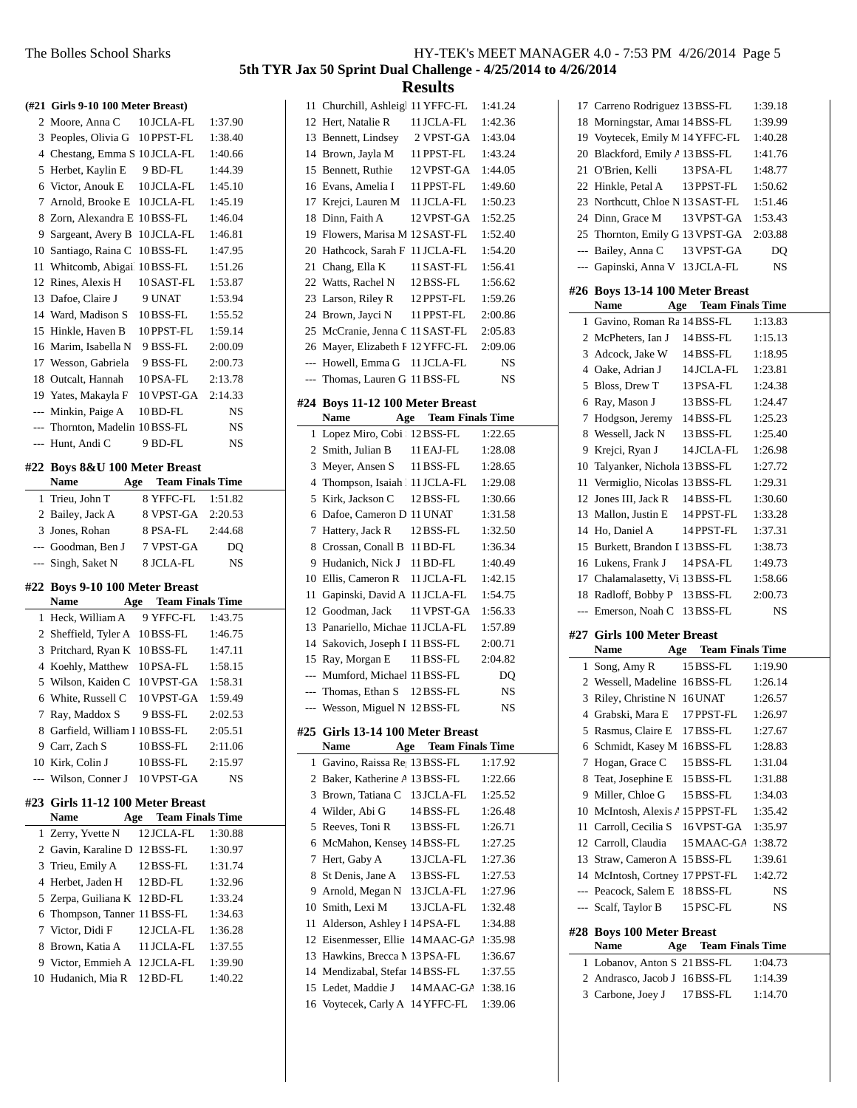|                | (#21 Girls 9-10 100 Meter Breast)                            |                                           |                    |
|----------------|--------------------------------------------------------------|-------------------------------------------|--------------------|
|                | 2 Moore, Anna C                                              | 10 JCLA-FL                                | 1:37.90            |
|                | 3 Peoples, Olivia G                                          | 10 PPST-FL                                | 1:38.40            |
|                | 4 Chestang, Emma S 10 JCLA-FL                                |                                           | 1:40.66            |
|                | 5 Herbet, Kaylin E                                           | 9 BD-FL                                   | 1:44.39            |
|                | 6 Victor, Anouk E                                            | 10 JCLA-FL                                | 1:45.10            |
|                | 7 Arnold, Brooke E                                           | 10 JCLA-FL                                | 1:45.19            |
| 8              | Zorn, Alexandra E 10 BSS-FL                                  |                                           | 1:46.04            |
|                | 9 Sargeant, Avery B                                          | 10 JCLA-FL                                | 1:46.81            |
|                | 10 Santiago, Raina C                                         | 10 BSS-FL                                 | 1:47.95            |
|                | 11 Whitcomb, Abigail 10 BSS-FL                               |                                           | 1:51.26            |
|                | 12 Rines, Alexis H                                           | 10SAST-FL                                 | 1:53.87            |
|                | 13 Dafoe, Claire J                                           | 9 UNAT                                    | 1:53.94            |
|                | 14 Ward, Madison S                                           | 10BSS-FL                                  | 1:55.52            |
|                | 15 Hinkle, Haven B                                           | 10PPST-FL                                 | 1:59.14            |
|                | 16 Marim, Isabella N                                         | 9 BSS-FL                                  | 2:00.09            |
| 17             | Wesson, Gabriela                                             | 9 BSS-FL                                  | 2:00.73            |
|                | 18 Outcalt, Hannah                                           | 10PSA-FL                                  | 2:13.78            |
|                | 19 Yates, Makayla F                                          | 10 VPST-GA                                | 2:14.33            |
| $\overline{a}$ | Minkin, Paige A                                              | $10$ BD-FL                                | NS                 |
|                | --- Thornton, Madelin 10BSS-FL                               |                                           | NS                 |
| ---            | Hunt, Andi C                                                 | 9 BD-FL                                   |                    |
|                |                                                              |                                           | NS                 |
|                | #22 Boys 8&U 100 Meter Breast                                |                                           |                    |
|                | <b>Name</b><br>Age                                           | <b>Team Finals Time</b>                   |                    |
| 1              | Trieu, John T                                                | 8 YFFC-FL                                 | 1:51.82            |
|                | 2 Bailey, Jack A                                             | 8 VPST-GA                                 | 2:20.53            |
|                | 3 Jones, Rohan                                               | 8 PSA-FL                                  | 2:44.68            |
|                |                                                              |                                           |                    |
|                | --- Goodman, Ben J                                           | 7 VPST-GA                                 | DQ                 |
|                | --- Singh, Saket N                                           | 8 JCLA-FL                                 | NS                 |
|                | #22 Boys 9-10 100 Meter Breast                               |                                           |                    |
|                | Name                                                         | <b>Team Finals Time</b><br>Age            |                    |
|                | 1 Heck, William A                                            | 9 YFFC-FL                                 | 1:43.75            |
|                | 2 Sheffield, Tyler A 10BSS-FL                                |                                           | 1:46.75            |
|                | 3 Pritchard, Ryan K 10BSS-FL                                 |                                           | 1:47.11            |
|                | 4 Koehly, Matthew 10PSA-FL                                   |                                           | 1:58.15            |
| 5              | Wilson, Kaiden C                                             | 10 VPST-GA                                | 1:58.31            |
| 6              | White, Russell C                                             | 10 VPST-GA                                | 1:59.49            |
| Z.             | Ray, Maddox S                                                | 9 BSS-FL                                  | 2:02.53            |
|                | 8 Garfield, William I 10BSS-FL                               |                                           | 2:05.51            |
|                | 9 Carr, Zach S                                               | 10BSS-FL                                  | 2:11.06            |
|                | 10 Kirk, Colin J                                             | 10BSS-FL                                  | 2:15.97            |
|                | --- Wilson, Conner J 10 VPST-GA                              |                                           | NS                 |
|                |                                                              |                                           |                    |
|                | #23 Girls 11-12 100 Meter Breast<br>Name                     |                                           |                    |
| $\mathbf{1}$   | Zerry, Yvette N                                              | <b>Age</b> Team Finals Time<br>12 JCLA-FL | 1:30.88            |
|                |                                                              |                                           | 1:30.97            |
|                | 2 Gavin, Karaline D 12 BSS-FL<br>3 Trieu, Emily A            | 12 BSS-FL                                 | 1:31.74            |
|                | 4 Herbet, Jaden H                                            |                                           | 1:32.96            |
|                |                                                              | 12 BD-FL                                  | 1:33.24            |
|                | 5 Zerpa, Guiliana K 12 BD-FL                                 |                                           |                    |
|                | 6 Thompson, Tanner 11 BSS-FL<br>7 Victor, Didi F             | 12 JCLA-FL                                | 1:34.63<br>1:36.28 |
|                |                                                              |                                           |                    |
|                | 8 Brown, Katia A                                             | 11 JCLA-FL                                | 1:37.55<br>1:39.90 |
|                | 9 Victor, Emmieh A 12 JCLA-FL<br>10 Hudanich, Mia R 12 BD-FL |                                           | 1:40.22            |

|                |                                                               | <b>Results</b>              |           |
|----------------|---------------------------------------------------------------|-----------------------------|-----------|
|                | 11 Churchill, Ashleigl 11 YFFC-FL                             |                             | 1:41.24   |
|                | 12 Hert, Natalie R                                            | 11 JCLA-FL                  | 1:42.36   |
|                | 13 Bennett, Lindsey                                           | 2 VPST-GA                   | 1:43.04   |
|                | 14 Brown, Jayla M                                             | 11 PPST-FL                  | 1:43.24   |
|                | 15 Bennett, Ruthie                                            | 12 VPST-GA                  | 1:44.05   |
|                | 16 Evans, Amelia I                                            | 11 PPST-FL                  | 1:49.60   |
|                | 17 Krejci, Lauren M                                           | 11 JCLA-FL                  | 1:50.23   |
|                | 18 Dinn, Faith A                                              | 12 VPST-GA                  | 1:52.25   |
|                | 19 Flowers. Marisa M 12 SAST-FL                               |                             | 1:52.40   |
|                | 20 Hathcock, Sarah F 11 JCLA-FL                               |                             | 1:54.20   |
| 21             | Chang, Ella K                                                 | 11 SAST-FL                  | 1:56.41   |
|                | 22 Watts, Rachel N                                            | 12 BSS-FL                   | 1:56.62   |
|                | 23 Larson, Riley R 12 PPST-FL                                 |                             | 1:59.26   |
|                | 24 Brown, Jayci N 11 PPST-FL                                  |                             | 2:00.86   |
|                | 25 McCranie, Jenna C 11 SAST-FL                               |                             | 2:05.83   |
|                | 26 Mayer, Elizabeth F 12 YFFC-FL                              |                             | 2:09.06   |
|                | --- Howell, Emma G 11 JCLA-FL                                 |                             | NS        |
| $---$          | Thomas, Lauren G 11 BSS-FL                                    |                             | NS        |
|                |                                                               |                             |           |
|                | #24 Boys 11-12 100 Meter Breast<br>Name                       | <b>Age</b> Team Finals Time |           |
|                | 1 Lopez Miro, Cobi : 12 BSS-FL                                |                             | 1:22.65   |
|                | 2 Smith, Julian B                                             | 11 EAJ-FL                   | 1:28.08   |
| 3              | Meyer, Ansen S                                                | 11 BSS-FL                   | 1:28.65   |
| $\overline{4}$ | Thompson, Isaiah 111 JCLA-FL                                  |                             | 1:29.08   |
| 5              | Kirk, Jackson C                                               | 12 BSS-FL                   | 1:30.66   |
| 6              | Dafoe, Cameron D 11 UNAT                                      |                             | 1:31.58   |
| 7              | Hattery, Jack R 12 BSS-FL                                     |                             | 1:32.50   |
| 8              | Crossan, Conall B 11 BD-FL                                    |                             | 1:36.34   |
|                | 9 Hudanich, Nick J 11 BD-FL                                   |                             | 1:40.49   |
|                | 10 Ellis, Cameron R 11 JCLA-FL                                |                             | 1:42.15   |
| 11             | Gapinski, David A 11 JCLA-FL                                  |                             | 1:54.75   |
|                | 12 Goodman, Jack                                              | 11 VPST-GA                  | 1:56.33   |
|                | 13 Panariello, Michae 11 JCLA-FL                              |                             | 1:57.89   |
| 14             | Sakovich, Joseph I 11 BSS-FL                                  |                             | 2:00.71   |
|                | 15 Ray, Morgan E                                              | 11 BSS-FL                   | 2:04.82   |
|                | --- Mumford, Michael 11 BSS-FL                                |                             | DQ        |
| ---            | Thomas, Ethan S 12 BSS-FL                                     |                             | NS        |
|                | --- Wesson, Miguel N 12 BSS-FL                                |                             | <b>NS</b> |
|                |                                                               |                             |           |
|                | #25 Girls 13-14 100 Meter Breast<br>Name Age Team Finals Time |                             |           |
| 1              | Gavino, Raissa Re, 13 BSS-FL                                  |                             | 1:17.92   |
|                | 2 Baker, Katherine A 13 BSS-FL                                |                             | 1:22.66   |
| 3              | Brown, Tatiana C 13 JCLA-FL                                   |                             | 1:25.52   |
|                | 4 Wilder, Abi G 14 BSS-FL                                     |                             | 1:26.48   |
| 5              | Reeves, Toni R 13 BSS-FL                                      |                             | 1:26.71   |
|                | 6 McMahon, Kensey 14 BSS-FL                                   |                             | 1:27.25   |
|                | 7 Hert, Gaby A                                                | 13 JCLA-FL                  | 1:27.36   |
| 8              | St Denis, Jane A 13 BSS-FL                                    |                             | 1:27.53   |
|                | 9 Arnold, Megan N 13 JCLA-FL                                  |                             | 1:27.96   |
|                | 10 Smith, Lexi M                                              | 13 JCLA-FL                  | 1:32.48   |
| 11             | Alderson, Ashley I 14 PSA-FL                                  |                             | 1:34.88   |
|                | 12 Eisenmesser, Ellie 14 MAAC-GA 1:35.98                      |                             |           |
|                | 13 Hawkins, Brecca M 13 PSA-FL                                |                             | 1:36.67   |
|                | 14 Mendizabal, Stefar 14 BSS-FL                               |                             | 1:37.55   |
|                | 15 Ledet, Maddie J 14 MAAC-GA 1:38.16                         |                             |           |
|                | 16 Voytecek, Carly A 14 YFFC-FL 1:39.06                       |                             |           |
|                |                                                               |                             |           |

|                | 17 Carreno Rodriguez 13 BSS-FL   |                                | 1:39.18 |  |
|----------------|----------------------------------|--------------------------------|---------|--|
|                | 18 Morningstar, Amai 14 BSS-FL   |                                | 1:39.99 |  |
|                | 19 Voytecek, Emily N. 14 YFFC-FL |                                | 1:40.28 |  |
|                | 20 Blackford, Emily A 13 BSS-FL  |                                | 1:41.76 |  |
|                | 21 O'Brien, Kelli                | 13 PSA-FL                      | 1:48.77 |  |
|                | 22 Hinkle, Petal A               | 13 PPST-FL                     | 1:50.62 |  |
|                | 23 Northcutt, Chloe N 13 SAST-FL |                                | 1:51.46 |  |
|                | 24 Dinn, Grace M                 | 13 VPST-GA                     | 1:53.43 |  |
|                | 25 Thornton, Emily G 13 VPST-GA  |                                | 2:03.88 |  |
|                |                                  |                                |         |  |
|                | --- Bailey, Anna C               | 13 VPST-GA                     | DQ      |  |
| ---            | Gapinski, Anna V 13 JCLA-FL      |                                | NS      |  |
|                | #26 Boys 13-14 100 Meter Breast  |                                |         |  |
|                | Name                             | <b>Age</b> Team Finals Time    |         |  |
| 1              | Gavino, Roman Ra 14 BSS-FL       |                                | 1:13.83 |  |
|                | 2 McPheters, Ian J               | 14 BSS-FL                      | 1:15.13 |  |
|                |                                  |                                |         |  |
|                | 3 Adcock, Jake W                 | 14 BSS-FL                      | 1:18.95 |  |
|                | 4 Oake, Adrian J                 | 14 JCLA-FL                     | 1:23.81 |  |
| 5              | Bloss, Drew T                    | 13 PSA-FL                      | 1:24.38 |  |
| 6              | Ray, Mason J                     | 13 BSS-FL                      | 1:24.47 |  |
| 7              | Hodgson, Jeremy 14BSS-FL         |                                | 1:25.23 |  |
| 8              | Wessell, Jack N                  | 13 BSS-FL                      | 1:25.40 |  |
| 9              | Krejci, Ryan J                   | 14 JCLA-FL                     | 1:26.98 |  |
|                | 10 Talyanker, Nichola 13 BSS-FL  |                                | 1:27.72 |  |
| 11             | Vermiglio, Nicolas 13 BSS-FL     |                                | 1:29.31 |  |
|                | 12 Jones III, Jack R             | 14 BSS-FL                      | 1:30.60 |  |
|                | 13 Mallon, Justin E              | 14 PPST-FL                     | 1:33.28 |  |
|                | 14 Ho, Daniel A                  | 14 PPST-FL                     | 1:37.31 |  |
|                | 15 Burkett, Brandon I 13 BSS-FL  |                                | 1:38.73 |  |
|                | 16 Lukens, Frank J               | 14 PSA-FL                      | 1:49.73 |  |
|                |                                  |                                |         |  |
|                | 17 Chalamalasetty, Vi 13 BSS-FL  |                                | 1:58.66 |  |
|                | 18 Radloff, Bobby P 13 BSS-FL    |                                | 2:00.73 |  |
|                |                                  |                                | NS      |  |
|                | --- Emerson, Noah C 13BSS-FL     |                                |         |  |
|                | #27 Girls 100 Meter Breast       |                                |         |  |
|                | Name                             |                                |         |  |
|                |                                  | <b>Age</b> Team Finals Time    |         |  |
| 1              | Song, Amy R                      | 15 BSS-FL                      | 1:19.90 |  |
|                | 2 Wessell, Madeline 16BSS-FL     |                                | 1:26.14 |  |
| 3              | Riley, Christine N 16 UNAT       |                                | 1:26.57 |  |
| 4              | Grabski, Mara E                  | 17 PPST-FL                     | 1:26.97 |  |
| 5              | Rasmus, Claire E                 | 17 BSS-FL                      | 1:27.67 |  |
| 6              | Schmidt, Kasey M                 | 16BSS-FL                       | 1:28.83 |  |
| 7              | Hogan, Grace C                   | 15 BSS-FL                      | 1:31.04 |  |
| 8              | Teat, Josephine E                | 15 BSS-FL                      | 1:31.88 |  |
| 9              | Miller, Chloe G                  | 15 BSS-FL                      | 1:34.03 |  |
| 10             | McIntosh, Alexis / 15 PPST-FL    |                                | 1:35.42 |  |
| 11             | Carroll, Cecilia S               | 16 VPST-GA                     | 1:35.97 |  |
|                | 12 Carroll, Claudia              | 15 MAAC-GA                     | 1:38.72 |  |
|                | 13 Straw, Cameron A              | 15 BSS-FL                      | 1:39.61 |  |
|                | 14 McIntosh, Cortney 17 PPST-FL  |                                | 1:42.72 |  |
|                | --- Peacock, Salem E             | 18BSS-FL                       | NS      |  |
| $\overline{a}$ |                                  | 15 PSC-FL                      | NS      |  |
|                | Scalf, Taylor B                  |                                |         |  |
| #28            | <b>Boys 100 Meter Breast</b>     |                                |         |  |
|                | Name                             | <b>Team Finals Time</b><br>Age |         |  |
| 1              | Lobanov, Anton S 21 BSS-FL       |                                | 1:04.73 |  |
| 2              | Andrasco, Jacob J 16BSS-FL       |                                | 1:14.39 |  |
|                | 3 Carbone, Joey J                | 17 BSS-FL                      | 1:14.70 |  |
|                |                                  |                                |         |  |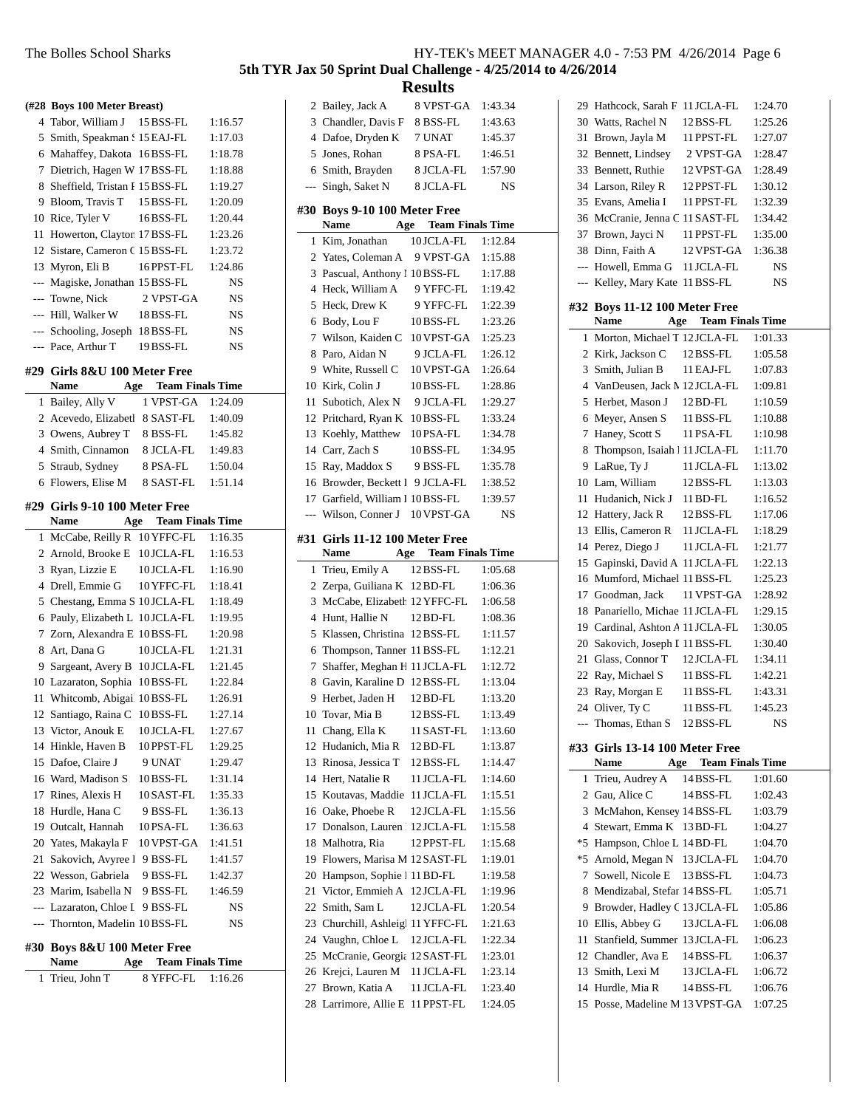|                | (#28 Boys 100 Meter Breast)                  |                                |                    |
|----------------|----------------------------------------------|--------------------------------|--------------------|
| 4              | Tabor, William J 15 BSS-FL                   |                                | 1:16.57            |
| 5              | Smith, Speakman S15 EAJ-FL                   |                                | 1:17.03            |
| 6              | Mahaffey, Dakota 16BSS-FL                    |                                | 1:18.78            |
| 7              | Dietrich, Hagen W 17 BSS-FL                  |                                | 1:18.88            |
|                | 8 Sheffield, Tristan I 15 BSS-FL             |                                | 1:19.27            |
|                | 9 Bloom, Travis T 15 BSS-FL                  |                                | 1:20.09            |
|                | 10 Rice, Tyler V                             | 16BSS-FL                       | 1:20.44            |
| 11             | Howerton, Clayton 17 BSS-FL                  |                                | 1:23.26            |
|                | 12 Sistare, Cameron C 15 BSS-FL              |                                | 1:23.72            |
|                | 13 Myron, Eli B                              | 16PPST-FL                      | 1:24.86            |
| $---$          | Magiske, Jonathan 15 BSS-FL                  |                                | NS                 |
| $---$          | Towne, Nick                                  | 2 VPST-GA                      |                    |
|                |                                              |                                | NS                 |
|                | ---  Hill, Walker W                          | 18BSS-FL                       | NS                 |
|                | --- Schooling, Joseph 18BSS-FL               |                                | NS                 |
|                | --- Pace, Arthur T                           | 19 BSS-FL                      | NS                 |
|                | #29 Girls 8&U 100 Meter Free                 |                                |                    |
|                | Name                                         | <b>Age</b> Team Finals Time    |                    |
| 1              | Bailey, Ally V                               | 1 VPST-GA                      | 1:24.09            |
|                | 2 Acevedo, Elizabetl 8 SAST-FL               |                                | 1:40.09            |
|                | 3 Owens, Aubrey T 8 BSS-FL                   |                                | 1:45.82            |
|                | 4 Smith, Cinnamon                            | 8 JCLA-FL                      | 1:49.83            |
| 5              | Straub, Sydney                               | 8 PSA-FL                       | 1:50.04            |
|                | 6 Flowers, Elise M                           | 8 SAST-FL                      | 1:51.14            |
|                | #29 Girls 9-10 100 Meter Free<br><b>Name</b> | <b>Team Finals Time</b><br>Age |                    |
| 1              | McCabe, Reilly R 10 YFFC-FL                  |                                | 1:16.35            |
|                | 2 Arnold, Brooke E 10 JCLA-FL                |                                | 1:16.53            |
| 3              | Ryan, Lizzie E                               | 10 JCLA-FL                     | 1:16.90            |
| $\overline{4}$ | Drell, Emmie G                               | 10 YFFC-FL                     | 1:18.41            |
| 5              | Chestang, Emma S 10 JCLA-FL                  |                                | 1:18.49            |
| 6              | Pauly, Elizabeth L 10JCLA-FL                 |                                | 1:19.95            |
| 7              | Zorn, Alexandra E 10 BSS-FL                  |                                | 1:20.98            |
|                | 8 Art, Dana G                                | 10 JCLA-FL                     | 1:21.31            |
| 9.             | Sargeant, Avery B 10JCLA-FL                  |                                | 1:21.45            |
|                | 10 Lazaraton, Sophia                         | 10BSS-FL                       | 1:22.84            |
|                | 11 Whitcomb, Abigail 10BSS-FL                |                                | 1:26.91            |
|                | 12 Santiago, Raina C 10BSS-FL                |                                | 1:27.14            |
|                | 13 Victor, Anouk E                           | 10JCLA-FL                      | 1:27.67            |
|                | 14 Hinkle, Haven B                           | 10PPST-FL                      | 1:29.25            |
|                | 15 Dafoe, Claire J                           | 9 UNAT                         |                    |
|                | 16 Ward, Madison S                           |                                | 1:29.47            |
| 17             | Rines, Alexis H                              | 10BSS-FL                       | 1:31.14            |
|                |                                              | 10 SAST-FL                     | 1:35.33<br>1:36.13 |
| 18             | Hurdle, Hana C                               | 9 BSS-FL                       |                    |
|                | 19 Outcalt, Hannah                           | 10PSA-FL                       | 1:36.63            |
|                | 20 Yates, Makayla F                          | 10 VPST-GA                     | 1:41.51            |
| 21             | Sakovich, Avyree 1 9 BSS-FL                  |                                | 1:41.57            |
|                | 22 Wesson, Gabriela                          | 9 BSS-FL                       | 1:42.37            |
|                | 23 Marim, Isabella N                         | 9 BSS-FL                       | 1:46.59            |
|                | --- Lazaraton, Chloe I 9 BSS-FL              |                                | NS                 |
| ---            | Thornton, Madelin 10BSS-FL                   |                                | NS                 |
| #30            | Boys 8&U 100 Meter Free                      |                                |                    |
|                | Name<br>Age                                  | <b>Team Finals Time</b>        |                    |
| 1              | Trieu, John T                                | 8 YFFC-FL                      | 1:16.26            |

|                |                                 | www.w                          |         |
|----------------|---------------------------------|--------------------------------|---------|
|                | 2 Bailey, Jack A                | 8 VPST-GA                      | 1:43.34 |
| 3              | Chandler, Davis F               | 8 BSS-FL                       | 1:43.63 |
|                | 4 Dafoe, Dryden K               | 7 UNAT                         | 1:45.37 |
| 5              | Jones, Rohan                    | 8 PSA-FL                       | 1:46.51 |
| 6              | Smith, Brayden                  | 8 JCLA-FL                      | 1:57.90 |
| $---$          | Singh, Saket N                  | 8 JCLA-FL                      | NS      |
|                | #30 Boys 9-10 100 Meter Free    |                                |         |
|                | Name                            | <b>Team Finals Time</b><br>Age |         |
| 1              | Kim, Jonathan                   | 10 JCLA-FL                     | 1:12.84 |
|                | 2 Yates, Coleman A 9 VPST-GA    |                                | 1:15.88 |
| 3              | Pascual, Anthony 1 10 BSS-FL    |                                | 1:17.88 |
| $\overline{4}$ | Heck, William A                 | 9 YFFC-FL                      | 1:19.42 |
| 5              | Heck, Drew K                    | 9 YFFC-FL                      | 1:22.39 |
| 6              | Body, Lou F                     | 10BSS-FL                       | 1:23.26 |
| 7              | Wilson, Kaiden C 10 VPST-GA     |                                | 1:25.23 |
| 8              | Paro, Aidan N                   | 9 JCLA-FL                      | 1:26.12 |
|                | 9 White, Russell C              | 10 VPST-GA                     | 1:26.64 |
|                | 10 Kirk, Colin J                | 10 BSS-FL                      | 1:28.86 |
| 11             | Subotich, Alex N                | 9 JCLA-FL                      | 1:29.27 |
|                | 12 Pritchard, Ryan K 10BSS-FL   |                                | 1:33.24 |
|                | 13 Koehly, Matthew              | 10PSA-FL                       | 1:34.78 |
|                | 14 Carr, Zach S                 | 10BSS-FL                       | 1:34.95 |
|                | 15 Ray, Maddox S                | 9 BSS-FL                       | 1:35.78 |
|                | 16 Browder, Beckett I 9 JCLA-FL |                                | 1:38.52 |
| 17             | Garfield, William I 10 BSS-FL   |                                | 1:39.57 |
| ---            | Wilson, Conner J                | 10 VPST-GA                     | NS      |
|                |                                 |                                |         |
| #31            | Girls 11-12 100 Meter Free      |                                |         |
|                | Age<br>Name                     | <b>Team Finals Time</b>        |         |
|                |                                 |                                |         |
| 1              | Trieu, Emily A                  | 12 BSS-FL                      | 1:05.68 |
| 2              | Zerpa, Guiliana K 12 BD-FL      |                                | 1:06.36 |
| 3              | McCabe, Elizabeth 12 YFFC-FL    |                                | 1:06.58 |
| 4              | Hunt, Hallie N                  | $12$ BD-FL                     | 1:08.36 |
| 5              | Klassen, Christina 12 BSS-FL    |                                | 1:11.57 |
| 6              | Thompson, Tanner 11 BSS-FL      |                                | 1:12.21 |
| 7              | Shaffer, Meghan H 11 JCLA-FL    |                                | 1:12.72 |
| 8              | Gavin, Karaline D 12 BSS-FL     |                                | 1:13.04 |
| 9.             | Herbet, Jaden H                 | 12 BD-FL                       | 1:13.20 |
| 10             | Tovar, Mia B                    | 12 BSS-FL                      | 1:13.49 |
| 11             | Chang, Ella K                   | 11 SAST-FL                     | 1:13.60 |
| 12             | Hudanich, Mia R                 | 12 BD-FL                       | 1:13.87 |
| 13             | Rinosa, Jessica T               | 12 BSS-FL                      | 1:14.47 |
| 14             | Hert. Natalie R                 | 11 JCLA-FL                     | 1:14.60 |
| 15             | Koutavas, Maddie                | 11 JCLA-FL                     | 1:15.51 |
| 16             | Oake, Phoebe R                  | 12 JCLA-FL                     | 1:15.56 |
| 17             | Donalson, Lauren 112 JCLA-FL    |                                | 1:15.58 |
| 18             | Malhotra, Ria                   | 12 PPST-FL                     | 1:15.68 |
| 19             | Flowers, Marisa M 12 SAST-FL    |                                | 1:19.01 |
| 20             | Hampson, Sophie 1 11 BD-FL      |                                | 1:19.58 |
| 21             | Victor, Emmieh A                | 12 JCLA-FL                     | 1:19.96 |
| 22             | Smith, Sam L                    | 12 JCLA-FL                     | 1:20.54 |
| 23             | Churchill, Ashleigl 11 YFFC-FL  |                                | 1:21.63 |
| 24             | Vaughn, Chloe L                 | 12 JCLA-FL                     | 1:22.34 |
| 25             | McCranie, Georgia 12 SAST-FL    |                                | 1:23.01 |
| 26             | Krejci, Lauren M                | 11 JCLA-FL                     | 1:23.14 |
| 27             | Brown, Katia A                  | 11 JCLA-FL                     | 1:23.40 |
| 28             | Larrimore, Allie E              | 11 PPST-FL                     | 1:24.05 |

|                | 29 Hathcock, Sarah F 11 JCLA-FL  |                                | 1:24.70 |
|----------------|----------------------------------|--------------------------------|---------|
|                | 30 Watts, Rachel N               | 12 BSS-FL                      | 1:25.26 |
| 31             | Brown, Jayla M                   | 11 PPST-FL                     | 1:27.07 |
|                | 32 Bennett, Lindsey              | 2 VPST-GA                      | 1:28.47 |
| 33             | Bennett, Ruthie                  | 12 VPST-GA                     | 1:28.49 |
|                | 34 Larson, Riley R               | 12 PPST-FL                     | 1:30.12 |
| 35             | Evans, Amelia I                  | 11 PPST-FL                     | 1:32.39 |
|                | 36 McCranie, Jenna C 11 SAST-FL  |                                | 1:34.42 |
| 37             | Brown, Jayci N                   | 11 PPST-FL                     | 1:35.00 |
|                | 38 Dinn, Faith A                 | 12 VPST-GA                     | 1:36.38 |
|                | --- Howell, Emma G 11 JCLA-FL    |                                | NS      |
| $\overline{a}$ | Kelley, Mary Kate 11 BSS-FL      |                                | NS      |
|                | #32 Boys 11-12 100 Meter Free    |                                |         |
|                | <b>Name</b>                      | <b>Team Finals Time</b><br>Age |         |
| 1              | Morton, Michael T 12 JCLA-FL     |                                | 1:01.33 |
|                | 2 Kirk, Jackson C 12BSS-FL       |                                | 1:05.58 |
|                | 3 Smith, Julian B                | 11 EAJ-FL                      | 1:07.83 |
|                | 4 VanDeusen, Jack M 12 JCLA-FL   |                                | 1:09.81 |
|                | 5 Herbet, Mason J                | $12$ BD-FL                     | 1:10.59 |
|                | 6 Meyer, Ansen S                 | 11 BSS-FL                      | 1:10.88 |
| 7              | Haney, Scott S                   | 11 PSA-FL                      | 1:10.98 |
|                | 8 Thompson, Isaiah 11 JCLA-FL    |                                | 1:11.70 |
| 9              | LaRue, Ty J                      | 11 JCLA-FL                     | 1:13.02 |
|                | 10 Lam, William                  | 12 BSS-FL                      | 1:13.03 |
| 11             | Hudanich, Nick J                 | 11 BD-FL                       | 1:16.52 |
|                | 12 Hattery, Jack R               | 12 BSS-FL                      | 1:17.06 |
| 13             | Ellis, Cameron R                 | 11 JCLA-FL                     | 1:18.29 |
| 14             | Perez, Diego J                   | 11 JCLA-FL                     | 1:21.77 |
|                | 15 Gapinski, David A 11 JCLA-FL  |                                | 1:22.13 |
|                | 16 Mumford, Michael 11 BSS-FL    |                                | 1:25.23 |
|                | 17 Goodman, Jack                 | 11 VPST-GA                     | 1:28.92 |
|                | 18 Panariello, Michae 11 JCLA-FL |                                | 1:29.15 |
|                | 19 Cardinal, Ashton A 11 JCLA-FL |                                | 1:30.05 |
|                | 20 Sakovich, Joseph I 11 BSS-FL  |                                | 1:30.40 |
|                | 21 Glass, Connor T 12 JCLA-FL    |                                | 1:34.11 |
|                | 22 Ray, Michael S                | 11 BSS-FL                      | 1:42.21 |
| 23             | Ray, Morgan E                    | 11 BSS-FL                      | 1:43.31 |
|                | 24 Oliver, Ty C                  | 11 BSS-FL                      | 1:45.23 |
|                | Thomas, Ethan S 12 BSS-FL        |                                | NS      |
|                | #33 Girls 13-14 100 Meter Free   |                                |         |
|                | <b>Name</b><br>Age               | <b>Team Finals Time</b>        |         |
| 1              | Trieu, Audrey A                  | 14 BSS-FL                      | 1:01.60 |
|                | 2 Gau, Alice C                   | 14 BSS-FL                      | 1:02.43 |
|                | 3 McMahon, Kensey 14 BSS-FL      |                                | 1:03.79 |
|                | 4 Stewart, Emma K 13 BD-FL       |                                | 1:04.27 |
|                | *5 Hampson, Chloe L 14 BD-FL     |                                | 1:04.70 |
|                | *5 Arnold, Megan N 13 JCLA-FL    |                                | 1:04.70 |
|                | 7 Sowell, Nicole E 13 BSS-FL     |                                | 1:04.73 |
| 8              | Mendizabal, Stefar 14 BSS-FL     |                                | 1:05.71 |
| 9              | Browder, Hadley C 13 JCLA-FL     |                                | 1:05.86 |
|                | 10 Ellis, Abbey G                | 13 JCLA-FL                     | 1:06.08 |
| 11             | Stanfield, Summer 13 JCLA-FL     |                                | 1:06.23 |
|                | 12 Chandler, Ava E               | 14 BSS-FL                      | 1:06.37 |
|                | 13 Smith, Lexi M                 | 13 JCLA-FL                     | 1:06.72 |
|                | 14 Hurdle, Mia R                 | 14 BSS-FL                      | 1:06.76 |
|                | 15 Posse, Madeline M 13 VPST-GA  |                                | 1:07.25 |
|                |                                  |                                |         |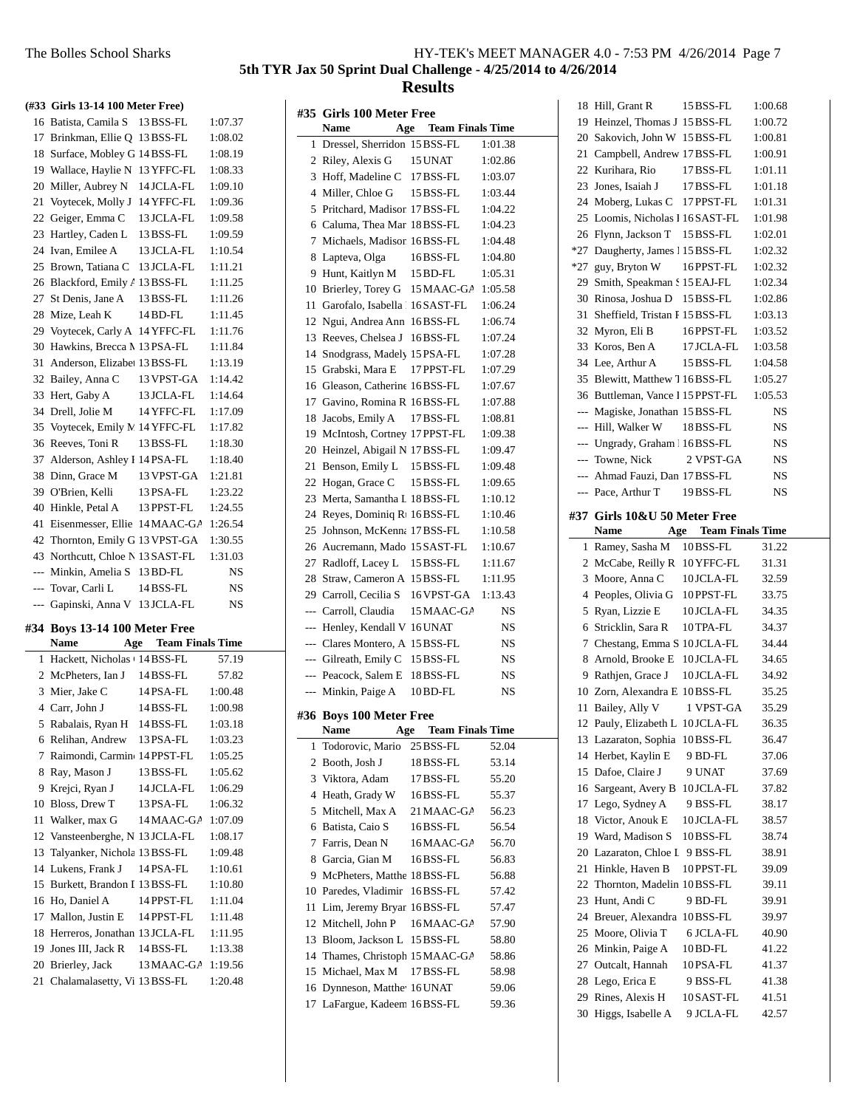|          | (#33 Girls 13-14 100 Meter Free)              |                      |                    |
|----------|-----------------------------------------------|----------------------|--------------------|
|          | 16 Batista, Camila S 13 BSS-FL                |                      | 1:07.37            |
|          | 17 Brinkman, Ellie Q 13 BSS-FL                |                      | 1:08.02            |
|          | 18 Surface, Mobley G 14 BSS-FL                |                      | 1:08.19            |
|          | 19 Wallace, Haylie N 13 YFFC-FL               |                      | 1:08.33            |
|          | 20 Miller, Aubrey N 14 JCLA-FL                |                      | 1:09.10            |
|          | 21 Voytecek, Molly J 14 YFFC-FL               |                      | 1:09.36            |
|          | 22 Geiger, Emma C 13 JCLA-FL                  |                      | 1:09.58            |
|          | 23 Hartley, Caden L 13 BSS-FL                 |                      | 1:09.59            |
|          | 24 Ivan, Emilee A                             | 13 JCLA-FL           | 1:10.54            |
|          | 25 Brown, Tatiana C 13 JCLA-FL                |                      | 1:11.21            |
|          | 26 Blackford, Emily / 13 BSS-FL               |                      | 1:11.25            |
|          | 27 St Denis, Jane A 13 BSS-FL                 |                      | 1:11.26            |
|          | 28 Mize, Leah K                               | $14$ BD-FL           | 1:11.45            |
|          | 29 Voytecek, Carly A 14 YFFC-FL               |                      | 1:11.76            |
|          | 30 Hawkins, Brecca M 13 PSA-FL                |                      | 1:11.84            |
|          | 31 Anderson, Elizabet 13 BSS-FL               |                      | 1:13.19            |
|          | 32 Bailey, Anna C                             | 13 VPST-GA           | 1:14.42            |
|          | 33 Hert, Gaby A                               | 13 JCLA-FL           | 1:14.64            |
|          | 34 Drell, Jolie M                             | 14 YFFC-FL           | 1:17.09            |
|          | 35 Voytecek, Emily M 14 YFFC-FL               |                      | 1:17.82            |
|          | 36 Reeves, Toni R                             | 13 BSS-FL            | 1:18.30            |
|          | 37 Alderson, Ashley I 14PSA-FL                |                      | 1:18.40            |
|          | 38 Dinn, Grace M                              | 13 VPST-GA           | 1:21.81            |
|          | 39 O'Brien, Kelli                             | 13 PSA-FL            | 1:23.22            |
|          | 40 Hinkle, Petal A                            | 13 PPST-FL           | 1:24.55            |
|          | 41 Eisenmesser, Ellie 14 MAAC-GA              |                      | 1:26.54            |
|          | 42 Thornton, Emily G 13 VPST-GA               |                      | 1:30.55            |
|          |                                               |                      |                    |
|          |                                               |                      |                    |
|          | 43 Northcutt, Chloe N 13 SAST-FL              |                      | 1:31.03            |
|          | --- Minkin, Amelia S 13 BD-FL                 |                      | NS                 |
| $---$    | --- Tovar, Carli L                            | 14 BSS-FL            | NS<br>NS           |
|          | Gapinski, Anna V 13 JCLA-FL                   |                      |                    |
|          | #34 Boys 13-14 100 Meter Free                 |                      |                    |
|          | <b>Name</b>                                   | Age Team Finals Time |                    |
|          | 1 Hackett, Nicholas + 14 BSS-FL               |                      | 57.19              |
|          | 2 McPheters, Ian J 14 BSS-FL                  |                      | 57.82              |
|          | 3 Mier, Jake C                                | 14 PSA-FL            | 1:00.48            |
|          | 4 Carr. John J                                | 14 BSS-FL            | 1:00.98            |
| 5        | Rabalais, Ryan H                              | 14 BSS-FL            | 1:03.18            |
| 6        | Relihan, Andrew                               | 13 PSA-FL            | 1:03.23            |
| 7        | Raimondi, Carmin 14 PPST-FL                   |                      | 1:05.25            |
| 8        | Ray, Mason J                                  | 13 BSS-FL            | 1:05.62            |
| 9        | Krejci, Ryan J                                | 14 JCLA-FL           | 1:06.29            |
|          | 10 Bloss, Drew T                              | 13 PSA-FL            | 1:06.32            |
| 11       | Walker, max G                                 | 14 MAAC-GA           | 1:07.09            |
| 12       | Vansteenberghe, N 13 JCLA-FL                  |                      | 1:08.17            |
| 13       | Talyanker, Nichola 13 BSS-FL                  |                      | 1:09.48            |
| 14       | Lukens, Frank J                               | 14 PSA-FL            | 1:10.61            |
| 15       | Burkett, Brandon I 13 BSS-FL                  |                      | 1:10.80            |
| 17       | 16 Ho, Daniel A                               | 14 PPST-FL           | 1:11.04            |
| 18       | Mallon, Justin E                              | 14 PPST-FL           | 1:11.48            |
|          | Herreros, Jonathan 13 JCLA-FL                 |                      | 1:11.95            |
| 19       | Jones III, Jack R                             | 14 BSS-FL            | 1:13.38            |
| 20<br>21 | Brierley, Jack<br>Chalamalasetty, Vi 13BSS-FL | 13 MAAC-GA           | 1:19.56<br>1:20.48 |

| #35   | <b>Girls 100 Meter Free</b>             |                         |         |
|-------|-----------------------------------------|-------------------------|---------|
|       | <b>Name</b><br>Age                      | <b>Team Finals Time</b> |         |
| 1     | Dressel, Sherridon 15 BSS-FL            |                         | 1:01.38 |
|       | 2 Riley, Alexis G                       | 15 UNAT                 | 1:02.86 |
|       | 3 Hoff, Madeline C                      | 17 BSS-FL               | 1:03.07 |
|       | 4 Miller, Chloe G                       | 15 BSS-FL               | 1:03.44 |
| 5     | Pritchard, Madison 17 BSS-FL            |                         | 1:04.22 |
|       | 6 Caluma, Thea Mar 18 BSS-FL            |                         | 1:04.23 |
|       | 7 Michaels, Madison 16 BSS-FL           |                         | 1:04.48 |
| 8     | Lapteva, Olga                           | 16BSS-FL                | 1:04.80 |
| 9     | Hunt, Kaitlyn M                         | 15 BD-FL                | 1:05.31 |
| 10    | Brierley, Torey G                       | 15 MAAC-GA              | 1:05.58 |
| 11    | Garofalo, Isabella 116 SAST-FL          |                         | 1:06.24 |
|       | 12 Ngui, Andrea Ann                     | 16BSS-FL                | 1:06.74 |
| 13    | Reeves, Chelsea J                       | 16BSS-FL                | 1:07.24 |
| 14    | Snodgrass, Madely 15 PSA-FL             |                         | 1:07.28 |
|       | 15 Grabski, Mara E                      | 17 PPST-FL              | 1:07.29 |
| 16    | Gleason, Catherine 16BSS-FL             |                         | 1:07.67 |
| 17    | Gavino, Romina R 16 BSS-FL              |                         | 1:07.88 |
| 18    | Jacobs, Emily A                         | 17 BSS-FL               | 1:08.81 |
| 19    | McIntosh, Cortney 17 PPST-FL            |                         | 1:09.38 |
| 20    | Heinzel, Abigail N 17 BSS-FL            |                         | 1:09.47 |
| 21    | Benson, Emily L                         | 15 BSS-FL               | 1:09.48 |
| 22    | Hogan, Grace C                          | 15 BSS-FL               | 1:09.65 |
| 23    | Merta, Samantha L 18 BSS-FL             |                         | 1:10.12 |
| 24    | Reyes, Dominiq R <sub>1</sub> 16 BSS-FL |                         | 1:10.46 |
| 25    | Johnson, McKenna 17 BSS-FL              |                         | 1:10.58 |
| 26    | Aucremann, Mado 15 SAST-FL              |                         | 1:10.67 |
| 27    | Radloff, Lacey L                        | 15 BSS-FL               | 1:11.67 |
| 28    | Straw, Cameron A 15 BSS-FL              |                         | 1:11.95 |
|       | 29 Carroll, Cecilia S                   | 16 VPST-GA              | 1:13.43 |
|       | --- Carroll, Claudia                    | 15 MAAC-GA              | NS      |
|       | --- Henley, Kendall V 16 UNAT           |                         | NS      |
|       | --- Clares Montero, A: 15 BSS-FL        |                         | NS      |
|       | --- Gilreath, Emily C                   | 15 BSS-FL               | NS      |
|       | --- Peacock, Salem E                    | 18 BSS-FL               | NS      |
| $---$ | Minkin, Paige A                         | 10 BD-FL                | NS      |
|       | #36 Boys 100 Meter Free                 |                         |         |
|       | <b>Name</b><br>Age                      | <b>Team Finals Time</b> |         |
| 1     | Todorovic, Mario                        | 25 BSS-FL               | 52.04   |
| 2     | Booth, Josh J                           | 18 BSS-FL               | 53.14   |
| 3     | Viktora, Adam                           | 17 BSS-FL               | 55.20   |
| 4     | Heath, Grady W                          | 16BSS-FL                | 55.37   |
| 5     | Mitchell, Max A                         | 21 MAAC-GA              | 56.23   |
| 6     | Batista, Caio S                         | 16BSS-FL                | 56.54   |
| 7     | Farris, Dean N                          | 16 MAAC-GA              | 56.70   |
|       | 8 Garcia, Gian M                        | 16BSS-FL                | 56.83   |
| 9     | McPheters, Matthe 18 BSS-FL             |                         | 56.88   |
| 10    | Paredes, Vladimir                       | 16BSS-FL                | 57.42   |
| 11    | Lim, Jeremy Bryan 16 BSS-FL             |                         | 57.47   |
| 12    | Mitchell, John P                        | 16 MAAC-GA              | 57.90   |
| 13    | Bloom, Jackson L                        | 15 BSS-FL               | 58.80   |
|       | 14 Thames, Christoph 15 MAAC-GA         |                         | 58.86   |
| 15    | Michael, Max M                          | 17 BSS-FL               | 58.98   |
|       | 16 Dynneson, Matthe <sup>16</sup> UNAT  |                         | 59.06   |
| 17    | LaFargue, Kadeem 16BSS-FL               |                         | 59.36   |
|       |                                         |                         |         |

|                | 18 Hill, Grant R                        | 15 BSS-FL                      | 1:00.68        |
|----------------|-----------------------------------------|--------------------------------|----------------|
|                | 19 Heinzel, Thomas J 15 BSS-FL          |                                | 1:00.72        |
|                | 20 Sakovich, John W 15 BSS-FL           |                                | 1:00.81        |
| 21             | Campbell, Andrew 17BSS-FL               |                                | 1:00.91        |
| 22             | Kurihara, Rio                           | 17BSS-FL                       | 1:01.11        |
| 23             | Jones, Isaiah J                         | 17 BSS-FL                      | 1:01.18        |
| 24             | Moberg, Lukas C 17 PPST-FL              |                                | 1:01.31        |
| 25             | Loomis, Nicholas 1 16 SAST-FL           |                                | 1:01.98        |
|                | 26 Flynn, Jackson T                     | 15 BSS-FL                      | 1:02.01        |
| *27            | Daugherty, James 115 BSS-FL             |                                | 1:02.32        |
| $*27$          | guy, Bryton W                           | 16 PPST-FL                     | 1:02.32        |
| 29             | Smith, Speakman S15 EAJ-FL              |                                | 1:02.34        |
|                | 30 Rinosa, Joshua D 15 BSS-FL           |                                | 1:02.86        |
| 31             | Sheffield, Tristan I 15 BSS-FL          |                                | 1:03.13        |
|                | 32 Myron, Eli B                         | 16PPST-FL                      | 1:03.52        |
|                | 33 Koros, Ben A                         | 17 JCLA-FL                     | 1:03.58        |
|                | 34 Lee, Arthur A                        | 15 BSS-FL                      | 1:04.58        |
|                | 35 Blewitt, Matthew 7 16 BSS-FL         |                                | 1:05.27        |
|                | 36 Buttleman, Vance 1 15 PPST-FL        |                                | 1:05.53        |
| $\overline{a}$ | Magiske, Jonathan 15 BSS-FL             |                                | NS             |
| $---$          | Hill, Walker W                          | 18BSS-FL                       | <b>NS</b>      |
| $---$          | Ungrady, Graham 16BSS-FL                |                                | NS             |
| ---            | Towne, Nick                             | 2 VPST-GA                      | <b>NS</b>      |
|                | --- Ahmad Fauzi, Dan 17 BSS-FL          |                                | NS             |
| $\overline{a}$ | Pace, Arthur T                          | 19BSS-FL                       | NS             |
|                | #37 Girls 10&U 50 Meter Free            |                                |                |
|                | Name                                    | <b>Team Finals Time</b><br>Age |                |
|                |                                         |                                |                |
| 1              | Ramey, Sasha M                          | 10BSS-FL                       | 31.22          |
|                |                                         |                                |                |
| $\overline{2}$ | McCabe, Reilly R                        | 10 YFFC-FL                     | 31.31          |
| 3              | Moore, Anna C                           | 10JCLA-FL                      | 32.59          |
| 4              | Peoples, Olivia G                       | 10 PPST-FL                     | 33.75          |
| 5              | Ryan, Lizzie E                          | 10JCLA-FL                      | 34.35          |
| 6              | Stricklin, Sara R                       | 10 TPA-FL                      | 34.37          |
| 7              | Chestang, Emma S 10JCLA-FL              |                                | 34.44          |
| 8              | Arnold, Brooke E 10JCLA-FL              |                                | 34.65          |
| 9              | Rathjen, Grace J                        | 10JCLA-FL                      | 34.92          |
|                | 10 Zorn, Alexandra E 10BSS-FL           |                                | 35.25          |
| 11             | Bailey, Ally V                          | 1 VPST-GA                      | 35.29          |
|                | 12 Pauly, Elizabeth L 10JCLA-FL         |                                | 36.35          |
|                | 13 Lazaraton, Sophia                    | 10BSS-FL                       | 36.47          |
|                | 14 Herbet, Kaylin E                     | 9 BD-FL                        | 37.06          |
|                | 15 Dafoe, Claire J                      | 9 UNAT                         | 37.69          |
|                | 16 Sargeant, Avery B                    | 10JCLA-FL                      | 37.82          |
| 17             | Lego, Sydney A                          | 9 BSS-FL                       | 38.17          |
| 18             | Victor, Anouk E                         | 10JCLA-FL                      | 38.57          |
| 19             | Ward, Madison S                         | 10BSS-FL                       | 38.74          |
| 20             | Lazaraton, Chloe I                      | 9 BSS-FL                       | 38.91          |
| 21             | Hinkle, Haven B                         | 10PPST-FL                      | 39.09          |
| 22             | Thornton, Madelin 10BSS-FL              |                                | 39.11          |
| 23             | Hunt, Andi C                            | 9 BD-FL                        | 39.91          |
| 24             | Breuer, Alexandra                       | 10BSS-FL                       | 39.97          |
| 25             | Moore, Olivia T                         | 6 JCLA-FL                      | 40.90          |
| 26             | Minkin, Paige A                         | 10 BD-FL                       | 41.22          |
| 27             | Outcalt, Hannah                         | 10PSA-FL                       | 41.37          |
| 28             | Lego, Erica E                           | 9 BSS-FL                       | 41.38          |
| 29             | Rines, Alexis H<br>30 Higgs, Isabelle A | 10SAST-FL<br>9 JCLA-FL         | 41.51<br>42.57 |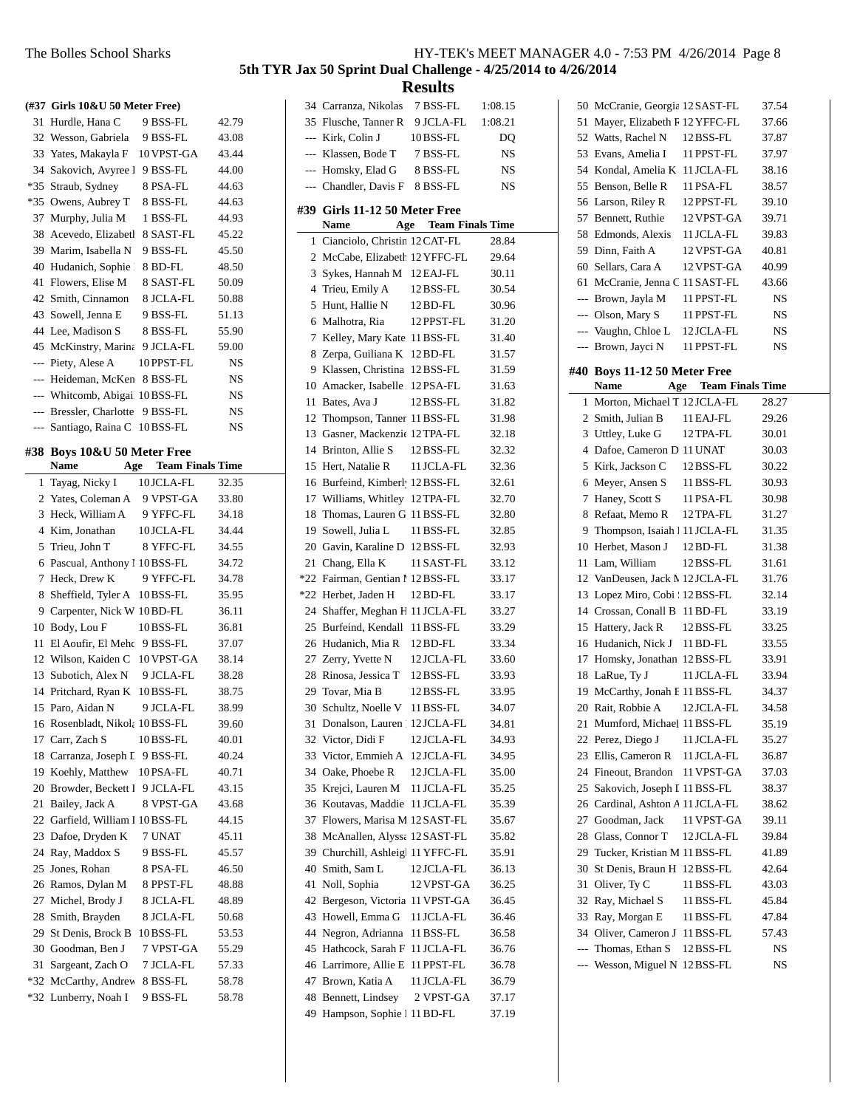|             | (#37 Girls 10&U 50 Meter Free)       |                       |                |
|-------------|--------------------------------------|-----------------------|----------------|
| 31          | Hurdle, Hana C                       | 9 BSS-FL              | 42.79          |
| 32          | Wesson, Gabriela                     | 9 BSS-FL              | 43.08          |
| 33          | Yates, Makayla F                     | 10 VPST-GA            | 43.44          |
| 34          | Sakovich, Avyree l                   | 9 BSS-FL              | 44.00          |
| $*35$       | Straub, Sydney                       | 8 PSA-FL              | 44.63          |
|             | *35 Owens, Aubrey T                  | 8 BSS-FL              | 44.63          |
| 37          | Murphy, Julia M                      | 1 BSS-FL              | 44.93          |
| 38          | Acevedo, Elizabetl                   | 8 SAST-FL             | 45.22          |
|             | 39 Marim. Isabella N                 | 9 BSS-FL              | 45.50          |
| 40          | Hudanich, Sophie                     | 8 BD-FL               | 48.50          |
| 41          | Flowers, Elise M                     | 8 SAST-FL             | 50.09          |
| 42          | Smith, Cinnamon                      | 8 JCLA-FL             | 50.88          |
| 43          | Sowell, Jenna E                      | 9 BSS-FL              | 51.13          |
|             | 44 Lee, Madison S                    | 8 BSS-FL              | 55.90          |
| 45          | McKinstry, Marina                    | 9 JCLA-FL             | 59.00          |
|             | --- Piety, Alese A                   | 10 PPST-FL            | NS             |
| $---$       | Heideman, McKen                      | 8 BSS-FL              | <b>NS</b>      |
|             | --- Whitcomb, Abigai 10BSS-FL        |                       | NS             |
|             | --- Bressler, Charlotte              | 9 BSS-FL              | NS             |
| $---$       | Santiago, Raina C                    | 10 BSS-FL             | NS             |
|             | #38 Boys 10&U 50 Meter Free          |                       |                |
|             | <b>Name</b>                          | Age Team Finals Time  |                |
| 1           | Tayag, Nicky I                       | 10 JCLA-FL            | 32.35          |
| 2           | Yates, Coleman A 9 VPST-GA           |                       | 33.80          |
| 3           | Heck, William A                      | 9 YFFC-FL             | 34.18          |
| 4           | Kim, Jonathan                        | 10 JCLA-FL            | 34.44          |
| 5           | Trieu, John T                        | 8 YFFC-FL             | 34.55          |
| 6           | Pascual, Anthony 1 10 BSS-FL         |                       | 34.72          |
| 7           | Heck, Drew K                         | 9 YFFC-FL             | 34.78          |
| 8           | Sheffield, Tyler A                   | 10 BSS-FL             | 35.95          |
|             | 9 Carpenter, Nick W 10BD-FL          |                       | 36.11          |
|             | 10 Body, Lou F                       |                       |                |
|             |                                      | 10BSS-FL              | 36.81          |
| 11          | El Aoufir, El Meho                   | 9 BSS-FL              | 37.07          |
|             | 12 Wilson, Kaiden C                  | 10 VPST-GA            | 38.14          |
| 13          | Subotich, Alex N                     | 9 JCLA-FL             | 38.28          |
| 14          | Pritchard, Ryan K                    | 10BSS-FL              | 38.75          |
| 15          | Paro, Aidan N                        | 9 JCLA-FL             | 38.99          |
| 16          | Rosenbladt, Nikola 10BSS-FL          |                       | 39.60          |
| 17          | Carr, Zach S                         | 10BSS-FL              | 40.01          |
| 18          | Carranza, Joseph I                   | 9 BSS-FL              | 40.24          |
| 19          | Koehly, Matthew                      | 10PSA-FL              | 40.71          |
| 20          | Browder, Beckett I                   | 9 JCLA-FL             | 43.15          |
| 21          | Bailey, Jack A                       | 8 VPST-GA             | 43.68          |
| 22          | Garfield, William I 10BSS-FL         |                       | 44.15          |
| 23          | Dafoe, Dryden K                      | 7 UNAT                | 45.11          |
| 24          | Ray, Maddox S                        | 9 BSS-FL              | 45.57          |
| 25          | Jones, Rohan                         | 8 PSA-FL              | 46.50          |
| 26          | Ramos, Dylan M                       | 8 PPST-FL             | 48.88          |
| 27          | Michel, Brody J                      | 8 JCLA-FL             | 48.89          |
| 28          | Smith, Brayden                       | 8 JCLA-FL             | 50.68          |
| 29          | St Denis, Brock B                    | 10BSS-FL              | 53.53          |
| 30          | Goodman, Ben J                       | 7 VPST-GA             | 55.29          |
| 31<br>$*32$ | Sargeant, Zach O<br>McCarthy, Andrew | 7 JCLA-FL<br>8 BSS-FL | 57.33<br>58.78 |

|     | 34 Carranza, Nikolas                           | 7 BSS-FL                | 1:08.15   |
|-----|------------------------------------------------|-------------------------|-----------|
|     | 35 Flusche, Tanner R                           | 9 JCLA-FL               | 1:08.21   |
|     | --- Kirk, Colin J                              | 10 BSS-FL               | DQ        |
|     | --- Klassen, Bode T                            | 7 BSS-FL                | NS        |
|     | --- Homsky, Elad G                             | 8 BSS-FL                | <b>NS</b> |
|     | --- Chandler, Davis F                          | 8 BSS-FL                | NS        |
| #39 | Girls 11-12 50 Meter Free                      |                         |           |
|     | Name<br>Age                                    | <b>Team Finals Time</b> |           |
| 1   | Cianciolo, Christin 12 CAT-FL                  |                         | 28.84     |
|     | 2 McCabe, Elizabeth 12 YFFC-FL                 |                         | 29.64     |
| 3   | Sykes, Hannah M 12 EAJ-FL                      |                         | 30.11     |
|     | 4 Trieu, Emily A                               | 12 BSS-FL               | 30.54     |
| 5   | Hunt, Hallie N                                 | $12$ BD-FL              | 30.96     |
| 6   | Malhotra, Ria                                  | 12 PPST-FL              | 31.20     |
| 7   | Kelley, Mary Kate 11 BSS-FL                    |                         | 31.40     |
| 8   | Zerpa, Guiliana K                              | 12 BD-FL                | 31.57     |
| 9.  | Klassen, Christina 12 BSS-FL                   |                         | 31.59     |
|     | 10 Amacker, Isabelle . 12 PSA-FL               |                         | 31.63     |
| 11  | Bates, Ava J                                   | 12 BSS-FL               | 31.82     |
|     | 12 Thompson, Tanner 11 BSS-FL                  |                         | 31.98     |
|     | 13 Gasner, Mackenzie 12 TPA-FL                 |                         | 32.18     |
|     | 14 Brinton, Allie S                            | 12 BSS-FL               | 32.32     |
|     | 15 Hert, Natalie R                             | 11 JCLA-FL              | 32.36     |
|     | 16 Burfeind, Kimberl 12 BSS-FL                 |                         | 32.61     |
|     | 17 Williams, Whitley 12 TPA-FL                 |                         | 32.70     |
| 18  | Thomas, Lauren G 11 BSS-FL                     |                         | 32.80     |
| 19  | Sowell, Julia L                                | 11 BSS-FL               | 32.85     |
|     | 20 Gavin, Karaline D 12 BSS-FL                 |                         | 32.93     |
|     | 21 Chang, Ella K                               | 11 SAST-FL              | 33.12     |
|     | *22 Fairman, Gentian 1 12 BSS-FL               |                         |           |
|     | *22 Herbet, Jaden H                            | 12 BD-FL                | 33.17     |
|     | 24 Shaffer, Meghan H 11 JCLA-FL                |                         | 33.17     |
|     |                                                |                         | 33.27     |
|     | 25 Burfeind, Kendall 11 BSS-FL                 |                         | 33.29     |
|     | 26 Hudanich, Mia R                             | $12$ BD-FL              | 33.34     |
| 28  | 27 Zerry, Yvette N<br>Rinosa, Jessica T        | 12 JCLA-FL              | 33.60     |
|     |                                                | 12 BSS-FL               | 33.93     |
|     | 29 Tovar, Mia B<br>Schultz, Noelle V 11 BSS-FL | 12 BSS-FL               | 33.95     |
| 30  |                                                |                         | 34.07     |
|     | 31 Donalson, Lauren 12 JCLA-FL                 |                         | 34.81     |
|     | 32 Victor, Didi F                              | 12 JCLA-FL              | 34.93     |
| 33  | Victor, Emmieh A                               | 12 JCLA-FL              | 34.95     |
| 34  | Oake, Phoebe R                                 | 12 JCLA-FL              | 35.00     |
| 35  | Krejci, Lauren M                               | 11 JCLA-FL              | 35.25     |
| 36  | Koutavas, Maddie                               | 11 JCLA-FL              | 35.39     |
| 37  | Flowers, Marisa M 12 SAST-FL                   |                         | 35.67     |
| 38  | McAnallen, Alyssa 12 SAST-FL                   |                         | 35.82     |
| 39  | Churchill, Ashleigl 11 YFFC-FL                 |                         | 35.91     |
| 40  | Smith, Sam L                                   | 12 JCLA-FL              | 36.13     |
| 41  | Noll, Sophia                                   | 12 VPST-GA              | 36.25     |
| 42  | Bergeson, Victoria                             | 11 VPST-GA              | 36.45     |
| 43  | Howell, Emma G                                 | 11 JCLA-FL              | 36.46     |
| 44  | Negron, Adrianna                               | 11 BSS-FL               | 36.58     |
| 45  | Hathcock, Sarah F                              | 11 JCLA-FL              | 36.76     |
| 46  | Larrimore, Allie E                             | 11 PPST-FL              | 36.78     |
| 47  | Brown, Katia A                                 | 11 JCLA-FL              | 36.79     |
| 48  | Bennett, Lindsey                               | 2 VPST-GA               | 37.17     |
| 49  | Hampson, Sophie 1 11 BD-FL                     |                         | 37.19     |

| 50  | McCranie, Georgia 12 SAST-FL     |                             | 37.54 |
|-----|----------------------------------|-----------------------------|-------|
| 51  | Mayer, Elizabeth F 12 YFFC-FL    |                             | 37.66 |
|     | 52 Watts, Rachel N               | 12BSS-FL                    | 37.87 |
|     | 53 Evans, Amelia I               | 11 PPST-FL                  | 37.97 |
| 54  | Kondal, Amelia K 11 JCLA-FL      |                             | 38.16 |
| 55  | Benson, Belle R                  | 11 PSA-FL                   | 38.57 |
| 56  | Larson, Riley R                  | 12 PPST-FL                  | 39.10 |
| 57  | Bennett, Ruthie                  | 12 VPST-GA                  | 39.71 |
| 58  | Edmonds, Alexis                  | 11 JCLA-FL                  | 39.83 |
|     | 59 Dinn, Faith A                 | 12 VPST-GA                  | 40.81 |
|     | 60 Sellars, Cara A               | 12 VPST-GA                  | 40.99 |
| 61  | McCranie, Jenna C 11 SAST-FL     |                             | 43.66 |
|     | --- Brown, Jayla M               | 11 PPST-FL                  | NS    |
|     | --- Olson, Mary S                | 11 PPST-FL                  | NS    |
|     | --- Vaughn, Chloe L              | 12JCLA-FL                   | NS    |
|     | --- Brown, Jayci N               | 11 PPST-FL                  | NS    |
|     |                                  |                             |       |
|     | #40 Boys 11-12 50 Meter Free     |                             |       |
|     | Name                             | <b>Age</b> Team Finals Time |       |
| 1   | Morton, Michael T 12 JCLA-FL     |                             | 28.27 |
|     | 2 Smith, Julian B 11 EAJ-FL      |                             | 29.26 |
| 3   | Uttley, Luke G                   | 12 TPA-FL                   | 30.01 |
| 4   | Dafoe, Cameron D 11 UNAT         |                             | 30.03 |
| 5   | Kirk, Jackson C                  | 12 BSS-FL                   | 30.22 |
| 6   | Meyer, Ansen S                   | 11 BSS-FL                   | 30.93 |
| 7   | Haney, Scott S                   | 11 PSA-FL                   | 30.98 |
| 8   | Refaat, Memo R                   | 12 TPA-FL                   | 31.27 |
| 9   | Thompson, Isaiah   11 JCLA-FL    |                             | 31.35 |
| 10  | Herbet, Mason J                  | 12 BD-FL                    | 31.38 |
| 11  | Lam, William                     | 12 BSS-FL                   | 31.61 |
|     | 12 VanDeusen, Jack M 12 JCLA-FL  |                             | 31.76 |
|     | 13 Lopez Miro, Cobi 12BSS-FL     |                             | 32.14 |
|     | 14 Crossan, Conall B 11 BD-FL    |                             | 33.19 |
|     | 15 Hattery, Jack R               | 12 BSS-FL                   | 33.25 |
|     | 16 Hudanich, Nick J 11 BD-FL     |                             | 33.55 |
| 17  | Homsky, Jonathan 12BSS-FL        |                             | 33.91 |
| 18  | LaRue, Ty J                      | 11 JCLA-FL                  | 33.94 |
| 19  | McCarthy, Jonah E 11 BSS-FL      |                             | 34.37 |
|     | 20 Rait, Robbie A                | 12 JCLA-FL                  | 34.58 |
| 21  | Mumford, Michael 11 BSS-FL       |                             | 35.19 |
| 22  | Perez, Diego J                   | 11 JCLA-FL                  | 35.27 |
| 23  | Ellis, Cameron R                 | 11 JCLA-FL                  | 36.87 |
|     | 24 Fineout, Brandon              | 11 VPST-GA                  | 37.03 |
| 25  | Sakovich, Joseph I 11 BSS-FL     |                             | 38.37 |
|     | 26 Cardinal, Ashton A 11 JCLA-FL |                             | 38.62 |
| 27  | Goodman, Jack                    | 11 VPST-GA                  | 39.11 |
| 28  | Glass, Connor T                  | 12 JCLA-FL                  | 39.84 |
| 29  | Tucker, Kristian M 11 BSS-FL     |                             | 41.89 |
| 30  | St Denis, Braun H                | 12 BSS-FL                   | 42.64 |
| 31  | Oliver, Ty C                     | 11 BSS-FL                   | 43.03 |
| 32  | Ray, Michael S                   | 11 BSS-FL                   | 45.84 |
| 33  | Ray, Morgan E                    | 11 BSS-FL                   | 47.84 |
|     | 34 Oliver, Cameron J             | 11 BSS-FL                   | 57.43 |
| --- | Thomas, Ethan S                  | 12 BSS-FL                   | NS    |
|     | Wesson, Miguel N 12BSS-FL        |                             | NS    |
|     |                                  |                             |       |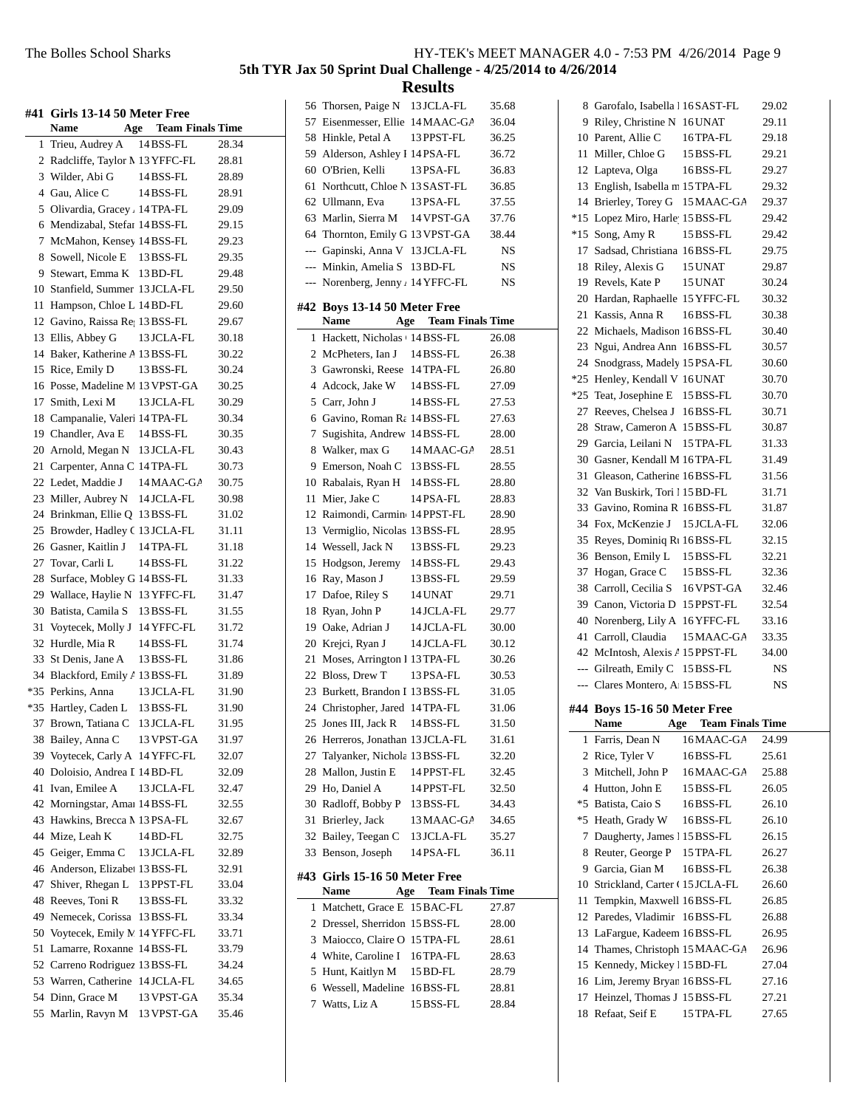|       | #41 Girls 13-14 50 Meter Free<br>Name<br>Age | <b>Team Finals Time</b> |       |
|-------|----------------------------------------------|-------------------------|-------|
| 1     | Trieu, Audrey A                              | 14 BSS-FL               | 28.34 |
| 2     | Radcliffe, Taylor M 13 YFFC-FL               |                         | 28.81 |
|       | 3 Wilder, Abi G                              | 14 BSS-FL               | 28.89 |
| 4     | Gau, Alice C                                 | 14 BSS-FL               | 28.91 |
| 5     | Olivardia, Gracey . 14 TPA-FL                |                         | 29.09 |
| 6     | Mendizabal, Stefar 14 BSS-FL                 |                         | 29.15 |
| 7     | McMahon, Kensey 14 BSS-FL                    |                         | 29.23 |
| 8     | Sowell, Nicole E 13 BSS-FL                   |                         | 29.35 |
| 9     | Stewart, Emma K                              | 13 BD-FL                | 29.48 |
|       | 10 Stanfield, Summer 13 JCLA-FL              |                         | 29.50 |
| 11    | Hampson, Chloe L 14 BD-FL                    |                         | 29.60 |
|       | 12 Gavino, Raissa Re 13 BSS-FL               |                         | 29.67 |
|       | 13 Ellis, Abbey G                            | 13 JCLA-FL              | 30.18 |
|       | 14 Baker, Katherine A 13 BSS-FL              |                         | 30.22 |
| 15    | Rice, Emily D                                | 13 BSS-FL               | 30.24 |
| 16    | Posse, Madeline M 13 VPST-GA                 |                         | 30.25 |
|       | 17 Smith, Lexi M                             | 13 JCLA-FL              | 30.29 |
| 18    | Campanalie, Valeri 14 TPA-FL                 |                         | 30.34 |
| 19    | Chandler, Ava E                              | 14 BSS-FL               | 30.35 |
|       | 20 Arnold, Megan N                           | 13 JCLA-FL              | 30.43 |
| 21    | Carpenter, Anna C 14 TPA-FL                  |                         | 30.73 |
|       | 22 Ledet, Maddie J                           | 14 MAAC-GA              | 30.75 |
| 23    | Miller, Aubrey N                             | 14 JCLA-FL              | 30.98 |
|       | 24 Brinkman, Ellie Q 13 BSS-FL               |                         | 31.02 |
| 25    | Browder, Hadley C 13 JCLA-FL                 |                         | 31.11 |
| 26    | Gasner, Kaitlin J                            | 14 TPA-FL               | 31.18 |
|       | 27 Tovar, Carli L                            | 14 BSS-FL               | 31.22 |
| 28    | Surface, Mobley G 14 BSS-FL                  |                         | 31.33 |
| 29    | Wallace, Haylie N 13 YFFC-FL                 |                         | 31.47 |
| 30    | Batista, Camila S                            | 13 BSS-FL               | 31.55 |
| 31    | Voytecek, Molly J 14 YFFC-FL                 |                         | 31.72 |
| 32    | Hurdle, Mia R                                | 14BSS-FL                | 31.74 |
| 33    | St Denis, Jane A                             | 13 BSS-FL               | 31.86 |
|       | 34 Blackford, Emily / 13 BSS-FL              |                         | 31.89 |
|       | *35 Perkins, Anna                            | 13 JCLA-FL              | 31.90 |
| $*35$ | Hartley, Caden L                             | 13 BSS-FL               | 31.90 |
| 37    | Brown, Tatiana C                             | 13 JCLA-FL              | 31.95 |
| 38    | Bailey, Anna C                               | 13 VPST-GA              | 31.97 |
| 39    | Voytecek, Carly A                            | 14 YFFC-FL              | 32.07 |
| 40    | Doloisio, Andrea I 14 BD-FL                  |                         | 32.09 |
| 41    | Ivan. Emilee A                               | 13 JCLA-FL              | 32.47 |
| 42    | Morningstar, Amai 14 BSS-FL                  |                         | 32.55 |
| 43    | Hawkins, Brecca M 13 PSA-FL                  |                         | 32.67 |
| 44    | Mize, Leah K                                 | 14 BD-FL                | 32.75 |
| 45    | Geiger, Emma C                               | 13 JCLA-FL              | 32.89 |
| 46    | Anderson, Elizabet 13 BSS-FL                 |                         | 32.91 |
| 47    | Shiver, Rhegan L                             | 13 PPST-FL              | 33.04 |
| 48    | Reeves, Toni R                               | 13 BSS-FL               | 33.32 |
| 49    | Nemecek, Corissa                             | 13 BSS-FL               | 33.34 |
| 50    | Voytecek, Emily N 14 YFFC-FL                 |                         | 33.71 |
| 51    | Lamarre, Roxanne                             | 14 BSS-FL               | 33.79 |
| 52    | Carreno Rodriguez 13 BSS-FL                  |                         | 34.24 |
|       | 53 Warren, Catherine 14JCLA-FL               |                         | 34.65 |
| 54    | Dinn, Grace M                                | 13 VPST-GA              | 35.34 |
| 55    | Marlin, Ravyn M                              | 13 VPST-GA              | 35.46 |
|       |                                              |                         |       |

|     |                                                   | Results                     |                |
|-----|---------------------------------------------------|-----------------------------|----------------|
|     | 56 Thorsen, Paige N 13 JCLA-FL                    |                             | 35.68          |
|     | 57 Eisenmesser, Ellie 14 MAAC-GA                  |                             | 36.04          |
|     | 58 Hinkle, Petal A                                | 13 PPST-FL                  | 36.25          |
|     | 59 Alderson, Ashley I 14 PSA-FL                   |                             | 36.72          |
|     | 60 O'Brien, Kelli                                 | 13 PSA-FL                   | 36.83          |
| 61  | Northcutt, Chloe N 13 SAST-FL                     |                             | 36.85          |
|     | 62 Ullmann, Eva                                   | 13 PSA-FL                   | 37.55          |
|     | 63 Marlin, Sierra M 14 VPST-GA                    |                             | 37.76          |
|     | 64 Thornton, Emily G 13 VPST-GA                   |                             | 38.44          |
|     | --- Gapinski, Anna V 13 JCLA-FL                   |                             | NS             |
|     | --- Minkin, Amelia S 13 BD-FL                     |                             | NS             |
|     | --- Norenberg, Jenny / 14 YFFC-FL                 |                             | NS             |
|     |                                                   |                             |                |
|     | #42 Boys 13-14 50 Meter Free                      |                             |                |
|     | Name                                              | <b>Age</b> Team Finals Time |                |
|     | 1 Hackett, Nicholas (14 BSS-FL                    |                             | 26.08          |
|     | 2 McPheters, Ian J 14 BSS-FL                      |                             | 26.38          |
|     | 3 Gawronski, Reese 14 TPA-FL                      |                             | 26.80          |
|     | 4 Adcock, Jake W 14 BSS-FL                        |                             | 27.09          |
| 5   | Carr, John J                                      | 14 BSS-FL                   | 27.53          |
| 6   | Gavino, Roman Ra 14 BSS-FL                        |                             | 27.63          |
| 7   | Sugishita, Andrew 14 BSS-FL                       |                             | 28.00          |
|     | 8 Walker, max G                                   | 14 MAAC-GA                  | 28.51          |
|     | 9 Emerson, Noah C 13 BSS-FL                       |                             | 28.55          |
|     | 10 Rabalais, Ryan H 14 BSS-FL                     |                             | 28.80          |
|     | 11 Mier, Jake C                                   | 14 PSA-FL                   | 28.83          |
|     | 12 Raimondi, Carmine 14 PPST-FL                   |                             | 28.90          |
|     | 13 Vermiglio, Nicolas 13 BSS-FL                   |                             | 28.95          |
|     | 14 Wessell, Jack N                                | 13 BSS-FL                   | 29.23          |
|     | 15 Hodgson, Jeremy                                | 14 BSS-FL                   | 29.43          |
|     | 16 Ray, Mason J                                   | 13 BSS-FL                   | 29.59          |
|     | 17 Dafoe, Riley S                                 | 14 UNAT                     | 29.71          |
|     | 18 Ryan, John P                                   | 14 JCLA-FL                  | 29.77          |
|     | 19 Oake, Adrian J                                 | 14 JCLA-FL                  | 30.00          |
|     | 20 Krejci, Ryan J<br>Moses, Arrington I 13 TPA-FL | 14 JCLA-FL                  | 30.12          |
| 21  | 22 Bloss, Drew T                                  | 13 PSA-FL                   | 30.26          |
|     | 23 Burkett, Brandon I 13 BSS-FL                   |                             | 30.53<br>31.05 |
| 24  | Christopher, Jared 14 TPA-FL                      |                             | 31.06          |
| 25  | Jones III, Jack R                                 | 14 BSS-FL                   |                |
| 26  | Herreros, Jonathan 13 JCLA-FL                     |                             | 31.50<br>31.61 |
| 27  | Talyanker, Nichola 13 BSS-FL                      |                             | 32.20          |
| 28  | Mallon, Justin E                                  | 14 PPST-FL                  | 32.45          |
|     | 29 Ho, Daniel A                                   | 14 PPST-FL                  | 32.50          |
| 30  | Radloff, Bobby P                                  | 13 BSS-FL                   | 34.43          |
| 31  | Brierley, Jack                                    | 13 MAAC-GA                  | 34.65          |
| 32  | Bailey, Teegan C                                  | 13 JCLA-FL                  | 35.27          |
| 33  | Benson, Joseph                                    | 14 PSA-FL                   | 36.11          |
|     |                                                   |                             |                |
| #43 | Girls 15-16 50 Meter Free                         |                             |                |
|     | <b>Name</b><br>Age                                | <b>Team Finals Time</b>     |                |
| 1   | Matchett, Grace E 15 BAC-FL                       |                             | 27.87          |
| 2   | Dressel, Sherridon 15 BSS-FL                      |                             | 28.00          |
| 3   | Maiocco, Claire O 15 TPA-FL                       |                             | 28.61          |
| 4   | White, Caroline I                                 | 16 TPA-FL                   | 28.63          |
| 5   | Hunt, Kaitlyn M                                   | 15 BD-FL                    | 28.79          |
| 6   | Wessell, Madeline 16BSS-FL                        |                             | 28.81          |
| 7   | Watts, Liz A                                      | 15 BSS-FL                   | 28.84          |
|     |                                                   |                             |                |

|          | 8 Garofalo, Isabella   16 SAST-FL             |                             | 29.02          |
|----------|-----------------------------------------------|-----------------------------|----------------|
|          | 9 Riley, Christine N 16 UNAT                  |                             | 29.11          |
|          | 10 Parent, Allie C                            | 16 TPA-FL                   | 29.18          |
| 11       | Miller, Chloe G                               | 15 BSS-FL                   | 29.21          |
|          | 12 Lapteva, Olga                              | 16BSS-FL                    | 29.27          |
|          | 13 English, Isabella m 15 TPA-FL              |                             | 29.32          |
| 14       | Brierley, Torey G                             | 15 MAAC-GA                  | 29.37          |
| $*15$    | Lopez Miro, Harle 15 BSS-FL                   |                             | 29.42          |
| $*15$    | Song, Amy R                                   | 15 BSS-FL                   | 29.42          |
| 17       | Sadsad, Christiana 16BSS-FL                   |                             | 29.75          |
| 18       | Riley, Alexis G                               | 15 UNAT                     | 29.87          |
| 19       | Revels, Kate P                                | 15 UNAT                     | 30.24          |
| 20       | Hardan, Raphaelle 15 YFFC-FL                  |                             | 30.32          |
| 21       | Kassis, Anna R                                | 16BSS-FL                    | 30.38          |
|          | 22 Michaels, Madison 16BSS-FL                 |                             | 30.40          |
| 23       | Ngui, Andrea Ann 16BSS-FL                     |                             | 30.57          |
| 24       | Snodgrass, Madely 15 PSA-FL                   |                             | 30.60          |
|          | *25 Henley, Kendall V 16 UNAT                 |                             | 30.70          |
| $*25$    | Teat, Josephine E 15 BSS-FL                   |                             | 30.70          |
| 27       | Reeves, Chelsea J 16BSS-FL                    |                             | 30.71          |
| 28       | Straw, Cameron A 15 BSS-FL                    |                             | 30.87          |
| 29       | Garcia, Leilani N                             | 15 TPA-FL                   | 31.33          |
|          | 30 Gasner, Kendall M 16TPA-FL                 |                             | 31.49          |
| 31       | Gleason, Catherine 16BSS-FL                   |                             | 31.56          |
| 32       | Van Buskirk, Tori 115 BD-FL                   |                             | 31.71          |
| 33       | Gavino, Romina R 16BSS-FL                     |                             | 31.87          |
| 34       | Fox, McKenzie J                               | 15 JCLA-FL                  | 32.06          |
| 35       | Reyes, Dominiq R <sub>1</sub> 16 BSS-FL       |                             | 32.15          |
| 36       | Benson, Emily L                               | 15 BSS-FL                   | 32.21          |
| 37       | Hogan, Grace C                                | 15 BSS-FL                   | 32.36          |
|          |                                               |                             |                |
| 38       | Carroll, Cecilia S                            | 16 VPST-GA                  | 32.46          |
| 39       | Canon, Victoria D 15 PPST-FL                  |                             | 32.54          |
| 40       | Norenberg, Lily A 16 YFFC-FL                  |                             | 33.16          |
| 41       | Carroll, Claudia                              | 15 MAAC-GA                  | 33.35          |
|          | 42 McIntosh, Alexis / 15 PPST-FL              |                             | 34.00          |
|          | --- Gilreath, Emily C                         | 15 BSS-FL                   | NS             |
| ---      | Clares Montero, A 15 BSS-FL                   |                             | NS             |
|          | #44 Boys 15-16 50 Meter Free                  |                             |                |
|          | Name                                          | <b>Age</b> Team Finals Time |                |
| 1        | Farris, Dean N                                | 16MAAC-GA                   | 24.99          |
|          | 2 Rice, Tyler V                               | 16BSS-FL                    | 25.61          |
|          | 3 Mitchell, John P                            | 16 MAAC-GA                  | 25.88          |
|          | 4 Hutton, John E                              | $15$ BSS-FL                 | 26.05          |
|          | *5 Batista, Caio S                            | 16BSS-FL                    | 26.10          |
|          | *5 Heath, Grady W                             | 16BSS-FL                    | 26.10          |
| 7        | Daugherty, James 115 BSS-FL                   |                             | 26.15          |
|          | 8 Reuter, George P 15 TPA-FL                  |                             | 26.27          |
|          | 9 Garcia, Gian M                              | 16BSS-FL                    | 26.38          |
|          | 10 Strickland, Carter ( 15 JCLA-FL            |                             | 26.60          |
| 11       | Tempkin, Maxwell 16BSS-FL                     |                             | 26.85          |
| 12       | Paredes, Vladimir 16BSS-FL                    |                             | 26.88          |
|          | 13 LaFargue, Kadeem 16BSS-FL                  |                             | 26.95          |
| 14       | Thames, Christoph 15 MAAC-GA                  |                             | 26.96          |
|          | 15 Kennedy, Mickey 15 BD-FL                   |                             | 27.04          |
|          | 16 Lim, Jeremy Bryan 16BSS-FL                 |                             | 27.16          |
| 17<br>18 | Heinzel, Thomas J 15 BSS-FL<br>Refaat, Seif E | 15 TPA-FL                   | 27.21<br>27.65 |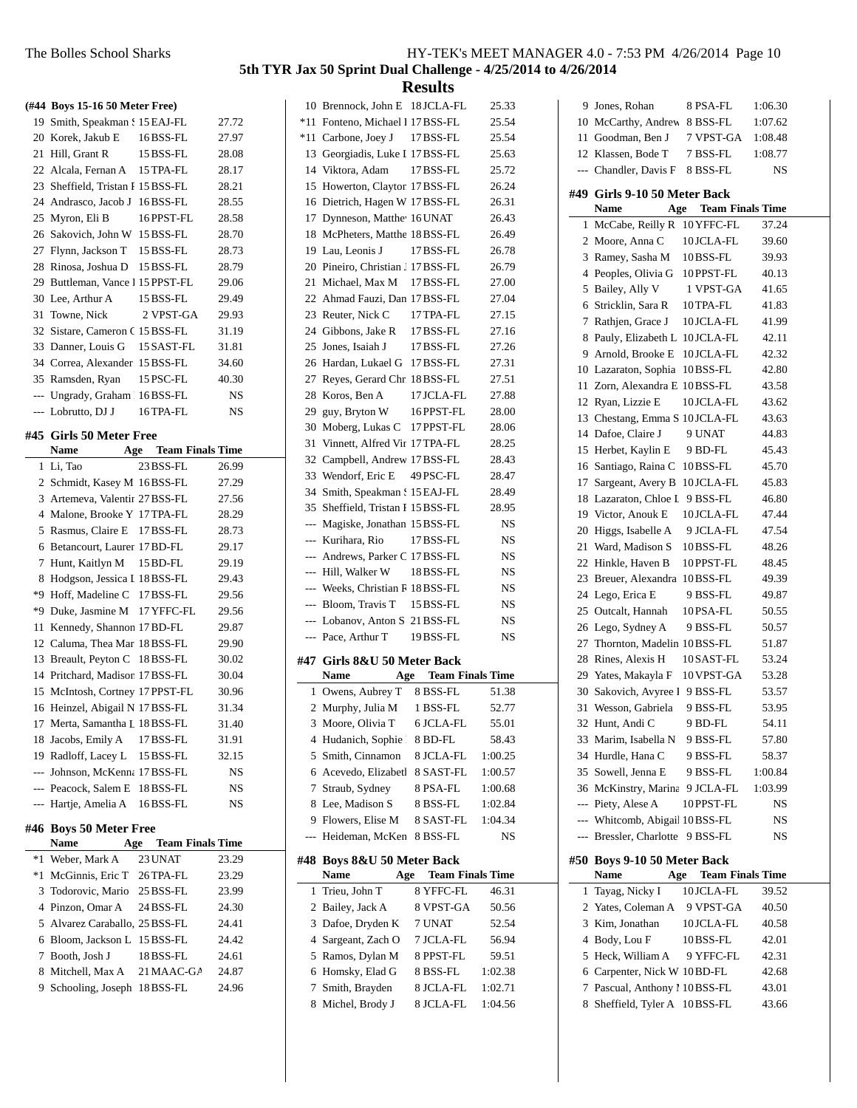|      | (#44 Boys 15-16 50 Meter Free)                         |                             |           |
|------|--------------------------------------------------------|-----------------------------|-----------|
|      | 19 Smith, Speakman S 15 EAJ-FL                         |                             | 27.72     |
|      | 20 Korek, Jakub E                                      | 16BSS-FL                    | 27.97     |
|      | 21 Hill, Grant R                                       | 15 BSS-FL                   | 28.08     |
|      | 22 Alcala, Fernan A 15 TPA-FL                          |                             | 28.17     |
|      | 23 Sheffield, Tristan I 15 BSS-FL                      |                             | 28.21     |
|      | 24 Andrasco, Jacob J 16BSS-FL                          |                             | 28.55     |
|      | 25 Myron, Eli B                                        |                             | 28.58     |
|      | 26 Sakovich, John W 15 BSS-FL                          | 16PPST-FL                   | 28.70     |
|      | 27 Flynn, Jackson T 15 BSS-FL                          |                             | 28.73     |
|      | 28 Rinosa, Joshua D 15 BSS-FL                          |                             | 28.79     |
|      | 29 Buttleman, Vance 1 15 PPST-FL                       |                             | 29.06     |
|      | 30 Lee, Arthur A                                       | 15 BSS-FL                   | 29.49     |
|      | 31 Towne, Nick 2 VPST-GA                               |                             | 29.93     |
|      | 32 Sistare, Cameron C 15 BSS-FL                        |                             | 31.19     |
|      | 33 Danner, Louis G 15 SAST-FL                          |                             | 31.81     |
|      | 34 Correa, Alexander 15 BSS-FL                         |                             | 34.60     |
|      | 35 Ramsden, Ryan 15 PSC-FL                             |                             | 40.30     |
|      | --- Ungrady, Graham 16BSS-FL                           |                             | NS        |
|      | --- Lobrutto, DJ J                                     | 16 TPA-FL                   | <b>NS</b> |
|      |                                                        |                             |           |
|      | #45 Girls 50 Meter Free                                |                             |           |
|      | Name                                                   | <b>Age</b> Team Finals Time |           |
|      | 1 Li, Tao                                              | 23 BSS-FL                   | 26.99     |
|      | 2 Schmidt, Kasey M 16 BSS-FL                           |                             | 27.29     |
|      | 3 Artemeva, Valentir 27 BSS-FL                         |                             | 27.56     |
|      | 4 Malone, Brooke Y 17 TPA-FL                           |                             | 28.29     |
|      | 5 Rasmus, Claire E 17 BSS-FL                           |                             | 28.73     |
|      | 6 Betancourt, Laurer 17 BD-FL                          |                             | 29.17     |
|      | 7 Hunt, Kaitlyn M 15 BD-FL                             |                             | 29.19     |
|      | 8 Hodgson, Jessica I 18 BSS-FL                         |                             | 29.43     |
|      | *9 Hoff, Madeline C 17 BSS-FL                          |                             | 29.56     |
|      | *9 Duke, Jasmine M 17 YFFC-FL                          |                             | 29.56     |
|      | 11 Kennedy, Shannon 17 BD-FL                           |                             | 29.87     |
|      | 12 Caluma, Thea Mar 18 BSS-FL                          |                             | 29.90     |
|      | 13 Breault, Peyton C 18BSS-FL                          |                             | 30.02     |
|      | 14 Pritchard, Madison 17 BSS-FL                        |                             | 30.04     |
|      | 15 McIntosh, Cortney 17 PPST-FL                        |                             | 30.96     |
| 16   | Heinzel, Abigail N 17 BSS-FL                           |                             | 31.34     |
|      | 17 Merta, Samantha L 18 BSS-FL                         |                             | 31.40     |
|      | 18 Jacobs, Emily A                                     | 17 BSS-FL                   | 31.91     |
|      | 19 Radloff, Lacey L 15 BSS-FL                          |                             | 32.15     |
|      | --- Johnson, McKenna 17 BSS-FL                         |                             | NS        |
|      | --- Peacock, Salem E 18 BSS-FL<br>--- Hartje, Amelia A |                             | NS        |
|      |                                                        | 16BSS-FL                    | NS        |
|      | #46 Boys 50 Meter Free                                 |                             |           |
|      | <b>Name</b>                                            | <b>Age</b> Team Finals Time |           |
| $*1$ | Weber, Mark A                                          | 23 UNAT                     | 23.29     |
| *1   | McGinnis, Eric T 26 TPA-FL                             |                             | 23.29     |
|      | 3 Todorovic, Mario 25 BSS-FL                           |                             | 23.99     |
|      | 4 Pinzon, Omar A                                       | 24 BSS-FL                   | 24.30     |
|      | 5 Alvarez Caraballo, 25 BSS-FL                         |                             | 24.41     |
|      | 6 Bloom, Jackson L 15 BSS-FL                           |                             | 24.42     |
| 7    | Booth, Josh J                                          | 18 BSS-FL                   | 24.61     |
|      | 8 Mitchell, Max A                                      | 21 MAAC-GA                  | 24.87     |
| 9.   | Schooling, Joseph 18BSS-FL                             |                             | 24.96     |
|      |                                                        |                             |           |

|     | 10 Brennock, John E 18 JCLA-FL         |                             | 25.33                   |  |
|-----|----------------------------------------|-----------------------------|-------------------------|--|
|     | *11 Fonteno, Michael I 17 BSS-FL       |                             | 25.54                   |  |
|     | *11 Carbone, Joey J                    | 17 BSS-FL                   | 25.54                   |  |
|     | 13 Georgiadis, Luke I 17 BSS-FL        |                             | 25.63                   |  |
|     | 14 Viktora, Adam                       | 17 BSS-FL                   | 25.72                   |  |
|     | 15 Howerton, Clayton 17 BSS-FL         |                             | 26.24                   |  |
| 16  | Dietrich, Hagen W 17 BSS-FL            |                             | 26.31                   |  |
|     | 17 Dynneson, Matthe <sup>16</sup> UNAT |                             | 26.43                   |  |
|     | 18 McPheters, Matthe 18 BSS-FL         |                             | 26.49                   |  |
|     | 19 Lau. Leonis J                       | 17 BSS-FL                   | 26.78                   |  |
|     |                                        |                             |                         |  |
|     | 20 Pineiro, Christian J 17 BSS-FL      |                             | 26.79                   |  |
|     | 21 Michael, Max M 17 BSS-FL            |                             | 27.00                   |  |
|     | 22 Ahmad Fauzi, Dan 17 BSS-FL          |                             | 27.04                   |  |
|     | 23 Reuter, Nick C                      | 17 TPA-FL                   | 27.15                   |  |
|     | 24 Gibbons, Jake R 17 BSS-FL           |                             | 27.16                   |  |
|     | 25 Jones, Isaiah J                     | 17 BSS-FL                   | 27.26                   |  |
|     | 26 Hardan, Lukael G 17 BSS-FL          |                             | 27.31                   |  |
|     | 27 Reyes, Gerard Chr. 18 BSS-FL        |                             | 27.51                   |  |
|     | 28 Koros, Ben A                        | 17 JCLA-FL                  | 27.88                   |  |
|     | 29 guy, Bryton W                       | 16 PPST-FL                  | 28.00                   |  |
|     | 30 Moberg, Lukas C 17 PPST-FL          |                             | 28.06                   |  |
| 31  | Vinnett, Alfred Vir 17 TPA-FL          |                             | 28.25                   |  |
| 32  | Campbell, Andrew 17 BSS-FL             |                             | 28.43                   |  |
|     | 33 Wendorf, Eric E                     | 49 PSC-FL                   | 28.47                   |  |
|     | 34 Smith, Speakman S15 EAJ-FL          |                             | 28.49                   |  |
|     | 35 Sheffield, Tristan F 15 BSS-FL      |                             | 28.95                   |  |
|     | --- Magiske, Jonathan 15 BSS-FL        |                             | NS                      |  |
|     | --- Kurihara, Rio                      | 17 BSS-FL                   | NS                      |  |
|     | --- Andrews, Parker C 17 BSS-FL        |                             | NS                      |  |
|     | ---  Hill, Walker W                    | 18 BSS-FL                   | NS                      |  |
|     | --- Weeks, Christian R 18 BSS-FL       |                             | NS                      |  |
|     |                                        |                             |                         |  |
|     |                                        |                             |                         |  |
|     | --- Bloom, Travis T 15 BSS-FL          |                             | NS                      |  |
|     | --- Lobanov, Anton S 21 BSS-FL         |                             | <b>NS</b>               |  |
|     | --- Pace, Arthur T                     | 19 BSS-FL                   | NS                      |  |
|     | Girls 8&U 50 Meter Back                |                             |                         |  |
|     | <b>Name</b>                            | <b>Age</b> Team Finals Time |                         |  |
| 1   | Owens, Aubrey T 8 BSS-FL               |                             | 51.38                   |  |
| #47 | 2 Murphy, Julia M 1 BSS-FL             |                             | 52.77                   |  |
| 3   | Moore, Olivia T                        | 6 JCLA-FL                   | 55.01                   |  |
| 4   | Hudanich, Sophie l                     | 8 BD-FL                     | 58.43                   |  |
| 5   | Smith, Cinnamon                        | 8 JCLA-FL                   | 1:00.25                 |  |
| 6   | Acevedo, Elizabeth                     | 8 SAST-FL                   | 1:00.57                 |  |
| 7   |                                        | 8 PSA-FL                    |                         |  |
|     | Straub, Sydney<br>Lee, Madison S       |                             | 1:00.68<br>1:02.84      |  |
| 8   |                                        | 8 BSS-FL                    |                         |  |
| 9   | Flowers, Elise M                       | 8 SAST-FL                   | 1:04.34                 |  |
| --- | Heideman, McKen                        | 8 BSS-FL                    | NS                      |  |
| #48 | Boys 8&U 50 Meter Back                 |                             |                         |  |
|     | Name<br>Age                            |                             | <b>Team Finals Time</b> |  |
| 1   | Trieu, John T                          | 8 YFFC-FL                   | 46.31                   |  |
| 2   | Bailey, Jack A                         | 8 VPST-GA                   | 50.56                   |  |
| 3   | Dafoe, Dryden K                        | 7 UNAT                      | 52.54                   |  |
| 4   | Sargeant, Zach O                       | 7 JCLA-FL                   | 56.94                   |  |
| 5   | Ramos, Dylan M                         | 8 PPST-FL                   | 59.51                   |  |
| 6   | Homsky, Elad G                         | 8 BSS-FL                    | 1:02.38                 |  |
| 7   | Smith, Brayden                         | 8 JCLA-FL                   | 1:02.71                 |  |
| 8   | Michel, Brody J                        | 8 JCLA-FL                   | 1:04.56                 |  |
|     |                                        |                             |                         |  |

| 9  | Jones, Rohan                                           | 8 PSA-FL                | 1:06.30 |  |
|----|--------------------------------------------------------|-------------------------|---------|--|
|    | 10 McCarthy, Andrew                                    | 8 BSS-FL                | 1:07.62 |  |
|    | 11 Goodman, Ben J                                      | 7 VPST-GA               | 1:08.48 |  |
|    | 12 Klassen, Bode T                                     | 7 BSS-FL                | 1:08.77 |  |
|    | --- Chandler, Davis F                                  | 8 BSS-FL                | NS      |  |
|    |                                                        |                         |         |  |
|    | #49 Girls 9-10 50 Meter Back<br><b>Name</b>            | Age Team Finals Time    |         |  |
|    |                                                        | 10 YFFC-FL              |         |  |
| 1  | McCabe, Reilly R                                       |                         | 37.24   |  |
|    | 2 Moore, Anna C 10JCLA-FL<br>3 Ramey, Sasha M 10BSS-FL |                         | 39.60   |  |
|    |                                                        |                         | 39.93   |  |
|    | 4 Peoples, Olivia G 10PPST-FL                          |                         | 40.13   |  |
| 5  | Bailey, Ally V 1 VPST-GA                               |                         | 41.65   |  |
|    | 6 Stricklin, Sara R                                    | 10 TPA-FL               | 41.83   |  |
|    | 7 Rathjen, Grace J 10JCLA-FL                           |                         | 41.99   |  |
|    | 8 Pauly, Elizabeth L 10JCLA-FL                         |                         | 42.11   |  |
|    | 9 Arnold, Brooke E 10JCLA-FL                           |                         | 42.32   |  |
|    | 10 Lazaraton, Sophia 10BSS-FL                          |                         | 42.80   |  |
|    | 11 Zorn, Alexandra E 10BSS-FL                          |                         | 43.58   |  |
|    | 12 Ryan, Lizzie E                                      | 10JCLA-FL               | 43.62   |  |
|    | 13 Chestang, Emma S 10JCLA-FL                          |                         | 43.63   |  |
|    | 14 Dafoe, Claire J                                     | 9 UNAT                  | 44.83   |  |
|    | 15 Herbet, Kaylin E                                    | 9 BD-FL                 | 45.43   |  |
|    | 16 Santiago, Raina C                                   | 10BSS-FL                | 45.70   |  |
|    | 17 Sargeant, Avery B                                   | 10 JCLA-FL              | 45.83   |  |
|    | 18 Lazaraton, Chloe I 9 BSS-FL                         |                         | 46.80   |  |
|    | 19 Victor, Anouk E                                     | 10JCLA-FL               | 47.44   |  |
|    | 20 Higgs, Isabelle A                                   | 9 JCLA-FL               | 47.54   |  |
|    | 21 Ward, Madison S                                     | 10BSS-FL                | 48.26   |  |
|    | 22 Hinkle, Haven B                                     | 10 PPST-FL              | 48.45   |  |
|    | 23 Breuer, Alexandra 10BSS-FL                          |                         | 49.39   |  |
|    | 24 Lego, Erica E                                       | 9 BSS-FL                | 49.87   |  |
|    | 25 Outcalt, Hannah                                     | 10PSA-FL                | 50.55   |  |
|    | 26 Lego, Sydney A                                      | 9 BSS-FL                | 50.57   |  |
|    | 27 Thornton, Madelin 10BSS-FL                          |                         | 51.87   |  |
|    | 28 Rines, Alexis H                                     | 10SAST-FL               | 53.24   |  |
|    | 29 Yates, Makayla F 10 VPST-GA                         |                         | 53.28   |  |
|    | 30 Sakovich, Avyree 1 9 BSS-FL                         |                         | 53.57   |  |
|    | 31 Wesson, Gabriela                                    | 9 BSS-FL                | 53.95   |  |
| 32 | Hunt, Andi C                                           | 9 BD-FL                 | 54.11   |  |
|    | 33 Marim, Isabella N                                   | 9 BSS-FL                | 57.80   |  |
|    | 34 Hurdle, Hana C                                      | 9 BSS-FL                | 58.37   |  |
|    | 35 Sowell, Jenna E                                     | 9 BSS-FL                | 1:00.84 |  |
|    | 36 McKinstry, Marina 9 JCLA-FL                         |                         | 1:03.99 |  |
|    | --- Piety, Alese A                                     | 10 PPST-FL              | NS      |  |
|    | --- Whitcomb, Abigai 10BSS-FL                          |                         | NS      |  |
|    | --- Bressler, Charlotte                                | 9 BSS-FL                | NS      |  |
|    | #50 Boys 9-10 50 Meter Back                            |                         |         |  |
|    | Name<br>Age                                            | <b>Team Finals Time</b> |         |  |
| 1  | Tayag, Nicky I                                         | 10 JCLA-FL              | 39.52   |  |
|    | 2 Yates, Coleman A                                     | 9 VPST-GA               | 40.50   |  |
| 3  | Kim, Jonathan                                          | 10JCLA-FL               | 40.58   |  |
|    | 4 Body, Lou F                                          | 10BSS-FL                | 42.01   |  |
| 5  | Heck, William A                                        | 9 YFFC-FL               | 42.31   |  |
|    | 6 Carpenter, Nick W 10BD-FL                            |                         | 42.68   |  |
| 7  | Pascual, Anthony 1 10 BSS-FL                           |                         | 43.01   |  |
| 8. | Sheffield, Tyler A 10BSS-FL                            |                         | 43.66   |  |
|    |                                                        |                         |         |  |
|    |                                                        |                         |         |  |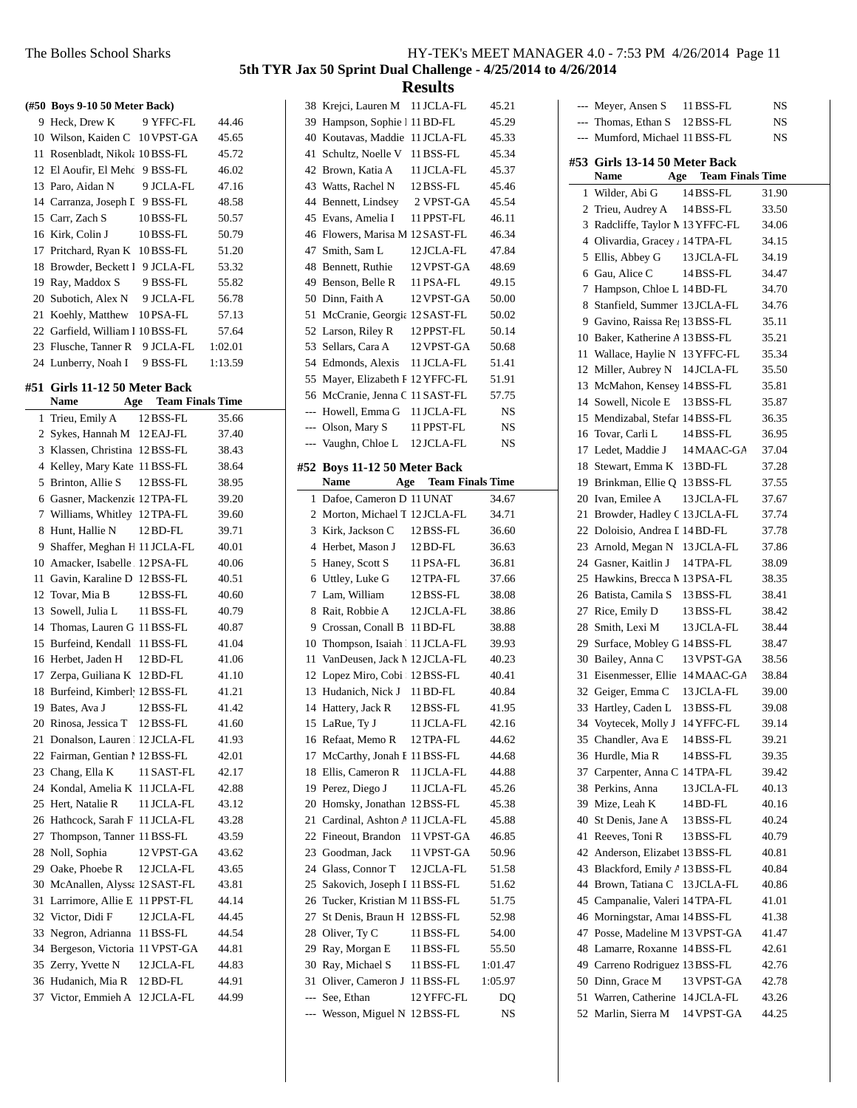**(#50 Boys 9-10 50 Meter Back)**

 $-$ -- Meyer, Ansen S 11 RSS-FL NS

#### **5th TYR Jax 50 Sprint Dual Challenge - 4/25/2014 to 4/26/2014**

**Results**

### 11 Rosenbladt, Nikola 10BSS-FL 45.72 12 El Aoufir, El Mehd 9 BSS-FL 46.02 13 Paro, Aidan N 9 JCLA-FL 47.16 14 Carranza, Joseph L 9 BSS-FL 48.58 15 Carr, Zach S 10BSS-FL 50.57 16 Kirk, Colin J 10BSS-FL 50.79 17 Pritchard, Ryan K 10BSS-FL 51.20 18 Browder, Beckett I 9 JCLA-FL 53.32 19 Ray, Maddox S 9 BSS-FL 55.82 20 Subotich, Alex N 9 JCLA-FL 56.78

9 Heck, Drew K 9 YFFC-FL 44.46 10 Wilson, Kaiden C 10 VPST-GA 45.65

21 Koehly, Matthew 10PSA-FL 57.13 22 Garfield, William 1 10 BSS-FL 57.64 23 Flusche, Tanner R 9 JCLA-FL 1:02.01 24 Lunberry, Noah I 9 BSS-FL 1:13.59

#### **#51 Girls 11-12 50 Meter Back**

|                | <b>Name</b><br>Age                      | <b>Team Finals Time</b> |       |
|----------------|-----------------------------------------|-------------------------|-------|
| 1              | Trieu, Emily A                          | 12 BSS-FL               | 35.66 |
| 2              | Sykes, Hannah M 12 EAJ-FL               |                         | 37.40 |
| 3              | Klassen, Christina 12 BSS-FL            |                         | 38.43 |
| $\overline{4}$ | Kelley, Mary Kate 11 BSS-FL             |                         | 38.64 |
| 5              | Brinton, Allie S                        | 12 BSS-FL               | 38.95 |
| 6              | Gasner, Mackenzie 12 TPA-FL             |                         | 39.20 |
| 7              | Williams, Whitley 12 TPA-FL             |                         | 39.60 |
| 8              | Hunt, Hallie N                          | 12 BD-FL                | 39.71 |
| 9              | Shaffer, Meghan H 11 JCLA-FL            |                         | 40.01 |
| 10             | Amacker, Isabelle 12 PSA-FL             |                         | 40.06 |
| 11             | Gavin, Karaline D 12BSS-FL              |                         | 40.51 |
|                | 12 Tovar, Mia B                         | 12BSS-FL                | 40.60 |
|                | 13 Sowell, Julia L                      | 11 BSS-FL               | 40.79 |
|                | 14 Thomas, Lauren G 11 BSS-FL           |                         | 40.87 |
| 15             | Burfeind, Kendall 11 BSS-FL             |                         | 41.04 |
|                | 16 Herbet, Jaden H                      | 12BD-FL                 | 41.06 |
| 17             | Zerpa, Guiliana K                       | 12BD-FL                 | 41.10 |
| 18             | Burfeind, Kimberl <sup>,</sup> 12BSS-FL |                         | 41.21 |
| 19             | Bates, Ava J                            | 12BSS-FL                | 41.42 |
| 20             | Rinosa, Jessica T                       | 12BSS-FL                | 41.60 |
| 21             | Donalson, Lauren 12 JCLA-FL             |                         | 41.93 |
|                | 22 Fairman, Gentian 1 12 BSS-FL         |                         | 42.01 |
|                | 23 Chang, Ella K                        | 11 SAST-FL              | 42.17 |
| 24             | Kondal, Amelia K 11 JCLA-FL             |                         | 42.88 |
|                | 25 Hert, Natalie R                      | 11 JCLA-FL              | 43.12 |
| 26             | Hathcock, Sarah F 11 JCLA-FL            |                         | 43.28 |
| 27             | Thompson, Tanner 11 BSS-FL              |                         | 43.59 |
| 28             | Noll, Sophia                            | 12 VPST-GA              | 43.62 |
| 29             | Oake, Phoebe R                          | 12JCLA-FL               | 43.65 |
| 30             | McAnallen, Alyssa 12 SAST-FL            |                         | 43.81 |
| 31             | Larrimore, Allie E                      | 11 PPST-FL              | 44.14 |
|                | 32 Victor, Didi F                       | 12JCLA-FL               | 44.45 |
| 33             | Negron, Adrianna                        | 11 BSS-FL               | 44.54 |
| 34             | Bergeson, Victoria 11 VPST-GA           |                         | 44.81 |
| 35             | Zerry, Yvette N                         | 12 JCLA-FL              | 44.83 |
| 36             | Hudanich. Mia R                         | 12 BD-FL                | 44.91 |
| 37             | Victor, Emmieh A                        | 12JCLA-FL               | 44.99 |

#### 38 Krejci, Lauren M 11 JCLA-FL 45.21 39 Hampson, Sophie 1 11 BD-FL 45.29 40 Koutavas, Maddie 11 JCLA-FL 45.33 41 Schultz, Noelle V 11 BSS-FL 45.34 42 Brown, Katia A 11 JCLA-FL 45.37 43 45.46 Watts, Rachel N 12BSS-FL 44 Bennett, Lindsey 2 VPST-GA 45.54 45 46.11 Evans, Amelia I 11 PPST-FL 46 46.34 Flowers, Marisa M 12SAST-FL 47 47.84 Smith, Sam L 12 JCLA-FL 48 48.69 Bennett, Ruthie 12VPST-GA 49 49.15 Benson, Belle R 11 PSA-FL 50 50.00 Dinn, Faith A 12VPST-GA 51 50.02 McCranie, Georgia 12SAST-FL 52 Larson, Riley R 12 PPST-FL 50.14 53 Sellars, Cara A 12 VPST-GA 50.68 54 51.41 Edmonds, Alexis 11 JCLA-FL 55 Mayer, Elizabeth F 12 YFFC-FL 51.91 56 McCranie, Jenna C 11 SAST-FL 57.75 --- Howell, Emma G 11 JCLA-FL NS --- Olson, Mary S 11 PPST-FL NS --- Vaughn, Chloe L 12 JCLA-FL NS **#52 Boys 11-12 50 Meter Back Name Age Team Finals Time** 1 34.67 Dafoe, Cameron D 11 UNAT 2. Morton, Michael T 12 JCLA-FL 34.71 3 36.60 Kirk, Jackson C 12BSS-FL 4 36.63 Herbet, Mason J 12BD-FL 5 Haney, Scott S 11 PSA-FL 36.81 6 37.66 Uttley, Luke G 12TPA-FL 7 38.08 Lam, William 12BSS-FL 8 Rait, Robbie A 12 JCLA-FL 38.86 9 38.88 Crossan, Conall B 11BD-FL 10 Thompson, Isaiah 111 JCLA-FL 39.93 11 VanDeusen, Jack M 12 JCLA-FL 40.23 12 Lopez Miro, Cobi : 12 BSS-FL 40.41 13 Hudanich, Nick J 11 BD-FL 40.84 14 Hattery, Jack R 12 BSS-FL 41.95 15 LaRue, Ty J 11 JCLA-FL 42.16 16 44.62 Refaat, Memo R 12TPA-FL 17 McCarthy, Jonah E 11 BSS-FL 44.68 18 44.88 Ellis, Cameron R 11 JCLA-FL 19 Perez, Diego J 11 JCLA-FL 45.26 20 Homsky, Jonathan 12 BSS-FL 45.38 21 Cardinal, Ashton A 11 JCLA-FL 45.88 22 Fineout, Brandon 11 VPST-GA 46.85 23 Goodman, Jack 11 VPST-GA 50.96 24 Glass, Connor T 12 JCLA-FL 51.58 25 Sakovich, Joseph I 11 BSS-FL 51.62 26 Tucker, Kristian M 11 BSS-FL 51.75 27 St Denis, Braun H 12 BSS-FL 52.98 28 Oliver, Ty C 11 BSS-FL 54.00 29 Ray, Morgan E 11 BSS-FL 55.50 30 Ray, Michael S 11 BSS-FL 1:01.47 31 Oliver, Cameron J 11 BSS-FL 1:05.97 --- See, Ethan 12 YFFC-FL DQ --- Wesson, Miguel N 12BSS-FL NS

|          |                                                  |                                | $\ddot{\phantom{0}}$ |
|----------|--------------------------------------------------|--------------------------------|----------------------|
| $---$    | Thomas, Ethan S 12 BSS-FL                        |                                | NS                   |
| $---$    | Mumford, Michael 11 BSS-FL                       |                                | NS                   |
|          | #53 Girls 13-14 50 Meter Back                    |                                |                      |
|          | Name                                             | <b>Team Finals Time</b><br>Age |                      |
| 1        | Wilder, Abi G                                    | 14 BSS-FL                      | 31.90                |
| 2        | Trieu, Audrey A 14 BSS-FL                        |                                | 33.50                |
| 3        | Radcliffe, Taylor M 13 YFFC-FL                   |                                | 34.06                |
|          | 4 Olivardia, Gracey , 14 TPA-FL                  |                                | 34.15                |
| 5        | Ellis, Abbey G                                   | 13 JCLA-FL                     | 34.19                |
| 6        | Gau, Alice C                                     | 14 BSS-FL                      | 34.47                |
| 7        | Hampson, Chloe L 14 BD-FL                        |                                | 34.70                |
| 8        | Stanfield, Summer 13 JCLA-FL                     |                                | 34.76                |
|          | 9 Gavino, Raissa Re, 13 BSS-FL                   |                                | 35.11                |
|          | 10 Baker, Katherine A 13 BSS-FL                  |                                | 35.21                |
| 11       | Wallace, Haylie N 13 YFFC-FL                     |                                | 35.34                |
|          | 12 Miller, Aubrey N 14 JCLA-FL                   |                                | 35.50                |
|          | 13 McMahon, Kensey 14 BSS-FL                     |                                | 35.81                |
|          | 14 Sowell, Nicole E                              | 13 BSS-FL                      | 35.87                |
|          | 15 Mendizabal, Stefar 14 BSS-FL                  |                                | 36.35                |
|          | 16 Tovar, Carli L                                | 14 BSS-FL                      | 36.95                |
| 17       | Ledet, Maddie J                                  | 14 MAAC-GA                     | 37.04                |
| 18       | Stewart, Emma K                                  | 13 BD-FL                       | 37.28                |
|          | 19 Brinkman, Ellie Q 13 BSS-FL                   |                                | 37.55                |
| 20       | Ivan. Emilee A                                   | 13 JCLA-FL                     | 37.67                |
| 21       | Browder, Hadley C 13 JCLA-FL                     |                                | 37.74                |
|          | 22 Doloisio, Andrea I 14 BD-FL                   |                                | 37.78                |
|          | 23 Arnold, Megan N                               | 13 JCLA-FL                     | 37.86                |
|          | 24 Gasner, Kaitlin J                             | 14 TPA-FL                      | 38.09                |
|          | 25 Hawkins, Brecca M 13 PSA-FL                   |                                | 38.35                |
|          | 26 Batista, Camila S                             | 13 BSS-FL                      | 38.41                |
|          | 27 Rice, Emily D                                 | 13 BSS-FL                      | 38.42                |
|          | 28 Smith, Lexi M                                 | 13 JCLA-FL                     | 38.44                |
| 29       | Surface, Mobley G 14 BSS-FL                      |                                | 38.47                |
| 30       | Bailey, Anna C                                   | 13 VPST-GA                     | 38.56                |
| 31       | Eisenmesser, Ellie 14 MAAC-GA                    |                                | 38.84                |
|          | 32 Geiger, Emma C 13 JCLA-FL                     |                                | 39.00                |
| 33       | Hartley, Caden L 13 BSS-FL                       |                                | 39.08                |
|          | 34 Voytecek, Molly J 14 YFFC-FL                  |                                | 39.14                |
|          | 35 Chandler, Ava E                               | 14 BSS-FL                      | 39.21                |
|          | 36 Hurdle, Mia R                                 | 14 BSS-FL                      | 39.35                |
|          | 37 Carpenter, Anna C 14TPA-FL                    |                                | 39.42                |
|          | 38 Perkins, Anna                                 | 13 JCLA-FL                     | 40.13                |
|          | 39 Mize, Leah K                                  | 14 BD-FL                       | 40.16                |
|          | 40 St Denis, Jane A                              | 13 BSS-FL                      | 40.24                |
| 41       | Reeves, Toni R                                   | 13 BSS-FL                      | 40.79                |
| 42       | Anderson, Elizabet 13 BSS-FL                     |                                | 40.81                |
| 43       | Blackford, Emily A 13 BSS-FL                     |                                | 40.84                |
| 44       | Brown, Tatiana C 13 JCLA-FL                      |                                | 40.86                |
|          | 45 Campanalie, Valeri 14 TPA-FL                  |                                | 41.01                |
| 46       | Morningstar, Amai 14 BSS-FL                      |                                | 41.38                |
| 47       | Posse, Madeline M 13 VPST-GA                     |                                | 41.47                |
| 48       | Lamarre, Roxanne 14BSS-FL                        |                                | 42.61                |
|          | 49 Carreno Rodriguez 13 BSS-FL                   |                                | 42.76                |
| 50<br>51 | Dinn, Grace M                                    | 13 VPST-GA                     | 42.78                |
| 52       | Warren, Catherine 14 JCLA-FL<br>Marlin, Sierra M | 14 VPST-GA                     | 43.26<br>44.25       |
|          |                                                  |                                |                      |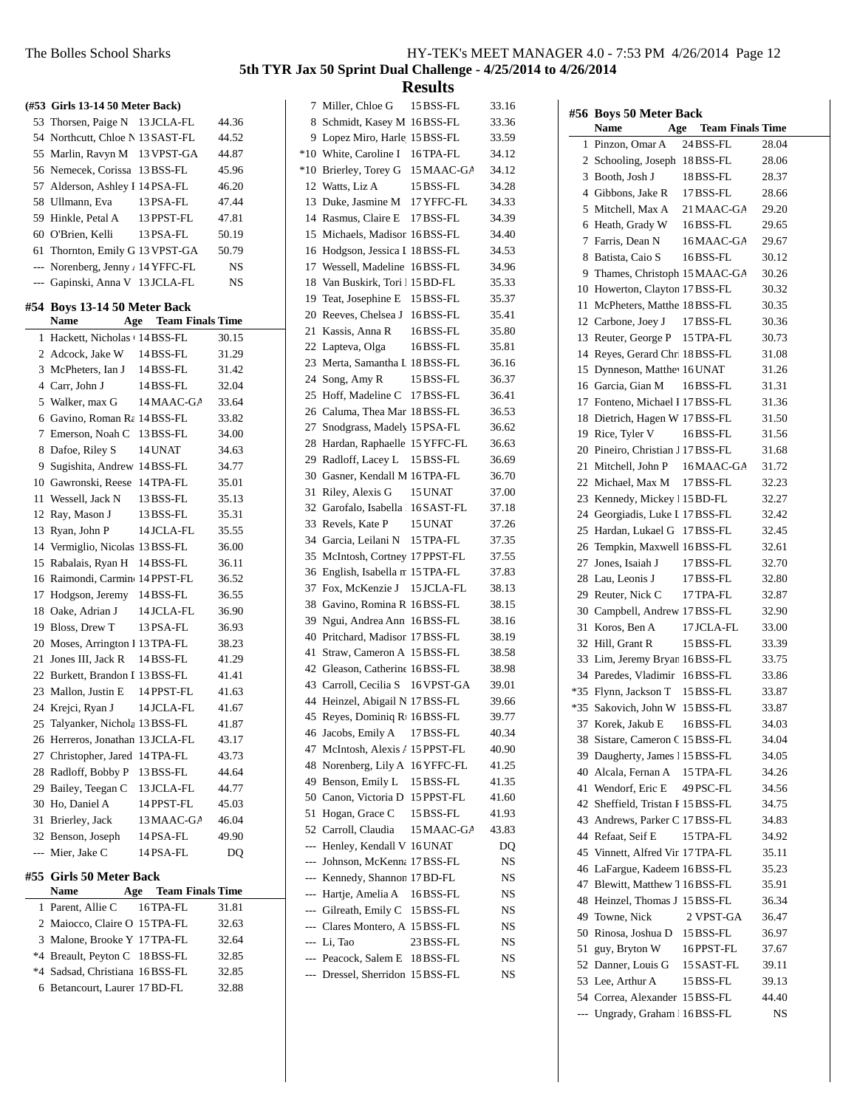|       | (#53 Girls 13-14 50 Meter Back)                                     |                             |                |
|-------|---------------------------------------------------------------------|-----------------------------|----------------|
|       | 53 Thorsen, Paige N 13 JCLA-FL                                      |                             | 44.36          |
|       | 54 Northcutt, Chloe N 13 SAST-FL                                    |                             | 44.52          |
|       | 55 Marlin, Ravyn M 13 VPST-GA                                       |                             | 44.87          |
|       | 56 Nemecek, Corissa 13 BSS-FL                                       |                             | 45.96          |
|       | 57 Alderson, Ashley I 14 PSA-FL                                     |                             | 46.20          |
|       | 58 Ullmann, Eva                                                     | 13 PSA-FL                   | 47.44          |
|       | 59 Hinkle, Petal A                                                  | 13 PPST-FL                  | 47.81          |
|       | 60 O'Brien, Kelli                                                   | 13 PSA-FL                   | 50.19          |
|       | 61 Thornton, Emily G 13 VPST-GA                                     |                             | 50.79          |
|       | --- Norenberg, Jenny / 14 YFFC-FL                                   |                             | NS             |
|       | --- Gapinski, Anna V 13 JCLA-FL                                     |                             | NS             |
|       | #54 Boys 13-14 50 Meter Back                                        |                             |                |
|       | <b>Name</b>                                                         | <b>Age</b> Team Finals Time |                |
|       | 1 Hackett, Nicholas + 14 BSS-FL                                     |                             | 30.15          |
|       | 2 Adcock, Jake W                                                    | 14 BSS-FL                   | 31.29          |
|       | 3 McPheters, Ian J                                                  | 14 BSS-FL                   | 31.42          |
|       | 4 Carr. John J                                                      | 14 BSS-FL                   | 32.04          |
|       | 5 Walker, max G                                                     | 14 MAAC-GA                  | 33.64          |
|       | 6 Gavino, Roman Ra 14 BSS-FL                                        |                             | 33.82          |
|       | 7 Emerson, Noah C 13 BSS-FL                                         |                             | 34.00          |
|       | 8 Dafoe, Riley S                                                    | 14 UNAT                     | 34.63          |
|       | 9 Sugishita, Andrew 14 BSS-FL                                       |                             | 34.77          |
|       | 10 Gawronski, Reese                                                 | 14 TPA-FL                   | 35.01          |
|       | 11 Wessell, Jack N                                                  | 13 BSS-FL                   | 35.13          |
|       | 12 Ray, Mason J                                                     | 13 BSS-FL                   | 35.31          |
|       | 13 Ryan, John P                                                     | 14 JCLA-FL                  | 35.55          |
|       | 14 Vermiglio, Nicolas 13 BSS-FL                                     |                             | 36.00          |
|       | 15 Rabalais, Ryan H                                                 |                             | 36.11          |
|       |                                                                     | 14 BSS-FL                   |                |
|       | 16 Raimondi, Carmin 14 PPST-FL                                      |                             | 36.52          |
|       | 17 Hodgson, Jeremy                                                  | 14 BSS-FL<br>14 JCLA-FL     | 36.55          |
|       | 18 Oake, Adrian J                                                   |                             | 36.90          |
|       | 19 Bloss, Drew T                                                    | 13 PSA-FL                   | 36.93          |
|       | 20 Moses, Arrington 1 13 TPA-FL                                     |                             | 38.23          |
|       | 21 Jones III, Jack R<br>22 Burkett, Brandon I 13 BSS-FL             | 14 BSS-FL                   | 41.29          |
|       | 23 Mallon, Justin E                                                 | 14 PPST-FL                  | 41.41          |
|       |                                                                     |                             | 41.63          |
|       | 24 Krejci, Ryan J 14 JCLA-FL                                        |                             | 41.67<br>41.87 |
|       | 25 Talyanker, Nichola 13 BSS-FL<br>26 Herreros, Jonathan 13 JCLA-FL |                             |                |
|       | 27 Christopher, Jared 14TPA-FL                                      |                             | 43.17          |
|       |                                                                     |                             | 43.73          |
|       | 28 Radloff, Bobby P                                                 | 13 BSS-FL                   | 44.64          |
|       | 29 Bailey, Teegan C<br>30 Ho, Daniel A                              | 13 JCLA-FL<br>14 PPST-FL    | 44.77<br>45.03 |
| 31    | Brierley, Jack                                                      | 13 MAAC-GA                  | 46.04          |
|       |                                                                     |                             |                |
| $---$ | 32 Benson, Joseph<br>Mier, Jake C                                   | 14PSA-FL<br>14 PSA-FL       | 49.90<br>DQ    |
|       |                                                                     |                             |                |
|       | #55  Girls 50 Meter Back                                            |                             |                |
|       | Name                                                                | <b>Age</b> Team Finals Time |                |
|       | 1 Parent, Allie C                                                   | 16 TPA-FL                   | 31.81          |
|       | 2 Maiocco, Claire O 15 TPA-FL<br>3 Malone, Brooke Y 17 TPA-FL       |                             | 32.63          |
|       |                                                                     |                             | 32.64          |
|       | *4 Breault, Peyton C 18BSS-FL                                       |                             | 32.85          |
|       | *4 Sadsad, Christiana 16BSS-FL                                      |                             | 32.85          |
| 6     | Betancourt, Laurer 17 BD-FL                                         |                             | 32.88          |

| 7                        | Miller, Chloe G                  | 15 BSS-FL  | 33.16 |
|--------------------------|----------------------------------|------------|-------|
| 8                        | Schmidt, Kasey M 16BSS-FL        |            | 33.36 |
| 9                        | Lopez Miro, Harle 15 BSS-FL      |            | 33.59 |
| $*10$                    | White, Caroline I                | 16 TPA-FL  | 34.12 |
| $*10$                    | Brierley, Torey G                | 15 MAAC-GA | 34.12 |
| 12                       | Watts, Liz A                     | 15 BSS-FL  | 34.28 |
| 13                       | Duke, Jasmine M                  | 17 YFFC-FL | 34.33 |
| 14                       | Rasmus, Claire E                 | 17 BSS-FL  | 34.39 |
| 15                       | Michaels, Madison 16BSS-FL       |            | 34.40 |
| 16                       | Hodgson, Jessica I 18 BSS-FL     |            | 34.53 |
| 17                       | Wessell, Madeline                | 16 BSS-FL  | 34.96 |
| 18                       | Van Buskirk, Tori 115 BD-FL      |            | 35.33 |
| 19                       | Teat, Josephine E                | 15 BSS-FL  | 35.37 |
| 20                       | Reeves, Chelsea J 16BSS-FL       |            | 35.41 |
| 21                       | Kassis, Anna R                   | 16BSS-FL   | 35.80 |
| 22                       | Lapteva, Olga                    | 16BSS-FL   | 35.81 |
| 23                       | Merta, Samantha L 18 BSS-FL      |            | 36.16 |
| 24                       | Song, Amy R                      | 15 BSS-FL  | 36.37 |
| 25                       | Hoff, Madeline C 17 BSS-FL       |            | 36.41 |
| 26                       | Caluma, Thea Mar 18 BSS-FL       |            | 36.53 |
| 27                       | Snodgrass, Madely 15 PSA-FL      |            | 36.62 |
| 28                       | Hardan, Raphaelle 15 YFFC-FL     |            | 36.63 |
| 29                       | Radloff, Lacey L                 | 15 BSS-FL  | 36.69 |
| 30                       | Gasner, Kendall M 16 TPA-FL      |            | 36.70 |
| 31                       | Riley, Alexis G                  | 15 UNAT    | 37.00 |
| 32                       | Garofalo, Isabella   16 SAST-FL  |            | 37.18 |
| 33                       | Revels, Kate P                   | 15 UNAT    | 37.26 |
| 34                       | Garcia, Leilani N 15 TPA-FL      |            | 37.35 |
| 35                       | McIntosh, Cortney 17 PPST-FL     |            | 37.55 |
| 36                       | English, Isabella m 15 TPA-FL    |            | 37.83 |
| 37                       | Fox, McKenzie J 15 JCLA-FL       |            | 38.13 |
| 38                       | Gavino, Romina R 16BSS-FL        |            | 38.15 |
| 39                       | Ngui, Andrea Ann 16BSS-FL        |            | 38.16 |
| 40                       | Pritchard, Madison 17 BSS-FL     |            | 38.19 |
| 41                       | Straw, Cameron A 15 BSS-FL       |            | 38.58 |
| 42                       | Gleason, Catherine 16 BSS-FL     |            | 38.98 |
| 43                       | Carroll, Cecilia S               | 16 VPST-GA | 39.01 |
| 44                       | Heinzel, Abigail N 17 BSS-FL     |            | 39.66 |
| 45                       | Reyes, Dominiq R1 16 BSS-FL      |            | 39.77 |
| 46                       | Jacobs, Emily A                  | 17 BSS-FL  | 40.34 |
| 47                       | McIntosh, Alexis A 15 PPST-FL    |            | 40.90 |
| 48                       | Norenberg, Lily A                | 16 YFFC-FL | 41.25 |
| 49                       | Benson, Emily L                  | 15 BSS-FL  | 41.35 |
| 50                       | Canon, Victoria D                | 15 PPST-FL | 41.60 |
| 51                       | Hogan, Grace C                   | 15 BSS-FL  | 41.93 |
| 52                       | Carroll, Claudia                 | 15 MAAC-GA | 43.83 |
| $\overline{a}$           | Henley, Kendall V 16 UNAT        |            | DQ    |
| $\overline{\phantom{a}}$ | Johnson, McKenna 17 BSS-FL       |            | NS    |
| $---$                    | Kennedy, Shannon 17 BD-FL        |            | NS    |
| $---$                    | Hartje, Amelia A                 | 16BSS-FL   | NS    |
|                          | --- Gilreath, Emily C            | 15 BSS-FL  | NS    |
|                          | --- Clares Montero, A: 15 BSS-FL |            | NS    |
|                          | --- Li, Tao                      | 23 BSS-FL  | NS    |
|                          | --- Peacock, Salem E 18 BSS-FL   |            | NS    |
| ---                      | Dressel, Sherridon 15 BSS-FL     |            | NS    |
|                          |                                  |            |       |

|     | #56 Boys 50 Meter Back<br>Name<br>Age  | <b>Team Finals Time</b> |       |
|-----|----------------------------------------|-------------------------|-------|
| 1   | Pinzon, Omar A                         | 24 BSS-FL               | 28.04 |
|     | 2 Schooling, Joseph 18BSS-FL           |                         | 28.06 |
|     | 3 Booth, Josh J                        | 18BSS-FL                | 28.37 |
|     | 4 Gibbons, Jake R                      | 17 BSS-FL               | 28.66 |
| 5   | Mitchell, Max A                        | 21 MAAC-GA              | 29.20 |
|     | 6 Heath, Grady W                       | 16BSS-FL                | 29.65 |
|     | 7 Farris, Dean N                       | 16MAAC-GA               | 29.67 |
| 8   | Batista, Caio S                        | 16BSS-FL                | 30.12 |
|     | 9 Thames, Christoph 15 MAAC-GA         |                         | 30.26 |
|     | 10 Howerton, Clayton 17 BSS-FL         |                         | 30.32 |
|     | 11 McPheters, Matthe 18BSS-FL          |                         | 30.35 |
|     | 12 Carbone, Joey J                     | 17 BSS-FL               | 30.36 |
|     | 13 Reuter, George P 15 TPA-FL          |                         | 30.73 |
| 14  | Reyes, Gerard Chr. 18BSS-FL            |                         | 31.08 |
|     | 15 Dynneson, Matthe <sup>16</sup> UNAT |                         | 31.26 |
|     | 16 Garcia, Gian M                      | 16BSS-FL                | 31.31 |
|     | 17 Fonteno, Michael I 17 BSS-FL        |                         | 31.36 |
| 18  | Dietrich, Hagen W 17 BSS-FL            |                         | 31.50 |
|     | 19 Rice, Tyler V                       | 16BSS-FL                | 31.56 |
|     | 20 Pineiro, Christian J 17 BSS-FL      |                         | 31.68 |
| 21  | Mitchell, John P                       | 16MAAC-GA               | 31.72 |
|     | 22 Michael, Max M                      | 17 BSS-FL               | 32.23 |
|     | 23 Kennedy, Mickey 15 BD-FL            |                         | 32.27 |
|     | 24 Georgiadis, Luke I 17 BSS-FL        |                         | 32.42 |
| 25  | Hardan, Lukael G                       | 17 BSS-FL               | 32.45 |
| 26  | Tempkin, Maxwell 16BSS-FL              |                         | 32.61 |
| 27  | Jones, Isaiah J                        | 17 BSS-FL               | 32.70 |
| 28  | Lau, Leonis J                          | 17 BSS-FL               | 32.80 |
| 29  | Reuter, Nick C                         | 17 TPA-FL               | 32.87 |
|     | 30 Campbell, Andrew 17 BSS-FL          |                         | 32.90 |
| 31  | Koros, Ben A                           | 17 JCLA-FL              | 33.00 |
| 32  | Hill, Grant R                          | 15 BSS-FL               | 33.39 |
| 33  | Lim, Jeremy Bryan 16BSS-FL             |                         | 33.75 |
|     | 34 Paredes, Vladimir                   | 16BSS-FL                | 33.86 |
|     | *35 Flynn, Jackson T                   | 15 BSS-FL               | 33.87 |
|     | *35 Sakovich, John W 15 BSS-FL         |                         | 33.87 |
| 37  | Korek, Jakub E                         | 16BSS-FL                | 34.03 |
| 38  | Sistare, Cameron C 15 BSS-FL           |                         | 34.04 |
|     | 39 Daugherty, James 1 15 BSS-FL        |                         | 34.05 |
| 40  | Alcala, Fernan A                       | 15 TPA-FL               | 34.26 |
| 41  | Wendorf, Eric E                        | 49 PSC-FL               | 34.56 |
|     | 42 Sheffield, Tristan I 15 BSS-FL      |                         | 34.75 |
|     | 43 Andrews, Parker C 17 BSS-FL         |                         | 34.83 |
|     | 44 Refaat, Seif E                      | 15 TPA-FL               | 34.92 |
|     | 45 Vinnett, Alfred Vir 17 TPA-FL       |                         | 35.11 |
|     | 46 LaFargue, Kadeem 16BSS-FL           |                         | 35.23 |
|     | 47 Blewitt, Matthew 7 16BSS-FL         |                         | 35.91 |
|     | 48 Heinzel, Thomas J 15 BSS-FL         |                         | 36.34 |
|     | 49 Towne, Nick                         | 2 VPST-GA               | 36.47 |
|     | 50 Rinosa, Joshua D 15 BSS-FL          |                         | 36.97 |
| 51  | guy, Bryton W                          | 16PPST-FL               | 37.67 |
|     | 52 Danner, Louis G                     | 15 SAST-FL              | 39.11 |
|     | 53 Lee, Arthur A                       | 15 BSS-FL               | 39.13 |
|     | 54 Correa, Alexander 15 BSS-FL         |                         | 44.40 |
| --- | Ungrady, Graham 16BSS-FL               |                         | NS    |
|     |                                        |                         |       |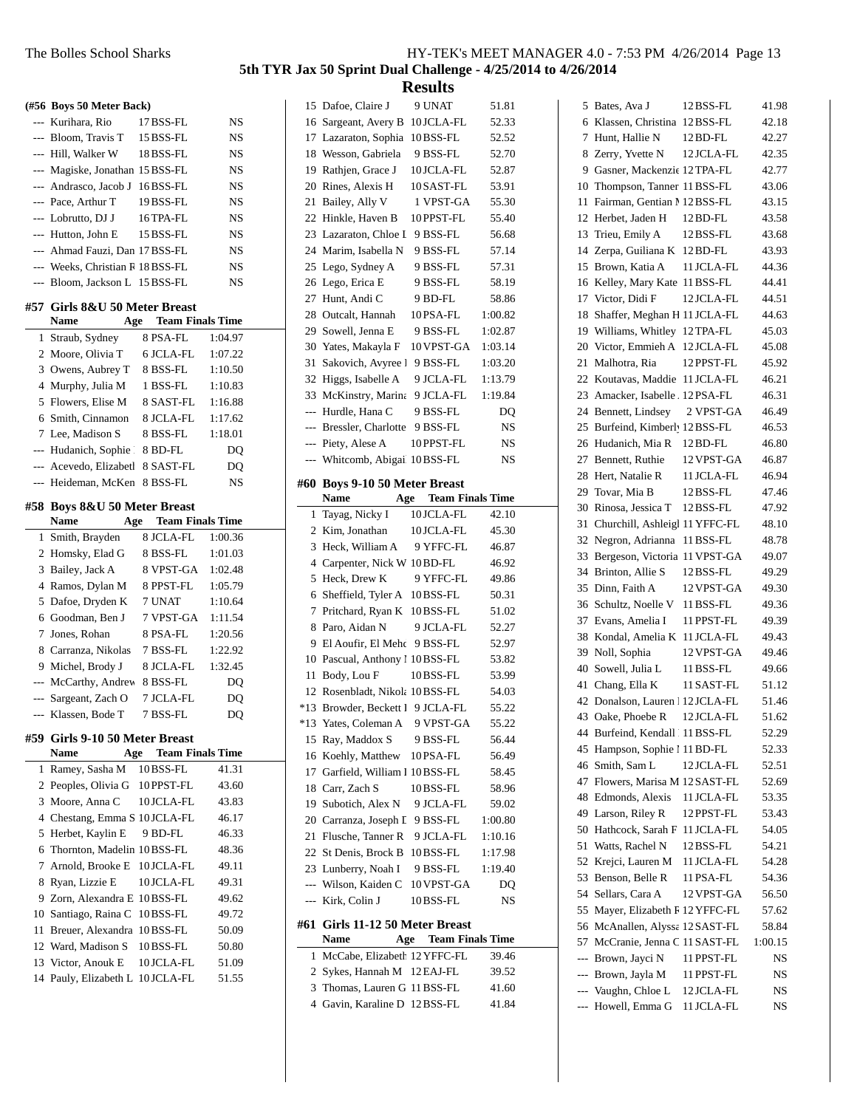**(#56 Boys 50 Meter Back)** --- Kurihara, Rio 17 BSS-FL NS --- Bloom, Travis T 15 BSS-FL NS --- Hill, Walker W 18BSS-FL NS --- Magiske, Jonathan 15 BSS-FL NS --- Andrasco, Jacob J 16BSS-FL NS --- Pace, Arthur T 19BSS-FL NS --- Lobrutto, DJ J 16TPA-FL NS --- Hutton, John E 15 BSS-FL NS --- Ahmad Fauzi, Dan 17 BSS-FL NS --- Weeks, Christian R 18 BSS-FL NS --- Bloom, Jackson L 15 BSS-FL NS **#57 Girls 8&U 50 Meter Breast Name Age Team Finals Time** 1 Straub, Sydney 8 PSA-FL 1:04.97 2 Moore, Olivia T 6 JCLA-FL 1:07.22 3 Owens, Aubrey T 8 BSS-FL 1:10.50 4 Murphy, Julia M 1 BSS-FL 1:10.83 5 Flowers, Elise M 8 SAST-FL 1:16.88 6 Smith, Cinnamon 8 JCLA-FL 1:17.62 7 Lee, Madison S 8 BSS-FL 1:18.01 --- Hudanich, Sophie | 8 BD-FL DQ --- Acevedo, Elizabeth 8 SAST-FL DQ --- Heideman, McKen 8 BSS-FL NS **#58 Boys 8&U 50 Meter Breast Name Age Team Finals Time** 1 Smith, Brayden 8 JCLA-FL 1:00.36 2 Homsky, Elad G 8 BSS-FL 1:01.03 3 Bailey, Jack A 8 VPST-GA 1:02.48 4 Ramos, Dylan M 8 PPST-FL 1:05.79 5 Dafoe, Dryden K 7 UNAT 1:10.64 6 Goodman, Ben J 7 VPST-GA 1:11.54 7 Jones, Rohan 8 PSA-FL 1:20.56 8 Carranza, Nikolas 7 BSS-FL 1:22.92 9 Michel, Brody J 8 JCLA-FL 1:32.45 --- McCarthy, Andrew 8 BSS-FL DQ --- Sargeant, Zach O 7 JCLA-FL DQ --- Klassen, Bode T 7 BSS-FL DQ **#59 Girls 9-10 50 Meter Breast Name Age Team Finals Time** 1 41.31 Ramey, Sasha M 10BSS-FL 2 Peoples, Olivia G 10 PPST-FL 43.60 3 43.83 Moore, Anna C 10 JCLA-FL 4 Chestang, Emma S 10 JCLA-FL 46.17 5 46.33 Herbet, Kaylin E 9 BD-FL 6 48.36 Thornton, Madelin 10BSS-FL 7 49.11 Arnold, Brooke E 10 JCLA-FL 8 Ryan, Lizzie E 10 JCLA-FL 49.31

9 49.62 Zorn, Alexandra E 10BSS-FL 10 49.72 Santiago, Raina C 10BSS-FL 11 Breuer, Alexandra 10BSS-FL 50.09 12 Ward, Madison S 10 BSS-FL 50.80 13 Victor, Anouk E 10 JCLA-FL 51.09 14 Pauly, Elizabeth L 10 JCLA-FL 51.55

**5th TYR Jax 50 Sprint Dual Challenge - 4/25/2014 to 4/26/2014**

|                |                                  | ບນ <b>ບ</b> ມພ              |           |
|----------------|----------------------------------|-----------------------------|-----------|
|                | 15 Dafoe, Claire J               | 9 UNAT                      | 51.81     |
| 16             | Sargeant, Avery B                | 10 JCLA-FL                  | 52.33     |
| 17             | Lazaraton, Sophia                | 10BSS-FL                    | 52.52     |
| 18             | Wesson, Gabriela                 | 9 BSS-FL                    | 52.70     |
| 19             | Rathjen, Grace J                 | 10 JCLA-FL                  | 52.87     |
| 20             | Rines, Alexis H                  | 10 SAST-FL                  | 53.91     |
| 21             | Bailey, Ally V                   | 1 VPST-GA                   | 55.30     |
| 22             | Hinkle, Haven B                  | 10 PPST-FL                  | 55.40     |
| 23             | Lazaraton, Chloe I               | 9 BSS-FL                    | 56.68     |
|                | 24 Marim, Isabella N             | 9 BSS-FL                    | 57.14     |
| 25             | Lego, Sydney A                   | 9 BSS-FL                    | 57.31     |
| 26             | Lego, Erica E                    | 9 BSS-FL                    | 58.19     |
|                | 27 Hunt, Andi C                  | 9 BD-FL                     | 58.86     |
|                | 28 Outcalt, Hannah               | 10PSA-FL                    | 1:00.82   |
| 29             | Sowell, Jenna E                  | 9 BSS-FL                    | 1:02.87   |
|                | 30 Yates, Makayla F              | 10 VPST-GA                  | 1:03.14   |
| 31             | Sakovich, Avyree I               | 9 BSS-FL                    | 1:03.20   |
| 32             | Higgs, Isabelle A                | 9 JCLA-FL                   | 1:13.79   |
|                | 33 McKinstry, Marina             | 9 JCLA-FL                   | 1:19.84   |
|                | --- Hurdle, Hana C               | 9 BSS-FL                    | DQ        |
| ---            | Bressler, Charlotte 9 BSS-FL     |                             | NS        |
| ---            | Piety, Alese A                   | 10 PPST-FL                  | <b>NS</b> |
| ---            | Whitcomb, Abigail 10 BSS-FL      |                             | <b>NS</b> |
|                |                                  |                             |           |
| #60            | <b>Boys 9-10 50 Meter Breast</b> |                             |           |
|                | <b>Name</b>                      | <b>Age</b> Team Finals Time |           |
| 1              | Tayag, Nicky I                   | 10 JCLA-FL                  | 42.10     |
| 2              | Kim, Jonathan                    | 10 JCLA-FL                  | 45.30     |
|                |                                  |                             |           |
| 3              | Heck, William A                  | 9 YFFC-FL                   | 46.87     |
| $\overline{4}$ | Carpenter, Nick W 10 BD-FL       |                             | 46.92     |
| 5              | Heck, Drew K                     | 9 YFFC-FL                   | 49.86     |
| 6              | Sheffield, Tyler A 10BSS-FL      |                             | 50.31     |
| 7              | Pritchard, Ryan K                | 10 BSS-FL                   | 51.02     |
| 8              | Paro, Aidan N                    | 9 JCLA-FL                   | 52.27     |
| 9              | El Aoufir, El Mehc 9 BSS-FL      |                             | 52.97     |
|                | 10 Pascual, Anthony 1 10 BSS-FL  |                             | 53.82     |
| 11             | Body, Lou F                      | 10 BSS-FL                   | 53.99     |
| 12             | Rosenbladt, Nikola 10BSS-FL      |                             | 54.03     |
| $*13$          | Browder, Beckett I 9 JCLA-FL     |                             | 55.22     |
| *13            | Yates, Coleman A                 | 9 VPST-GA                   | 55.22     |
| 15             | Ray, Maddox S                    | 9 BSS-FL                    | 56.44     |
| 16             | Koehly, Matthew                  | 10 PSA-FL                   | 56.49     |
|                | 17 Garfield, William I 10 BSS-FL |                             | 58.45     |
|                | 18 Carr, Zach S                  | 10BSS-FL                    | 58.96     |
|                | 19 Subotich, Alex N              | 9 JCLA-FL                   | 59.02     |
|                | 20 Carranza, Joseph L 9 BSS-FL   |                             | 1:00.80   |
| 21             | Flusche, Tanner R                | 9 JCLA-FL                   | 1:10.16   |
|                | 22 St Denis, Brock B             | 10 BSS-FL                   | 1:17.98   |
|                | 23 Lunberry, Noah I              | 9 BSS-FL                    | 1:19.40   |
| ---            | Wilson, Kaiden C                 | 10 VPST-GA                  | DQ        |
| $---$          | Kirk, Colin J                    | 10BSS-FL                    | NS        |
|                | #61 Girls 11-12 50 Meter Breast  |                             |           |
|                | Name                             | <b>Age</b> Team Finals Time |           |
| 1              | McCabe, Elizabeth 12 YFFC-FL     |                             | 39.46     |
| $\overline{2}$ | Sykes, Hannah M 12 EAJ-FL        |                             | 39.52     |
|                | 3 Thomas, Lauren G 11 BSS-FL     |                             | 41.60     |

| 5              |                                |            |         |
|----------------|--------------------------------|------------|---------|
|                | Bates, Ava J                   | 12 BSS-FL  | 41.98   |
| 6              | Klassen, Christina             | 12 BSS-FL  | 42.18   |
| 7              | Hunt, Hallie N                 | 12 BD-FL   | 42.27   |
| 8              | Zerry, Yvette N                | 12 JCLA-FL | 42.35   |
| 9              | Gasner, Mackenzie 12 TPA-FL    |            | 42.77   |
| 10             | Thompson, Tanner 11 BSS-FL     |            | 43.06   |
| 11             | Fairman, Gentian 1 12 BSS-FL   |            | 43.15   |
| 12             | Herbet, Jaden H                | 12 BD-FL   | 43.58   |
| 13             | Trieu, Emily A                 | 12 BSS-FL  | 43.68   |
| 14             | Zerpa, Guiliana K              | 12 BD-FL   | 43.93   |
| 15             | Brown, Katia A                 | 11 JCLA-FL | 44.36   |
| 16             | Kelley, Mary Kate              | 11 BSS-FL  | 44.41   |
| 17             | Victor, Didi F                 | 12 JCLA-FL | 44.51   |
| 18             | Shaffer, Meghan H 11 JCLA-FL   |            | 44.63   |
| 19             | Williams, Whitley              | 12 TPA-FL  |         |
|                |                                |            | 45.03   |
| 20             | Victor, Emmieh A               | 12 JCLA-FL | 45.08   |
| 21             | Malhotra, Ria                  | 12 PPST-FL | 45.92   |
| 22             | Koutavas, Maddie               | 11 JCLA-FL | 46.21   |
| 23             | Amacker, Isabelle              | 12PSA-FL   | 46.31   |
| 24             | Bennett, Lindsey               | 2 VPST-GA  | 46.49   |
| 25             | Burfeind, Kimberl, 12BSS-FL    |            | 46.53   |
| 26             | Hudanich, Mia R                | 12 BD-FL   | 46.80   |
| 27             | Bennett, Ruthie                | 12 VPST-GA | 46.87   |
| 28             | Hert, Natalie R                | 11 JCLA-FL | 46.94   |
| 29             | Tovar, Mia B                   | 12 BSS-FL  | 47.46   |
| 30             | Rinosa, Jessica T              | 12 BSS-FL  | 47.92   |
| 31             | Churchill, Ashleigl 11 YFFC-FL |            | 48.10   |
| 32             | Negron, Adrianna               | 11 BSS-FL  | 48.78   |
| 33             | Bergeson, Victoria             | 11 VPST-GA | 49.07   |
| 34             |                                |            |         |
|                | Brinton, Allie S               | 12 BSS-FL  | 49.29   |
| 35             | Dinn, Faith A                  | 12 VPST-GA | 49.30   |
| 36             | Schultz, Noelle V              | 11 BSS-FL  | 49.36   |
| 37             | Evans, Amelia I                | 11 PPST-FL | 49.39   |
| 38             | Kondal, Amelia K               | 11 JCLA-FL | 49.43   |
| 39             | Noll, Sophia                   | 12 VPST-GA | 49.46   |
| 40             | Sowell, Julia L                | 11 BSS-FL  | 49.66   |
| 41             | Chang, Ella K                  | 11 SAST-FL | 51.12   |
| 42             | Donalson, Lauren 12 JCLA-FL    |            | 51.46   |
| 43             | Oake, Phoebe R                 | 12 JCLA-FL | 51.62   |
| 44             | Burfeind, Kendall 11 BSS-FL    |            | 52.29   |
| 45             | Hampson, Sophie 1 11 BD-FL     |            | 52.33   |
| 46             | Smith, Sam L                   | 12 JCLA-FL | 52.51   |
| 47             | Flowers, Marisa M 12 SAST-FL   |            | 52.69   |
| 48             | Edmonds, Alexis                | 11 JCLA-FL | 53.35   |
| 49             | Larson, Riley R                | 12 PPST-FL | 53.43   |
| 50             | Hathcock, Sarah F              | 11 JCLA-FL | 54.05   |
| 51             | Watts, Rachel N                | 12BSS-FL   | 54.21   |
| 52             | Krejci, Lauren M               | 11 JCLA-FL | 54.28   |
| 53             | Benson, Belle R                | 11 PSA-FL  | 54.36   |
| 54             | Sellars, Cara A                | 12 VPST-GA | 56.50   |
|                |                                |            |         |
| 55             | Mayer, Elizabeth F 12 YFFC-FL  |            | 57.62   |
| 56             | McAnallen, Alyssa              | 12 SAST-FL | 58.84   |
| 57             | McCranie, Jenna C              | 11 SAST-FL | 1:00.15 |
| $\overline{a}$ | Brown, Jayci N                 | 11 PPST-FL | NS      |
| $\overline{a}$ | Brown, Jayla M                 | 11 PPST-FL | NS      |
| $\overline{a}$ | Vaughn, Chloe L                | 12 JCLA-FL | NS      |
| $\overline{a}$ | Howell, Emma G                 | 11 JCLA-FL | NS      |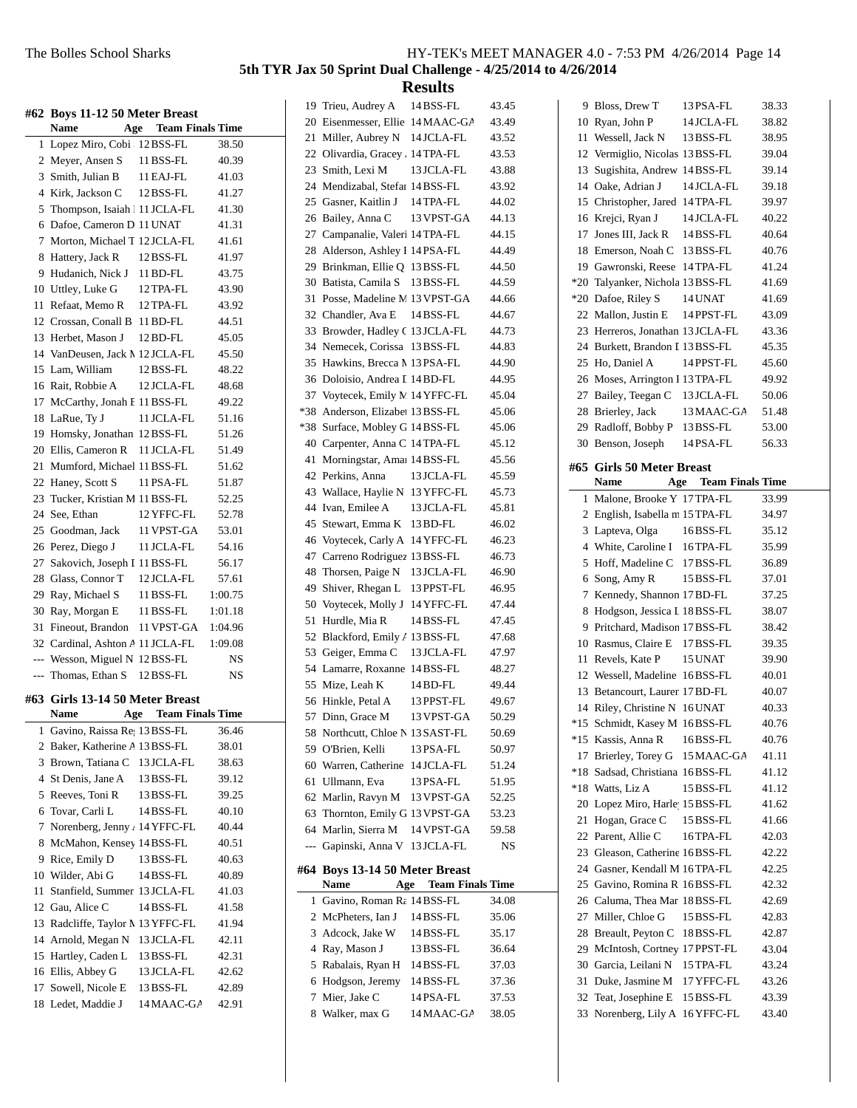|        | #62 Boys 11-12 50 Meter Breast<br>Name                      | <b>Age</b> Team Finals Time |                |  |
|--------|-------------------------------------------------------------|-----------------------------|----------------|--|
| 1      | Lopez Miro, Cobi   12 BSS-FL                                |                             | 38.50          |  |
|        | 2 Meyer, Ansen S                                            | 11 BSS-FL                   | 40.39          |  |
|        | 3 Smith, Julian B                                           | 11 EAJ-FL                   | 41.03          |  |
|        | 4 Kirk, Jackson C                                           | 12 BSS-FL                   | 41.27          |  |
|        | 5 Thompson, Isaiah   11 JCLA-FL                             |                             | 41.30          |  |
|        | 6 Dafoe, Cameron D 11 UNAT                                  |                             | 41.31          |  |
|        | 7 Morton, Michael T 12 JCLA-FL                              |                             | 41.61          |  |
|        | 8 Hattery, Jack R                                           | 12 BSS-FL                   | 41.97          |  |
|        | 9 Hudanich, Nick J 11 BD-FL                                 |                             | 43.75          |  |
|        | 10 Uttley, Luke G                                           | 12 TPA-FL                   | 43.90          |  |
|        | 11 Refaat, Memo R 12 TPA-FL                                 |                             | 43.92          |  |
|        | 12 Crossan, Conall B 11 BD-FL                               |                             | 44.51          |  |
|        | 13 Herbet, Mason J                                          | 12 BD-FL                    | 45.05          |  |
|        | 14 VanDeusen, Jack M 12 JCLA-FL                             |                             | 45.50          |  |
|        | 15 Lam. William                                             | 12 BSS-FL                   | 48.22          |  |
|        | 16 Rait, Robbie A                                           | 12 JCLA-FL                  | 48.68          |  |
|        | 17 McCarthy, Jonah F 11 BSS-FL                              |                             | 49.22          |  |
|        | 18 LaRue, Ty J                                              | 11 JCLA-FL                  | 51.16          |  |
|        | 19 Homsky, Jonathan 12BSS-FL                                |                             | 51.26          |  |
|        | 20 Ellis, Cameron R 11 JCLA-FL                              |                             | 51.49          |  |
|        | 21 Mumford, Michael 11 BSS-FL                               |                             | 51.62          |  |
|        | 22 Haney, Scott S                                           | 11 PSA-FL                   | 51.87          |  |
|        | 23 Tucker, Kristian M 11 BSS-FL                             |                             | 52.25          |  |
|        | 24 See, Ethan                                               | 12 YFFC-FL                  | 52.78          |  |
|        | 25 Goodman, Jack 11 VPST-GA                                 |                             | 53.01          |  |
|        | 26 Perez, Diego J                                           | 11 JCLA-FL                  | 54.16          |  |
|        | 27 Sakovich, Joseph I 11 BSS-FL                             |                             | 56.17          |  |
|        | 28 Glass, Connor T                                          | 12 JCLA-FL                  | 57.61          |  |
|        | 29 Ray, Michael S                                           | 11 BSS-FL                   | 1:00.75        |  |
|        | 30 Ray, Morgan E                                            | 11 BSS-FL                   | 1:01.18        |  |
|        | 31 Fineout, Brandon                                         | 11 VPST-GA                  | 1:04.96        |  |
|        | 32 Cardinal, Ashton A 11 JCLA-FL                            |                             | 1:09.08        |  |
|        | --- Wesson, Miguel N 12BSS-FL                               |                             | NS             |  |
|        | --- Thomas, Ethan S 12 BSS-FL                               |                             | NS             |  |
| #63    | Girls 13-14 50 Meter Breast<br><b>Name</b>                  | <b>Team Finals Time</b>     |                |  |
|        | Age                                                         |                             |                |  |
| 1<br>2 | Gavino, Raissa Re 13 BSS-FL<br>Baker, Katherine A 13 BSS-FL |                             | 36.46          |  |
|        | 3 Brown, Tatiana C                                          |                             | 38.01          |  |
|        | St Denis, Jane A                                            | 13 JCLA-FL<br>13 BSS-FL     | 38.63          |  |
| 4<br>5 | Reeves, Toni R                                              |                             | 39.12          |  |
|        | Tovar, Carli L                                              | 13 BSS-FL                   | 39.25          |  |
| 6<br>7 | Norenberg, Jenny / 14 YFFC-FL                               | 14 BSS-FL                   | 40.10          |  |
| 8      | McMahon, Kensey 14 BSS-FL                                   |                             | 40.44<br>40.51 |  |
|        | Rice, Emily D                                               |                             |                |  |
| 9      |                                                             | 13 BSS-FL                   | 40.63          |  |
| 11     | 10 Wilder, Abi G<br>Stanfield, Summer 13 JCLA-FL            | 14 BSS-FL                   | 40.89          |  |
|        | 12 Gau, Alice C                                             |                             | 41.03          |  |
|        |                                                             | 14 BSS-FL                   | 41.58          |  |
|        | 13 Radcliffe, Taylor M 13 YFFC-FL<br>14 Arnold, Megan N     | 13 JCLA-FL                  | 41.94<br>42.11 |  |
|        | 15 Hartley, Caden L                                         | 13 BSS-FL                   | 42.31          |  |
|        | 16 Ellis, Abbey G                                           | 13 JCLA-FL                  | 42.62          |  |
|        | 17 Sowell, Nicole E                                         | 13 BSS-FL                   | 42.89          |  |
|        | 18 Ledet, Maddie J                                          | 14 MAAC-GA                  | 42.91          |  |
|        |                                                             |                             |                |  |

|       | 19 Trieu, Audrey A 14 BSS-FL      |                         | 43.45 |
|-------|-----------------------------------|-------------------------|-------|
|       | 20 Eisenmesser, Ellie 14 MAAC-GA  |                         | 43.49 |
|       | 21 Miller, Aubrey N 14 JCLA-FL    |                         | 43.52 |
|       | 22 Olivardia, Gracey , 14 TPA-FL  |                         | 43.53 |
| 23    | Smith, Lexi M                     | 13 JCLA-FL              | 43.88 |
|       | 24 Mendizabal, Stefar 14 BSS-FL   |                         | 43.92 |
|       | Gasner, Kaitlin J                 |                         |       |
| 25    |                                   | 14 TPA-FL               | 44.02 |
| 26    | Bailey, Anna C                    | 13 VPST-GA              | 44.13 |
| 27    | Campanalie, Valeri 14 TPA-FL      |                         | 44.15 |
| 28    | Alderson, Ashley I 14 PSA-FL      |                         | 44.49 |
| 29    | Brinkman, Ellie Q 13 BSS-FL       |                         | 44.50 |
| 30    | Batista, Camila S 13 BSS-FL       |                         | 44.59 |
| 31    | Posse, Madeline M 13 VPST-GA      |                         | 44.66 |
|       | 32 Chandler, Ava E 14 BSS-FL      |                         | 44.67 |
|       | 33 Browder, Hadley C 13 JCLA-FL   |                         | 44.73 |
|       | 34 Nemecek, Corissa 13 BSS-FL     |                         | 44.83 |
|       | 35 Hawkins, Brecca M 13 PSA-FL    |                         | 44.90 |
| 36    | Doloisio, Andrea I 14 BD-FL       |                         | 44.95 |
| 37    | Voytecek, Emily M 14 YFFC-FL      |                         | 45.04 |
| $*38$ | Anderson, Elizabet 13 BSS-FL      |                         | 45.06 |
| $*38$ | Surface, Mobley G 14 BSS-FL       |                         | 45.06 |
|       | 40 Carpenter, Anna C 14 TPA-FL    |                         | 45.12 |
| 41    | Morningstar, Amai 14 BSS-FL       |                         | 45.56 |
|       | 42 Perkins, Anna                  | 13 JCLA-FL              | 45.59 |
|       | 43 Wallace, Haylie N 13 YFFC-FL   |                         | 45.73 |
| 44    | Ivan, Emilee A                    | 13 JCLA-FL              | 45.81 |
|       | 45 Stewart, Emma K 13 BD-FL       |                         | 46.02 |
| 46    | Voytecek, Carly A 14 YFFC-FL      |                         | 46.23 |
| 47    | Carreno Rodriguez 13 BSS-FL       |                         | 46.73 |
| 48    | Thorsen, Paige N                  | 13 JCLA-FL              | 46.90 |
| 49    | Shiver, Rhegan L                  | 13 PPST-FL              | 46.95 |
|       | 50 Voytecek, Molly J 14 YFFC-FL   |                         | 47.44 |
| 51    | Hurdle, Mia R                     | 14 BSS-FL               | 47.45 |
| 52    | Blackford, Emily A 13 BSS-FL      |                         | 47.68 |
| 53    | Geiger, Emma C                    | 13 JCLA-FL              | 47.97 |
|       | 54 Lamarre, Roxanne 14 BSS-FL     |                         | 48.27 |
| 55    | Mize, Leah K                      | 14 BD-FL                | 49.44 |
| 56    | Hinkle, Petal A                   | 13 PPST-FL              | 49.67 |
| 57    | Dinn, Grace M                     | 13 VPST-GA              | 50.29 |
| 58    | Northcutt, Chloe N 13 SAST-FL     |                         | 50.69 |
|       | 59 O'Brien, Kelli                 | 13 PSA-FL               | 50.97 |
|       | 60 Warren, Catherine              | 14 JCLA-FL              | 51.24 |
| 61    | Ullmann, Eva                      | 13 PSA-FL               | 51.95 |
|       | 62 Marlin, Ravyn M                | 13 VPST-GA              | 52.25 |
| 63    | Thornton, Emily G 13 VPST-GA      |                         | 53.23 |
| 64    | Marlin, Sierra M                  | 14 VPST-GA              | 59.58 |
| ---   | Gapinski, Anna V                  | 13 JCLA-FL              | NS    |
| #64   | <b>Boys 13-14 50 Meter Breast</b> |                         |       |
|       | Name<br>Age                       | <b>Team Finals Time</b> |       |
| 1     | Gavino, Roman Ra 14 BSS-FL        |                         | 34.08 |
| 2     | McPheters, Ian J                  | 14 BSS-FL               | 35.06 |
| 3     | Adcock, Jake W                    | 14 BSS-FL               | 35.17 |
| 4     | Ray, Mason J                      | 13 BSS-FL               | 36.64 |
| 5     | Rabalais, Ryan H                  | 14 BSS-FL               | 37.03 |
| 6     | Hodgson, Jeremy                   | 14 BSS-FL               | 37.36 |
| 7     | Mier, Jake C                      | 14 PSA-FL               | 37.53 |
| 8     | Walker, max G                     | 14 MAAC-GA              | 38.05 |
|       |                                   |                         |       |

| 9              | Bloss, Drew T                          | 13PSA-FL                    | 38.33 |
|----------------|----------------------------------------|-----------------------------|-------|
| 10             | Ryan, John P                           | 14 JCLA-FL                  | 38.82 |
| 11             | Wessell, Jack N                        | 13 BSS-FL                   | 38.95 |
| 12             | Vermiglio, Nicolas 13 BSS-FL           |                             | 39.04 |
| 13             | Sugishita, Andrew 14BSS-FL             |                             | 39.14 |
|                | 14 Oake, Adrian J                      | 14 JCLA-FL                  | 39.18 |
|                | 15 Christopher, Jared 14 TPA-FL        |                             | 39.97 |
| 16             | Krejci, Ryan J                         | 14JCLA-FL                   | 40.22 |
| 17             | Jones III. Jack R                      | 14BSS-FL                    | 40.64 |
| 18             | Emerson, Noah C                        | 13 BSS-FL                   | 40.76 |
| 19             | Gawronski, Reese 14 TPA-FL             |                             | 41.24 |
| $^*20$         | Talyanker, Nichola 13 BSS-FL           |                             | 41.69 |
| $*20$          | Dafoe, Riley S                         | 14 UNAT                     | 41.69 |
| 22             | Mallon, Justin E                       | 14 PPST-FL                  | 43.09 |
| 23             | Herreros, Jonathan 13 JCLA-FL          |                             | 43.36 |
| 24             | Burkett, Brandon I 13 BSS-FL           |                             | 45.35 |
| 25             | Ho, Daniel A                           | 14 PPST-FL                  | 45.60 |
|                | 26 Moses, Arrington I 13 TPA-FL        |                             | 49.92 |
| 27             | Bailey, Teegan C                       | 13 JCLA-FL                  | 50.06 |
| 28             | Brierley, Jack                         | 13 MAAC-GA                  | 51.48 |
| 29             | Radloff, Bobby P                       | 13 BSS-FL                   | 53.00 |
| 30             | Benson, Joseph 14PSA-FL                |                             | 56.33 |
|                |                                        |                             |       |
| #65            | <b>Girls 50 Meter Breast</b>           |                             |       |
|                | <b>Name</b>                            | <b>Age</b> Team Finals Time |       |
| 1              | Malone, Brooke Y 17 TPA-FL             |                             | 33.99 |
| $\overline{2}$ | English, Isabella m 15 TPA-FL          |                             | 34.97 |
| 3              | Lapteva, Olga                          | 16BSS-FL                    | 35.12 |
| 4              | White, Caroline I 16TPA-FL             |                             | 35.99 |
|                |                                        |                             |       |
| 5              | Hoff, Madeline C                       | 17 BSS-FL                   | 36.89 |
| 6              | Song, Amy R                            | 15 BSS-FL                   | 37.01 |
| 7              | Kennedy, Shannon 17 BD-FL              |                             | 37.25 |
| 8              | Hodgson, Jessica I 18 BSS-FL           |                             | 38.07 |
| 9              | Pritchard, Madison 17 BSS-FL           |                             | 38.42 |
| 10             | Rasmus, Claire E                       | 17 BSS-FL                   | 39.35 |
| 11             | Revels, Kate P                         | 15 UNAT                     | 39.90 |
| 12             | Wessell, Madeline 16BSS-FL             |                             | 40.01 |
| 13             | Betancourt, Laurer 17 BD-FL            |                             | 40.07 |
| 14             | Riley, Christine N                     | 16 UNAT                     | 40.33 |
| *15            | Schmidt, Kasey M                       | 16BSS-FL                    | 40.76 |
| *15            | Kassis, Anna R                         | 16BSS-FL                    | 40.76 |
| 17             | Brierley, Torey G                      | 15 MAAC-GA                  | 41.11 |
| *18            | Sadsad, Christiana 16BSS-FL            |                             | 41.12 |
| *18            | Watts, Liz A                           | 15 BSS-FL                   | 41.12 |
| 20             | Lopez Miro, Harle 15 BSS-FL            |                             | 41.62 |
| 21             | Hogan, Grace C                         | 15 BSS-FL                   | 41.66 |
| 22             | Parent, Allie C                        | 16 TPA-FL                   | 42.03 |
| 23             | Gleason, Catherine 16BSS-FL            |                             | 42.22 |
| 24             | Gasner, Kendall M 16TPA-FL             |                             | 42.25 |
| 25             | Gavino, Romina R 16BSS-FL              |                             | 42.32 |
| 26             | Caluma, Thea Mar 18 BSS-FL             |                             | 42.69 |
| 27             | Miller, Chloe G                        | 15 BSS-FL                   | 42.83 |
| 28             | Breault, Peyton C                      | 18BSS-FL                    | 42.87 |
| 29             | McIntosh, Cortney 17 PPST-FL           |                             | 43.04 |
| 30             | Garcia, Leilani N                      | 15 TPA-FL                   | 43.24 |
| 31             | Duke, Jasmine M                        | 17 YFFC-FL                  | 43.26 |
| 32<br>33       | Teat, Josephine E<br>Norenberg, Lily A | 15 BSS-FL<br>16 YFFC-FL     | 43.39 |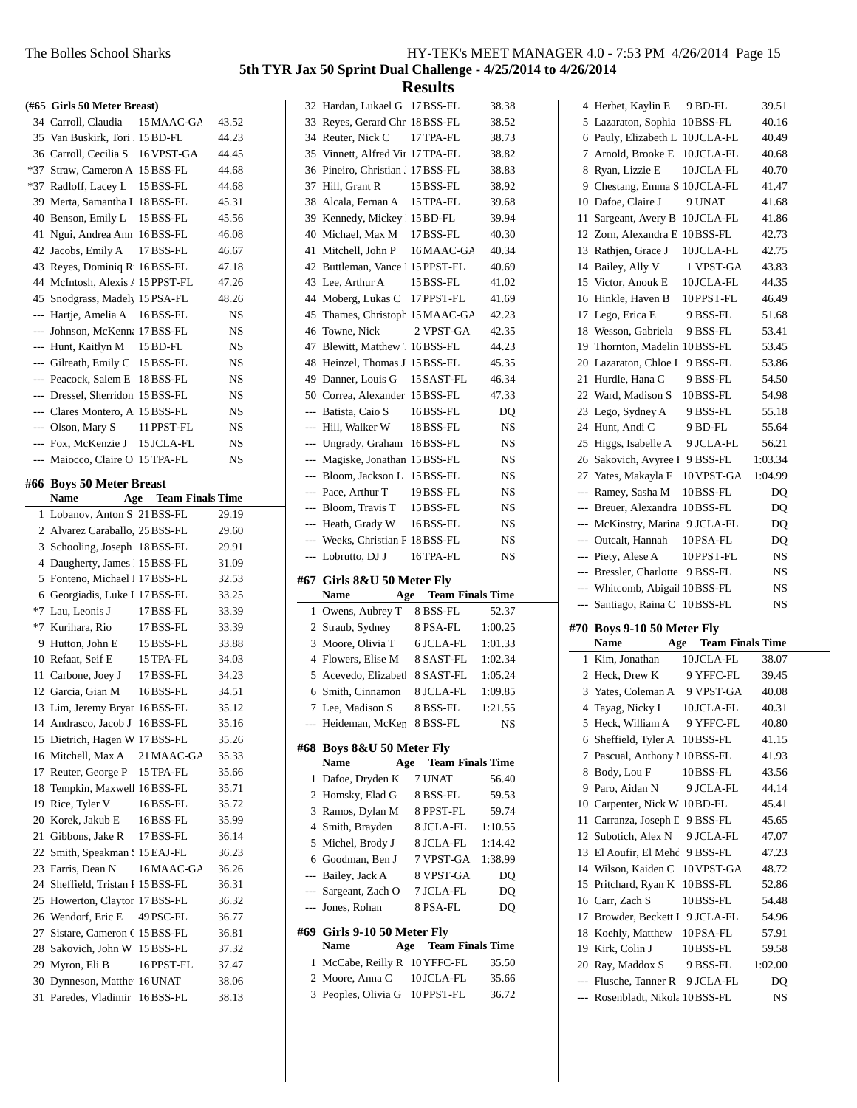|          | (#65 Girls 50 Meter Breast)                              |                             |                |
|----------|----------------------------------------------------------|-----------------------------|----------------|
|          | 34 Carroll, Claudia                                      | 15 MAAC-GA                  | 43.52          |
|          | 35 Van Buskirk, Tori 15BD-FL                             |                             | 44.23          |
|          | 36 Carroll, Cecilia S 16 VPST-GA                         |                             | 44.45          |
|          | *37 Straw, Cameron A 15 BSS-FL                           |                             | 44.68          |
|          | *37 Radloff, Lacey L                                     | 15 BSS-FL                   | 44.68          |
|          | 39 Merta, Samantha L 18BSS-FL                            |                             | 45.31          |
|          | 40 Benson, Emily L                                       | 15 BSS-FL                   | 45.56          |
| 41       | Ngui, Andrea Ann 16BSS-FL                                |                             | 46.08          |
|          | 42 Jacobs, Emily A                                       | 17 BSS-FL                   | 46.67          |
|          | 43 Reyes, Dominiq R <sub>1</sub> 16BSS-FL                |                             | 47.18          |
|          | 44 McIntosh, Alexis / 15 PPST-FL                         |                             | 47.26          |
|          | 45 Snodgrass, Madely 15PSA-FL                            |                             | 48.26          |
| ---      | Hartje, Amelia A                                         | 16BSS-FL                    | NS             |
| ---      | Johnson, McKenna 17 BSS-FL                               |                             | NS             |
|          | --- Hunt, Kaitlyn M                                      | 15 BD-FL                    | NS             |
|          | --- Gilreath, Emily C 15 BSS-FL                          |                             | NS             |
|          | --- Peacock, Salem E 18 BSS-FL                           |                             | NS             |
|          | --- Dressel, Sherridon 15 BSS-FL                         |                             | NS             |
|          | --- Clares Montero, A 15 BSS-FL                          |                             | NS             |
|          | --- Olson, Mary S                                        | 11 PPST-FL                  | NS             |
|          | --- Fox, McKenzie J                                      | 15 JCLA-FL                  | NS             |
|          | --- Maiocco, Claire O 15 TPA-FL                          |                             | NS             |
| #66      | <b>Boys 50 Meter Breast</b>                              |                             |                |
|          | Name                                                     | <b>Age</b> Team Finals Time |                |
| 1        | Lobanov, Anton S 21 BSS-FL                               |                             | 29.19          |
| 2        | Alvarez Caraballo, 25 BSS-FL                             |                             | 29.60          |
| 3        | Schooling, Joseph 18 BSS-FL                              |                             | 29.91          |
|          |                                                          |                             |                |
| 4        | Daugherty, James 1 15 BSS-FL                             |                             | 31.09          |
| 5        | Fonteno, Michael 1 17 BSS-FL                             |                             | 32.53          |
| 6        | Georgiadis, Luke I 17 BSS-FL                             |                             | 33.25          |
| *7       | Lau, Leonis J                                            | 17 BSS-FL                   | 33.39          |
| $*7$     | Kurihara, Rio                                            | 17 BSS-FL                   | 33.39          |
| 9        | Hutton, John E                                           | 15 BSS-FL                   | 33.88          |
|          | 10 Refaat, Seif E                                        | 15 TPA-FL                   | 34.03          |
| 11       | Carbone, Joey J                                          | 17 BSS-FL                   | 34.23          |
|          | 12 Garcia, Gian M                                        | 16BSS-FL                    | 34.51          |
|          | 13 Lim, Jeremy Bryar 16BSS-FL                            |                             | 35.12          |
|          | 14 Andrasco, Jacob J                                     | 16BSS-FL                    | 35.16          |
|          | 15 Dietrich, Hagen W 17 BSS-FL                           |                             | 35.26          |
|          | 16 Mitchell, Max A                                       | 21 MAAC-GA                  | 35.33          |
| 17       | Reuter, George P                                         | 15 TPA-FL                   | 35.66          |
| 18       | Tempkin, Maxwell 16BSS-FL                                |                             | 35.71          |
| 19       | Rice, Tyler V                                            | 16BSS-FL                    | 35.72          |
| 20       | Korek, Jakub E                                           | 16BSS-FL                    | 35.99          |
| 21       | Gibbons, Jake R                                          | 17 BSS-FL                   | 36.14          |
| 22       | Smith, Speakman S15 EAJ-FL                               |                             | 36.23          |
| 23       | Farris, Dean N                                           | 16 MAAC-GA                  | 36.26          |
|          | 24 Sheffield, Tristan I 15 BSS-FL                        |                             | 36.31          |
|          | 25 Howerton, Clayton 17BSS-FL                            |                             | 36.32          |
|          | 26 Wendorf, Eric E                                       | 49 PSC-FL                   | 36.77          |
|          | 27 Sistare, Cameron C 15 BSS-FL                          |                             | 36.81          |
|          | 28 Sakovich, John W 15 BSS-FL                            |                             | 37.32          |
|          | 29 Myron, Eli B                                          | 16 PPST-FL                  | 37.47          |
| 30<br>31 | Dynneson, Matthe <sup>16</sup> UNAT<br>Paredes, Vladimir | 16BSS-FL                    | 38.06<br>38.13 |

| 1<br>$\overline{c}$<br>3<br>4<br>5<br>6<br>#69<br>1<br>3 | Dafoe, Dryden K<br>Homsky, Elad G<br>Ramos, Dylan M<br>Smith, Brayden<br>Michel, Brody J<br>Goodman, Ben J<br>--- Bailey, Jack A<br>--- Sargeant, Zach O<br>--- Jones, Rohan<br>Girls 9-10 50 Meter Fly<br>Name<br>Age<br>McCabe, Reilly R 10 YFFC-FL<br>2 Moore, Anna C<br>Peoples, Olivia G | 7 UNAT<br>8 BSS-FL<br>8 PPST-FL<br>8 JCLA-FL<br>8 JCLA-FL<br>7 VPST-GA<br>8 VPST-GA<br>7 JCLA-FL<br>8 PSA-FL<br><b>Team Finals Time</b><br>10 JCLA-FL<br>10 PPST-FL | 56.40<br>59.53<br>59.74<br>1:10.55<br>1:14.42<br>1:38.99<br>DO<br>DQ<br>DQ<br>35.50<br>35.66<br>36.72 |  |
|----------------------------------------------------------|-----------------------------------------------------------------------------------------------------------------------------------------------------------------------------------------------------------------------------------------------------------------------------------------------|---------------------------------------------------------------------------------------------------------------------------------------------------------------------|-------------------------------------------------------------------------------------------------------|--|
|                                                          |                                                                                                                                                                                                                                                                                               |                                                                                                                                                                     |                                                                                                       |  |
|                                                          |                                                                                                                                                                                                                                                                                               |                                                                                                                                                                     |                                                                                                       |  |
|                                                          |                                                                                                                                                                                                                                                                                               |                                                                                                                                                                     |                                                                                                       |  |
|                                                          |                                                                                                                                                                                                                                                                                               |                                                                                                                                                                     |                                                                                                       |  |
|                                                          |                                                                                                                                                                                                                                                                                               |                                                                                                                                                                     |                                                                                                       |  |
|                                                          |                                                                                                                                                                                                                                                                                               |                                                                                                                                                                     |                                                                                                       |  |
|                                                          |                                                                                                                                                                                                                                                                                               |                                                                                                                                                                     |                                                                                                       |  |
|                                                          |                                                                                                                                                                                                                                                                                               |                                                                                                                                                                     |                                                                                                       |  |
|                                                          |                                                                                                                                                                                                                                                                                               |                                                                                                                                                                     |                                                                                                       |  |
|                                                          |                                                                                                                                                                                                                                                                                               |                                                                                                                                                                     |                                                                                                       |  |
|                                                          |                                                                                                                                                                                                                                                                                               |                                                                                                                                                                     |                                                                                                       |  |
|                                                          |                                                                                                                                                                                                                                                                                               |                                                                                                                                                                     |                                                                                                       |  |
|                                                          |                                                                                                                                                                                                                                                                                               |                                                                                                                                                                     |                                                                                                       |  |
|                                                          |                                                                                                                                                                                                                                                                                               |                                                                                                                                                                     |                                                                                                       |  |
|                                                          | Name                                                                                                                                                                                                                                                                                          | <b>Team Finals Time</b><br>Age                                                                                                                                      |                                                                                                       |  |
| #68                                                      | Boys 8&U 50 Meter Fly                                                                                                                                                                                                                                                                         |                                                                                                                                                                     |                                                                                                       |  |
|                                                          | Heideman, McKen 8 BSS-FL                                                                                                                                                                                                                                                                      |                                                                                                                                                                     | <b>NS</b>                                                                                             |  |
| 7                                                        | Lee, Madison S                                                                                                                                                                                                                                                                                | 8 BSS-FL                                                                                                                                                            | 1:21.55                                                                                               |  |
| 6                                                        | Smith, Cinnamon                                                                                                                                                                                                                                                                               | 8 JCLA-FL                                                                                                                                                           | 1:09.85                                                                                               |  |
| 5                                                        | Acevedo, Elizabetl 8 SAST-FL                                                                                                                                                                                                                                                                  |                                                                                                                                                                     | 1:05.24                                                                                               |  |
| 4                                                        | Flowers, Elise M                                                                                                                                                                                                                                                                              | 8 SAST-FL                                                                                                                                                           | 1:02.34                                                                                               |  |
| 3                                                        | Moore, Olivia T                                                                                                                                                                                                                                                                               | 6 JCLA-FL                                                                                                                                                           | 1:01.33                                                                                               |  |
| $\overline{2}$                                           | Straub, Sydney                                                                                                                                                                                                                                                                                | 8 PSA-FL                                                                                                                                                            | 1:00.25                                                                                               |  |
| 1                                                        | Owens, Aubrey T                                                                                                                                                                                                                                                                               | 8 BSS-FL                                                                                                                                                            | 52.37                                                                                                 |  |
|                                                          | Name                                                                                                                                                                                                                                                                                          | <b>Age</b> Team Finals Time                                                                                                                                         |                                                                                                       |  |
|                                                          | #67 Girls 8&U 50 Meter Fly                                                                                                                                                                                                                                                                    |                                                                                                                                                                     |                                                                                                       |  |
| ---                                                      | Lobrutto, DJ J                                                                                                                                                                                                                                                                                | 16 TPA-FL                                                                                                                                                           | NS                                                                                                    |  |
| ---                                                      | Weeks, Christian R 18 BSS-FL                                                                                                                                                                                                                                                                  |                                                                                                                                                                     | NS                                                                                                    |  |
|                                                          | --- Heath, Grady W                                                                                                                                                                                                                                                                            | 16BSS-FL                                                                                                                                                            | NS                                                                                                    |  |
|                                                          | --- Bloom, Travis T                                                                                                                                                                                                                                                                           | 15 BSS-FL                                                                                                                                                           | NS                                                                                                    |  |
|                                                          | --- Pace, Arthur T                                                                                                                                                                                                                                                                            | 19 BSS-FL                                                                                                                                                           | NS                                                                                                    |  |
|                                                          | --- Bloom, Jackson L 15 BSS-FL                                                                                                                                                                                                                                                                |                                                                                                                                                                     | NS                                                                                                    |  |
| $\overline{\phantom{a}}$                                 | Magiske, Jonathan 15 BSS-FL                                                                                                                                                                                                                                                                   |                                                                                                                                                                     | NS                                                                                                    |  |
|                                                          | --- Ungrady, Graham 16BSS-FL                                                                                                                                                                                                                                                                  |                                                                                                                                                                     | NS                                                                                                    |  |
| $\overline{a}$                                           | Hill, Walker W                                                                                                                                                                                                                                                                                | 18 BSS-FL                                                                                                                                                           | NS                                                                                                    |  |
|                                                          | --- Batista, Caio S                                                                                                                                                                                                                                                                           | 16BSS-FL                                                                                                                                                            | DQ                                                                                                    |  |
|                                                          | 50 Correa, Alexander 15 BSS-FL                                                                                                                                                                                                                                                                |                                                                                                                                                                     | 47.33                                                                                                 |  |
|                                                          | 49 Danner, Louis G                                                                                                                                                                                                                                                                            | 15 SAST-FL                                                                                                                                                          | 46.34                                                                                                 |  |
|                                                          | 48 Heinzel, Thomas J 15 BSS-FL                                                                                                                                                                                                                                                                |                                                                                                                                                                     | 45.35                                                                                                 |  |
|                                                          | 47 Blewitt, Matthew 7 16 BSS-FL                                                                                                                                                                                                                                                               |                                                                                                                                                                     | 44.23                                                                                                 |  |
|                                                          | 46 Towne, Nick                                                                                                                                                                                                                                                                                | 2 VPST-GA                                                                                                                                                           | 42.35                                                                                                 |  |
|                                                          | 45 Thames, Christoph 15 MAAC-GA                                                                                                                                                                                                                                                               |                                                                                                                                                                     | 42.23                                                                                                 |  |
|                                                          | 44 Moberg, Lukas C                                                                                                                                                                                                                                                                            | 17 PPST-FL                                                                                                                                                          | 41.69                                                                                                 |  |
|                                                          | 43 Lee, Arthur A                                                                                                                                                                                                                                                                              | 15 BSS-FL                                                                                                                                                           | 41.02                                                                                                 |  |
| 42                                                       | Buttleman, Vance 1 15 PPST-FL                                                                                                                                                                                                                                                                 |                                                                                                                                                                     | 40.69                                                                                                 |  |
| 41                                                       |                                                                                                                                                                                                                                                                                               |                                                                                                                                                                     | 40.34                                                                                                 |  |
|                                                          | Mitchell, John P                                                                                                                                                                                                                                                                              | 16 MAAC-GA                                                                                                                                                          |                                                                                                       |  |
| 39<br>40                                                 | Michael, Max M                                                                                                                                                                                                                                                                                | 17 BSS-FL                                                                                                                                                           | 39.94<br>40.30                                                                                        |  |
| 38                                                       | Alcala, Fernan A<br>Kennedy, Mickey 115 BD-FL                                                                                                                                                                                                                                                 |                                                                                                                                                                     | 39.68                                                                                                 |  |
|                                                          | Hill, Grant R                                                                                                                                                                                                                                                                                 | 15 TPA-FL                                                                                                                                                           | 38.92                                                                                                 |  |
| 36<br>37                                                 | Pineiro, Christian J 17 BSS-FL                                                                                                                                                                                                                                                                | 15 BSS-FL                                                                                                                                                           | 38.83                                                                                                 |  |
|                                                          | 35 Vinnett, Alfred Vir 17 TPA-FL                                                                                                                                                                                                                                                              |                                                                                                                                                                     | 38.82                                                                                                 |  |
|                                                          | 34 Reuter, Nick C                                                                                                                                                                                                                                                                             | 17 TPA-FL                                                                                                                                                           | 38.73                                                                                                 |  |
|                                                          | Reyes, Gerard Chr. 18 BSS-FL                                                                                                                                                                                                                                                                  |                                                                                                                                                                     | 38.52                                                                                                 |  |
|                                                          | Hardan, Lukael G 17 BSS-FL                                                                                                                                                                                                                                                                    |                                                                                                                                                                     | 38.38                                                                                                 |  |
| 32<br>33                                                 |                                                                                                                                                                                                                                                                                               |                                                                                                                                                                     |                                                                                                       |  |

| 4              | Herbet, Kaylin E                | 9 BD-FL                     | 39.51    |  |
|----------------|---------------------------------|-----------------------------|----------|--|
|                | 5 Lazaraton, Sophia 10BSS-FL    |                             | 40.16    |  |
|                | 6 Pauly, Elizabeth L 10JCLA-FL  |                             | 40.49    |  |
|                | 7 Arnold, Brooke E              | 10 JCLA-FL                  | 40.68    |  |
|                | 8 Ryan, Lizzie E                | 10JCLA-FL                   | 40.70    |  |
|                | 9 Chestang, Emma S 10 JCLA-FL   |                             | 41.47    |  |
|                | 10 Dafoe, Claire J              | 9 UNAT                      | 41.68    |  |
| 11             | Sargeant, Avery B               | 10JCLA-FL                   | 41.86    |  |
|                | 12 Zorn, Alexandra E 10BSS-FL   |                             | 42.73    |  |
|                | 13 Rathjen, Grace J             | 10JCLA-FL                   | 42.75    |  |
|                | 14 Bailey, Ally V               | 1 VPST-GA                   | 43.83    |  |
|                | 15 Victor, Anouk E              | 10JCLA-FL                   | 44.35    |  |
| 16             | Hinkle, Haven B                 | 10 PPST-FL                  | 46.49    |  |
|                | 17 Lego, Erica E                | 9 BSS-FL                    | 51.68    |  |
|                | 18 Wesson, Gabriela             | 9 BSS-FL                    | 53.41    |  |
|                | 19 Thornton, Madelin 10BSS-FL   |                             | 53.45    |  |
|                | 20 Lazaraton, Chloe I           | 9 BSS-FL                    | 53.86    |  |
| 21             | Hurdle, Hana C                  | 9 BSS-FL                    | 54.50    |  |
|                | 22 Ward, Madison S              | 10BSS-FL                    | 54.98    |  |
|                | 23 Lego, Sydney A               | 9 BSS-FL                    | 55.18    |  |
|                | 24 Hunt, Andi C                 | 9 BD-FL                     | 55.64    |  |
| 25             | Higgs, Isabelle A               | 9 JCLA-FL                   | 56.21    |  |
|                | 26 Sakovich, Avyree 1 9 BSS-FL  |                             | 1:03.34  |  |
|                | 27 Yates, Makayla F             | 10 VPST-GA                  | 1:04.99  |  |
| $\overline{a}$ | Ramey, Sasha M                  | 10BSS-FL                    | DQ       |  |
|                | --- Breuer, Alexandra 10BSS-FL  |                             | DQ       |  |
|                | --- McKinstry, Marina           | 9 JCLA-FL                   | DQ       |  |
|                | --- Outcalt, Hannah             | 10PSA-FL                    | DQ       |  |
|                | --- Piety, Alese A              | 10 PPST-FL                  | NS       |  |
|                | --- Bressler, Charlotte         |                             |          |  |
|                | --- Whitcomb, Abigai 10BSS-FL   | 9 BSS-FL                    | NS<br>NS |  |
|                |                                 |                             |          |  |
|                |                                 |                             |          |  |
|                | --- Santiago, Raina C 10BSS-FL  |                             | NS       |  |
|                | #70 Boys 9-10 50 Meter Fly      |                             |          |  |
|                | Name                            | <b>Age</b> Team Finals Time |          |  |
|                | 1 Kim, Jonathan                 | 10JCLA-FL                   | 38.07    |  |
|                | 2 Heck, Drew K                  | 9 YFFC-FL                   | 39.45    |  |
|                | 3 Yates, Coleman A              | 9 VPST-GA                   | 40.08    |  |
|                | 4 Tayag, Nicky I                | 10JCLA-FL                   | 40.31    |  |
| 5              | Heck, William A                 | 9 YFFC-FL                   | 40.80    |  |
| 6              | Sheffield, Tyler A 10BSS-FL     |                             | 41.15    |  |
|                | 7 Pascual, Anthony 1 10 BSS-FL  |                             | 41.93    |  |
| 8              | Body, Lou F                     | 10BSS-FL                    | 43.56    |  |
| 9              | Paro, Aidan N                   | 9 JCLA-FL                   | 44.14    |  |
|                | 10 Carpenter, Nick W 10BD-FL    |                             | 45.41    |  |
| 11             | Carranza, Joseph L              | 9 BSS-FL                    | 45.65    |  |
|                | 12 Subotich, Alex N             | 9 JCLA-FL                   | 47.07    |  |
|                | 13 El Aoufir, El Meho           | 9 BSS-FL                    | 47.23    |  |
|                | 14 Wilson, Kaiden C             | 10 VPST-GA                  | 48.72    |  |
|                | 15 Pritchard, Ryan K            | 10BSS-FL                    | 52.86    |  |
|                | 16 Carr, Zach S                 | 10BSS-FL                    | 54.48    |  |
|                | 17 Browder, Beckett I           | 9 JCLA-FL                   | 54.96    |  |
| 18             | Koehly, Matthew                 | 10PSA-FL                    | 57.91    |  |
| 19             | Kirk, Colin J                   | 10BSS-FL                    | 59.58    |  |
|                | 20 Ray, Maddox S                | 9 BSS-FL                    | 1:02.00  |  |
|                | --- Flusche, Tanner R           | 9 JCLA-FL                   | DQ       |  |
|                | --- Rosenbladt, Nikola 10BSS-FL |                             | NS       |  |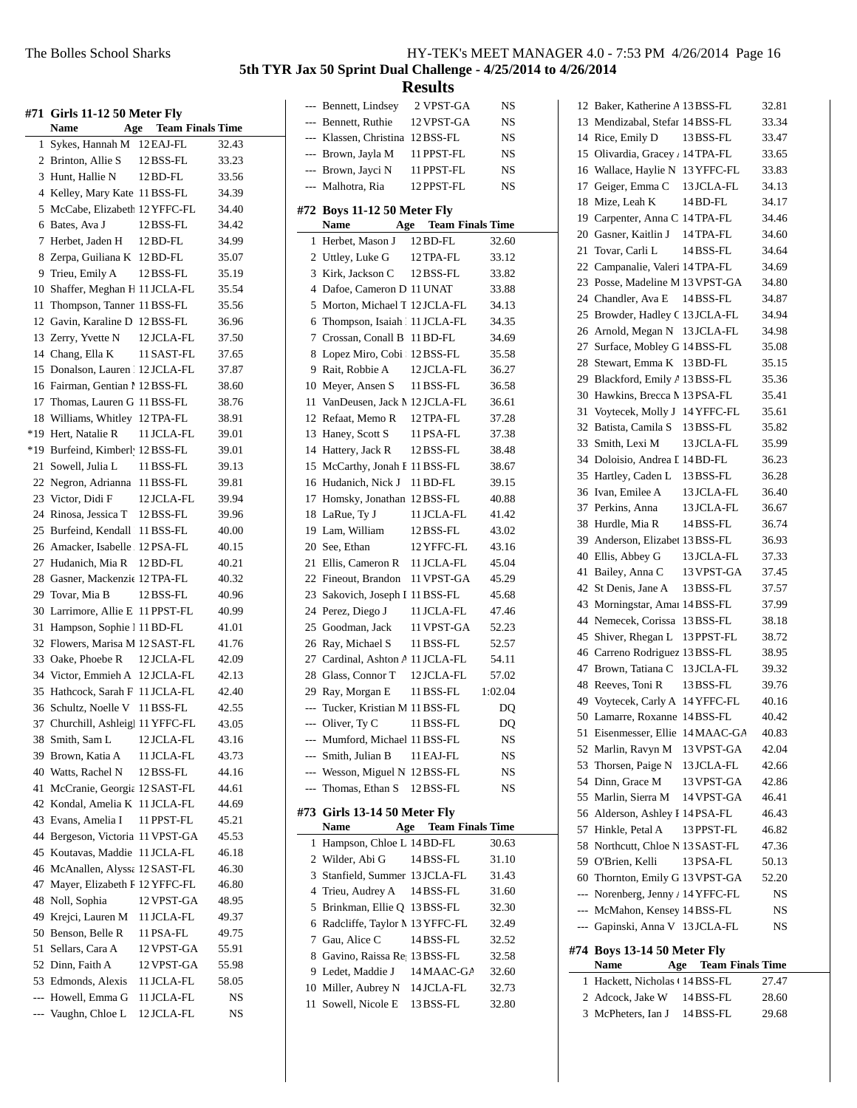|     | #71 Girls 11-12 50 Meter Fly<br>Name    | <b>Team Finals Time</b><br>Age |       |
|-----|-----------------------------------------|--------------------------------|-------|
| 1   | Sykes, Hannah M 12 EAJ-FL               |                                | 32.43 |
|     | 2 Brinton, Allie S                      | 12 BSS-FL                      | 33.23 |
| 3   | Hunt, Hallie N                          | $12$ BD-FL                     | 33.56 |
| 4   | Kelley, Mary Kate 11 BSS-FL             |                                | 34.39 |
| 5   | McCabe, Elizabeth 12 YFFC-FL            |                                | 34.40 |
| 6   | Bates, Ava J                            | 12 BSS-FL                      | 34.42 |
| 7   | Herbet, Jaden H                         | 12 BD-FL                       | 34.99 |
| 8   | Zerpa, Guiliana K 12 BD-FL              |                                | 35.07 |
| 9   | Trieu, Emily A                          | 12 BSS-FL                      | 35.19 |
| 10  | Shaffer, Meghan H 11 JCLA-FL            |                                | 35.54 |
| 11  | Thompson, Tanner 11 BSS-FL              |                                | 35.56 |
| 12  | Gavin, Karaline D 12 BSS-FL             |                                | 36.96 |
| 13  | Zerry, Yvette N                         | 12 JCLA-FL                     | 37.50 |
|     | 14 Chang, Ella K                        | 11 SAST-FL                     | 37.65 |
| 15  | Donalson, Lauren 12 JCLA-FL             |                                | 37.87 |
| 16  | Fairman, Gentian 1 12 BSS-FL            |                                | 38.60 |
|     | 17 Thomas, Lauren G 11 BSS-FL           |                                | 38.76 |
| 18  | Williams, Whitley 12 TPA-FL             |                                | 38.91 |
| *19 | Hert. Natalie R                         | 11 JCLA-FL                     | 39.01 |
| *19 | Burfeind, Kimberl <sup>,</sup> 12BSS-FL |                                | 39.01 |
| 21  | Sowell, Julia L                         | 11 BSS-FL                      | 39.13 |
|     | 22 Negron, Adrianna 11 BSS-FL           |                                | 39.81 |
|     | 23 Victor, Didi F                       | 12JCLA-FL                      | 39.94 |
| 24  | Rinosa, Jessica T 12BSS-FL              |                                | 39.96 |
|     | 25 Burfeind, Kendall 11 BSS-FL          |                                | 40.00 |
| 26  | Amacker, Isabelle 12PSA-FL              |                                | 40.15 |
| 27  | Hudanich, Mia R                         | 12 BD-FL                       | 40.21 |
| 28  | Gasner, Mackenzie 12 TPA-FL             |                                | 40.32 |
| 29  | Tovar, Mia B                            | 12 BSS-FL                      | 40.96 |
| 30  | Larrimore, Allie E                      | 11 PPST-FL                     | 40.99 |
| 31  | Hampson, Sophie 1 11 BD-FL              |                                | 41.01 |
| 32  | Flowers, Marisa M 12 SAST-FL            |                                | 41.76 |
|     | 33 Oake, Phoebe R                       | 12 JCLA-FL                     | 42.09 |
|     | 34 Victor, Emmieh A 12 JCLA-FL          |                                | 42.13 |
| 35  | Hathcock, Sarah F 11 JCLA-FL            |                                | 42.40 |
|     | 36 Schultz, Noelle V 11 BSS-FL          |                                | 42.55 |
|     | 37 Churchill, Ashleigl 11 YFFC-FL       |                                | 43.05 |
| 38  | Smith, Sam L                            | 12 JCLA-FL                     | 43.16 |
|     | 39 Brown, Katia A                       | 11 JCLA-FL                     | 43.73 |
|     | 40 Watts, Rachel N                      | 12 BSS-FL                      | 44.16 |
| 41  | McCranie, Georgia 12 SAST-FL            |                                | 44.61 |
|     | 42 Kondal, Amelia K                     | 11 JCLA-FL                     | 44.69 |
| 43  | Evans, Amelia I                         | 11 PPST-FL                     | 45.21 |
| 44  | Bergeson, Victoria                      | 11 VPST-GA                     | 45.53 |
| 45  | Koutavas, Maddie                        | 11 JCLA-FL                     | 46.18 |
| 46  | McAnallen, Alyssa 12 SAST-FL            |                                | 46.30 |
| 47  | Mayer, Elizabeth F 12 YFFC-FL           |                                | 46.80 |
| 48  | Noll, Sophia                            | 12 VPST-GA                     | 48.95 |
| 49  | Krejci, Lauren M                        | 11 JCLA-FL                     | 49.37 |
| 50  | Benson, Belle R                         | 11 PSA-FL                      | 49.75 |
| 51  | Sellars, Cara A                         | 12 VPST-GA                     | 55.91 |
| 52  | Dinn, Faith A                           | 12 VPST-GA                     | 55.98 |
|     | 53 Edmonds, Alexis                      | 11 JCLA-FL                     | 58.05 |
| --- | Howell, Emma G                          | 11 JCLA-FL                     | NS    |
| --- | Vaughn, Chloe L                         | 12 JCLA-FL                     | NS    |
|     |                                         |                                |       |

|                | --- Bennett, Lindsey             | 2 VPST-GA                      | NS                     |
|----------------|----------------------------------|--------------------------------|------------------------|
|                | --- Bennett, Ruthie              | 12 VPST-GA                     | NS                     |
|                | --- Klassen, Christina           | 12 BSS-FL                      | NS                     |
|                | --- Brown, Jayla M               | 11 PPST-FL                     | NS                     |
|                | --- Brown, Jayci N               | 11 PPST-FL                     | NS                     |
|                | --- Malhotra, Ria                | 12 PPST-FL                     | NS                     |
| #72            | Boys 11-12 50 Meter Fly<br>Name  | <b>Team Finals Time</b><br>Age |                        |
| 1              | Herbet, Mason J                  | 12 BD-FL                       | 32.60                  |
|                | 2 Uttley, Luke G                 | 12 TPA-FL                      | 33.12                  |
| 3              | Kirk, Jackson C                  | 12 BSS-FL                      | 33.82                  |
| $\overline{4}$ | Dafoe, Cameron D 11 UNAT         |                                | 33.88                  |
| 5              | Morton, Michael T 12 JCLA-FL     |                                | 34.13                  |
| 6              | Thompson, Isaiah 111 JCLA-FL     |                                | 34.35                  |
| 7              | Crossan, Conall B 11 BD-FL       |                                | 34.69                  |
|                | 8 Lopez Miro, Cobi : 12 BSS-FL   |                                | 35.58                  |
| 9.             | Rait, Robbie A                   | 12 JCLA-FL                     | 36.27                  |
|                | 10 Meyer, Ansen S                | 11 BSS-FL                      | 36.58                  |
|                | 11 VanDeusen, Jack M 12 JCLA-FL  |                                | 36.61                  |
|                | 12 Refaat, Memo R                | 12 TPA-FL                      | 37.28                  |
|                | 13 Haney, Scott S                | 11 PSA-FL                      | 37.38                  |
|                | 14 Hattery, Jack R               | 12 BSS-FL                      | 38.48                  |
|                | 15 McCarthy, Jonah E 11 BSS-FL   |                                | 38.67                  |
|                | 16 Hudanich, Nick J              | 11 BD-FL                       | 39.15                  |
| 17             | Homsky, Jonathan 12 BSS-FL       |                                | 40.88                  |
|                | 18 LaRue, Ty J                   | 11 JCLA-FL                     | 41.42                  |
|                | 19 Lam, William                  | 12 BSS-FL                      | 43.02                  |
|                | 20 See, Ethan                    | 12 YFFC-FL                     | 43.16                  |
| 21             | Ellis, Cameron R                 | 11 JCLA-FL                     | 45.04                  |
|                |                                  |                                |                        |
|                | 22 Fineout, Brandon              | 11 VPST-GA                     | 45.29                  |
| 23             | Sakovich, Joseph I 11 BSS-FL     |                                | 45.68                  |
| 24             | Perez, Diego J                   | 11 JCLA-FL                     | 47.46                  |
|                | 25 Goodman, Jack                 | 11 VPST-GA                     | 52.23                  |
|                | 26 Ray, Michael S                | 11 BSS-FL                      | 52.57                  |
|                | 27 Cardinal, Ashton A 11 JCLA-FL |                                | 54.11                  |
|                | 28 Glass, Connor T               | 12 JCLA-FL                     | 57.02                  |
|                | 29 Ray, Morgan E                 | 11 BSS-FL                      | 1:02.04                |
| ---            | Tucker, Kristian M 11 BSS-FL     |                                | DQ                     |
|                | Oliver, Ty C                     | 11 BSS-FL                      | $\mathbf{D}\mathbf{Q}$ |
|                | --- Mumford, Michael 11 BSS-FL   |                                | NS                     |
|                | --- Smith, Julian B              | 11 EAJ-FL                      | NS                     |
|                | --- Wesson, Miguel N 12 BSS-FL   |                                | NS                     |
|                | --- Thomas, Ethan S              | 12 BSS-FL                      | NS                     |
|                | #73  Girls 13-14 50 Meter Fly    |                                |                        |
|                | Name                             | Age<br><b>Team Finals Time</b> |                        |
| 1              | Hampson, Chloe L 14 BD-FL        |                                | 30.63                  |
|                | 2 Wilder, Abi G                  | 14 BSS-FL                      | 31.10                  |
| 3              | Stanfield, Summer 13 JCLA-FL     |                                | 31.43                  |
| 4              | Trieu, Audrey A                  | 14 BSS-FL                      | 31.60                  |
| 5              | Brinkman, Ellie Q 13 BSS-FL      |                                | 32.30                  |
| 6              | Radcliffe, Taylor M 13 YFFC-FL   |                                | 32.49                  |
| 7              | Gau, Alice C                     | 14 BSS-FL                      | 32.52                  |
| 8.             | Gavino, Raissa Re; 13 BSS-FL     |                                | 32.58                  |
| 9              | Ledet, Maddie J 14 MAAC-GA       |                                | 32.60                  |
|                | 10 Miller, Aubrey N 14 JCLA-FL   |                                | 32.73                  |
|                |                                  |                                |                        |
| 11             | Sowell, Nicole E                 | 13 BSS-FL                      | 32.80                  |

|                | 12 Baker, Katherine A 13 BSS-FL   |                             | 32.81 |
|----------------|-----------------------------------|-----------------------------|-------|
| 13             | Mendizabal, Stefar 14 BSS-FL      |                             | 33.34 |
|                | 14 Rice, Emily D                  | 13 BSS-FL                   | 33.47 |
|                | 15 Olivardia, Gracey . 14 TPA-FL  |                             | 33.65 |
| 16             | Wallace, Haylie N 13 YFFC-FL      |                             | 33.83 |
| 17             | Geiger, Emma C                    | 13 JCLA-FL                  | 34.13 |
| 18             | Mize, Leah K                      | 14 BD-FL                    | 34.17 |
| 19             | Carpenter, Anna C 14 TPA-FL       |                             | 34.46 |
|                | 20 Gasner, Kaitlin J 14TPA-FL     |                             | 34.60 |
| 21             | Tovar, Carli L                    | 14 BSS-FL                   | 34.64 |
| 22             | Campanalie, Valeri 14 TPA-FL      |                             | 34.69 |
| 23             | Posse, Madeline M 13 VPST-GA      |                             | 34.80 |
|                | 24 Chandler, Ava E                | 14 BSS-FL                   | 34.87 |
| 25             | Browder, Hadley C 13 JCLA-FL      |                             | 34.94 |
|                | 26 Arnold, Megan N 13 JCLA-FL     |                             | 34.98 |
| 27             | Surface, Mobley G 14 BSS-FL       |                             | 35.08 |
| 28             | Stewart, Emma K 13BD-FL           |                             | 35.15 |
| 29             | Blackford, Emily / 13 BSS-FL      |                             | 35.36 |
|                | 30 Hawkins, Brecca M 13 PSA-FL    |                             | 35.41 |
| 31             | Voytecek, Molly J 14 YFFC-FL      |                             | 35.61 |
| 32             | Batista, Camila S 13 BSS-FL       |                             | 35.82 |
| 33             | Smith, Lexi M                     | 13 JCLA-FL                  | 35.99 |
| 34             | Doloisio. Andrea I 14 BD-FL       |                             | 36.23 |
| 35             | Hartley, Caden L                  | $13$ BSS-FL                 | 36.28 |
| 36             | Ivan, Emilee A                    | 13 JCLA-FL                  | 36.40 |
| 37             | Perkins, Anna                     | 13 JCLA-FL                  | 36.67 |
| 38             | Hurdle, Mia R                     | 14 BSS-FL                   | 36.74 |
| 39             | Anderson, Elizabet 13 BSS-FL      |                             | 36.93 |
| 40             | Ellis, Abbey G                    | 13 JCLA-FL                  | 37.33 |
| 41             | Bailey, Anna C                    | 13 VPST-GA                  | 37.45 |
| 42             | St Denis, Jane A                  | 13 BSS-FL                   | 37.57 |
| 43             | Morningstar, Amai 14BSS-FL        |                             | 37.99 |
| 44             | Nemecek, Corissa                  | 13 BSS-FL                   | 38.18 |
| 45             | Shiver, Rhegan L                  | 13 PPST-FL                  | 38.72 |
|                | 46 Carreno Rodriguez 13 BSS-FL    |                             | 38.95 |
| 47             | Brown, Tatiana C 13 JCLA-FL       |                             | 39.32 |
| 48             | Reeves, Toni R                    | 13 BSS-FL                   | 39.76 |
| 49             | Voytecek, Carly A 14 YFFC-FL      |                             | 40.16 |
| 50             | Lamarre, Roxanne                  | 14 BSS-FL                   | 40.42 |
| 51             | Eisenmesser, Ellie 14 MAAC-GA     |                             | 40.83 |
| 52             | Marlin, Ravyn M                   | 13 VPST-GA                  | 42.04 |
| 53             | Thorsen, Paige N                  | 13 JCLA-FL                  | 42.66 |
| 54             | Dinn, Grace M                     | 13 VPST-GA                  | 42.86 |
| 55             | Marlin, Sierra M                  | 14 VPST-GA                  | 46.41 |
| 56             | Alderson, Ashley I 14 PSA-FL      |                             | 46.43 |
| 57             | Hinkle, Petal A                   | 13 PPST-FL                  | 46.82 |
| 58             | Northcutt, Chloe N 13 SAST-FL     |                             | 47.36 |
|                | 59 O'Brien, Kelli                 | 13 PSA-FL                   | 50.13 |
|                | 60 Thornton, Emily G 13 VPST-GA   |                             | 52.20 |
|                | --- Norenberg, Jenny / 14 YFFC-FL |                             | NS    |
|                | --- McMahon, Kensey 14 BSS-FL     |                             | NS    |
|                |                                   |                             |       |
|                |                                   |                             |       |
| $---$          | Gapinski, Anna V 13 JCLA-FL       |                             | NS    |
| #74            | <b>Boys 13-14 50 Meter Fly</b>    |                             |       |
|                | <b>Name</b>                       | <b>Age</b> Team Finals Time |       |
| 1              | Hackett, Nicholas + 14 BSS-FL     |                             | 27.47 |
| $\overline{2}$ | Adcock, Jake W 14 BSS-FL          |                             | 28.60 |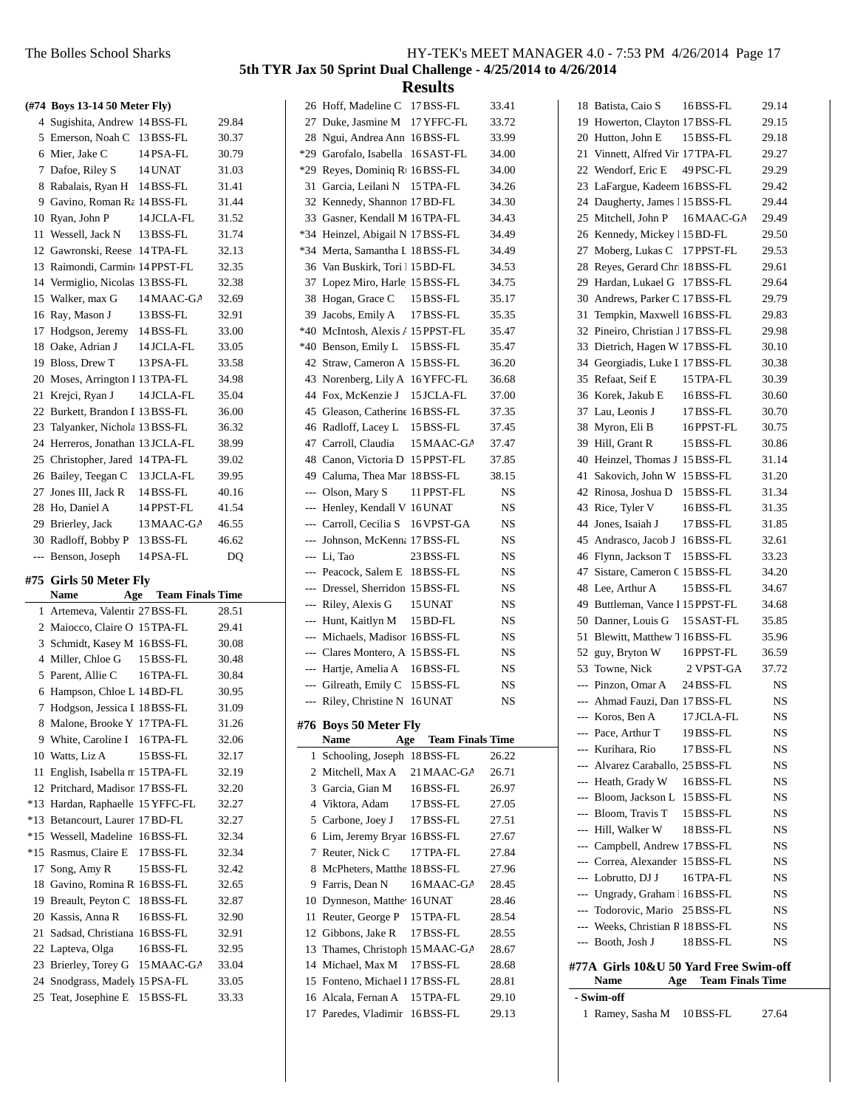|       | (#74 Boys 13-14 50 Meter Fly)                          |                             |                |
|-------|--------------------------------------------------------|-----------------------------|----------------|
|       | 4 Sugishita, Andrew 14 BSS-FL                          |                             | 29.84          |
|       |                                                        |                             |                |
|       | 5 Emerson, Noah C 13 BSS-FL                            |                             | 30.37          |
|       | 6 Mier, Jake C                                         | 14 PSA-FL                   | 30.79          |
|       | 7 Dafoe, Riley S 14 UNAT                               |                             | 31.03          |
|       | 8 Rabalais, Ryan H 14 BSS-FL                           |                             | 31.41          |
|       | 9 Gavino, Roman Ra 14 BSS-FL                           |                             | 31.44          |
|       | 10 Ryan, John P                                        | 14 JCLA-FL                  | 31.52          |
|       | 11 Wessell, Jack N 13 BSS-FL                           |                             | 31.74          |
|       | 12 Gawronski, Reese 14TPA-FL                           |                             | 32.13          |
|       | 13 Raimondi, Carmin 14 PPST-FL                         |                             | 32.35          |
|       | 14 Vermiglio, Nicolas 13BSS-FL                         |                             | 32.38          |
|       | 15 Walker, max G 14 MAAC-GA                            |                             | 32.69          |
|       | 16 Ray, Mason J 13 BSS-FL                              |                             | 32.91          |
|       | 17 Hodgson, Jeremy 14BSS-FL                            |                             | 33.00          |
|       | 18 Oake, Adrian J                                      | 14 JCLA-FL                  | 33.05          |
|       | 19 Bloss, Drew T                                       | 13 PSA-FL                   | 33.58          |
|       | 20 Moses, Arrington 1 13 TPA-FL                        |                             | 34.98          |
|       | 21 Krejci, Ryan J                                      | 14 JCLA-FL                  | 35.04          |
|       | 22 Burkett, Brandon I 13 BSS-FL                        |                             | 36.00          |
|       | 23 Talyanker, Nichola 13 BSS-FL                        |                             | 36.32          |
|       | 24 Herreros, Jonathan 13 JCLA-FL                       |                             | 38.99          |
|       | 25 Christopher, Jared 14TPA-FL                         |                             | 39.02          |
|       | 26 Bailey, Teegan C 13 JCLA-FL                         |                             | 39.95          |
|       | 27 Jones III, Jack R 14 BSS-FL                         |                             | 40.16          |
|       | 28 Ho, Daniel A                                        | 14 PPST-FL                  | 41.54          |
|       | 29 Brierley, Jack 13 MAAC-GA                           |                             | 46.55          |
|       |                                                        |                             |                |
|       | 30 Radloff, Bobby P 13 BSS-FL                          |                             | 46.62          |
|       | --- Benson, Joseph                                     | 14 PSA-FL                   | DQ             |
|       | #75 Girls 50 Meter Fly                                 |                             |                |
|       | Name                                                   | <b>Age</b> Team Finals Time |                |
| 1     | Artemeva, Valentir 27 BSS-FL                           |                             | 28.51          |
|       | 2 Maiocco, Claire O 15 TPA-FL                          |                             | 29.41          |
|       | 3 Schmidt, Kasey M 16 BSS-FL                           |                             | 30.08          |
|       | 4 Miller, Chloe G                                      | 15 BSS-FL                   | 30.48          |
|       | 5 Parent. Allie C                                      | 16 TPA-FL                   | 30.84          |
|       | 6 Hampson, Chloe L 14 BD-FL                            |                             | 30.95          |
| 7     | Hodgson, Jessica I 18 BSS-FL                           |                             | 31.09          |
| 8     | Malone, Brooke Y 17 TPA-FL                             |                             | 31.26          |
|       | 9 White, Caroline I                                    | 16 TPA-FL                   | 32.06          |
|       | 10 Watts, Liz A                                        | 15 BSS-FL                   | 32.17          |
| 11    | English, Isabella n 15 TPA-FL                          |                             | 32.19          |
|       | 12 Pritchard, Madison 17 BSS-FL                        |                             | 32.20          |
|       | *13 Hardan, Raphaelle 15 YFFC-FL                       |                             | 32.27          |
|       | *13 Betancourt, Laurer 17 BD-FL                        |                             | 32.27          |
|       | *15 Wessell, Madeline                                  | 16BSS-FL                    | 32.34          |
| $*15$ | Rasmus, Claire E                                       | 17 BSS-FL                   | 32.34          |
| 17    | Song, Amy R                                            | 15 BSS-FL                   | 32.42          |
|       | 18 Gavino, Romina R 16BSS-FL                           |                             | 32.65          |
| 19    | Breault, Peyton C                                      | 18 BSS-FL                   | 32.87          |
|       | 20 Kassis, Anna R                                      | 16BSS-FL                    | 32.90          |
| 21    | Sadsad, Christiana 16BSS-FL                            |                             | 32.91          |
|       | 22 Lapteva, Olga                                       | 16BSS-FL                    | 32.95          |
|       | 23 Brierley, Torey G                                   | 15 MAAC-GA                  | 33.04          |
|       | 24 Snodgrass, Madely 15 PSA-FL<br>25 Teat, Josephine E |                             | 33.05<br>33.33 |

| 26                       | Hoff, Madeline C                        | 17 BSS-FL                   | 33.41     |
|--------------------------|-----------------------------------------|-----------------------------|-----------|
| 27                       | Duke, Jasmine M                         | 17 YFFC-FL                  | 33.72     |
| 28                       | Ngui, Andrea Ann 16BSS-FL               |                             | 33.99     |
| $*29$                    | Garofalo, Isabella 116 SAST-FL          |                             | 34.00     |
| $*29$                    | Reyes, Dominiq R <sub>1</sub> 16 BSS-FL |                             | 34.00     |
| 31                       | Garcia, Leilani N                       | 15 TPA-FL                   | 34.26     |
| 32                       | Kennedy, Shannon 17 BD-FL               |                             | 34.30     |
| 33                       | Gasner, Kendall M 16TPA-FL              |                             | 34.43     |
| $*34$                    | Heinzel, Abigail N 17 BSS-FL            |                             | 34.49     |
| $*34$                    | Merta, Samantha L 18 BSS-FL             |                             | 34.49     |
| 36                       | Van Buskirk, Tori 115 BD-FL             |                             | 34.53     |
| 37                       | Lopez Miro, Harle 15 BSS-FL             |                             | 34.75     |
| 38                       | Hogan, Grace C                          | 15 BSS-FL                   | 35.17     |
| 39                       | Jacobs, Emily A                         | 17 BSS-FL                   | 35.35     |
| *40                      | McIntosh, Alexis A 15 PPST-FL           |                             | 35.47     |
| *40                      | Benson, Emily L                         | 15 BSS-FL                   | 35.47     |
| 42                       | Straw, Cameron A 15 BSS-FL              |                             | 36.20     |
| 43                       | Norenberg, Lily A 16 YFFC-FL            |                             | 36.68     |
| 44                       | Fox. McKenzie J                         | 15 JCLA-FL                  | 37.00     |
| 45                       | Gleason, Catherine 16 BSS-FL            |                             | 37.35     |
| 46                       | Radloff, Lacey L                        | 15 BSS-FL                   | 37.45     |
| 47                       | Carroll, Claudia                        | 15 MAAC-GA                  | 37.47     |
| 48                       | Canon, Victoria D                       | 15 PPST-FL                  | 37.85     |
| 49                       | Caluma, Thea Mar 18 BSS-FL              |                             | 38.15     |
| $---$                    | Olson, Mary S                           | 11 PPST-FL                  | NS        |
| $\sim$                   | Henley, Kendall V 16 UNAT               |                             | NS        |
|                          | --- Carroll, Cecilia S                  | 16 VPST-GA                  | NS        |
|                          |                                         |                             |           |
|                          |                                         |                             |           |
|                          | Johnson, McKenna 17 BSS-FL              |                             | <b>NS</b> |
|                          | --- Li, Tao                             | 23 BSS-FL                   | NS        |
|                          | --- Peacock, Salem E                    | 18BSS-FL                    | NS        |
|                          | --- Dressel, Sherridon                  | 15 BSS-FL                   | NS        |
| $---$                    | Riley, Alexis G                         | 15 UNAT                     | NS        |
| $---$                    | Hunt, Kaitlyn M                         | 15 BD-FL                    | NS        |
|                          | --- Michaels, Madison 16BSS-FL          |                             | NS        |
| ---                      | Clares Montero, A: 15 BSS-FL            |                             | NS        |
| $\overline{a}$           | Hartje, Amelia A                        | 16BSS-FL                    | NS        |
| $\sim$                   | Gilreath, Emily C                       | 15 BSS-FL                   | NS        |
| $\overline{\phantom{a}}$ | Riley, Christine N 16 UNAT              |                             | NS        |
| #76                      | <b>Boys 50 Meter Fly</b>                |                             |           |
|                          | Name                                    | <b>Age</b> Team Finals Time |           |
| 1                        | Schooling, Joseph 18BSS-FL              |                             | 26.22     |
| 2                        | Mitchell, Max A                         | 21 MAAC-GA                  | 26.71     |
| 3                        | Garcia, Gian M                          | 16BSS-FL                    | 26.97     |
|                          | 4 Viktora, Adam                         | 17 BSS-FL                   | 27.05     |
| 5                        | Carbone, Joey J                         | 17 BSS-FL                   | 27.51     |
| 6                        | Lim, Jeremy Bryan 16 BSS-FL             |                             | 27.67     |
| 7                        | Reuter, Nick C                          | 17 TPA-FL                   | 27.84     |
| 8                        | McPheters, Matthe 18 BSS-FL             |                             | 27.96     |
| 9.                       | Farris, Dean N                          | 16 MAAC-GA                  | 28.45     |
| 10                       | Dynneson, Matthe <sup>16</sup> UNAT     |                             | 28.46     |
| 11                       | Reuter, George P                        | 15 TPA-FL                   | 28.54     |
|                          | 12 Gibbons, Jake R                      | 17 BSS-FL                   | 28.55     |
|                          | 13 Thames, Christoph 15 MAAC-GA         |                             | 28.67     |
|                          | 14 Michael, Max M                       | 17 BSS-FL                   | 28.68     |
|                          | 15 Fonteno, Michael I 17 BSS-FL         |                             | 28.81     |
|                          | 16 Alcala, Fernan A                     | 15 TPA-FL                   | 29.10     |

| 18    | Batista, Caio S 16BSS-FL              |                             | 29.14     |
|-------|---------------------------------------|-----------------------------|-----------|
| 19    | Howerton, Clayton 17 BSS-FL           |                             | 29.15     |
|       | 20 Hutton, John E                     | 15 BSS-FL                   | 29.18     |
|       | 21 Vinnett, Alfred Vir 17 TPA-FL      |                             | 29.27     |
|       | 22 Wendorf, Eric E                    | 49 PSC-FL                   | 29.29     |
| 23    | LaFargue, Kadeem 16BSS-FL             |                             | 29.42     |
|       | 24 Daugherty, James 1 15 BSS-FL       |                             | 29.44     |
| 25    | Mitchell, John P 16MAAC-GA            |                             | 29.49     |
| 26    | Kennedy, Mickey 15 BD-FL              |                             | 29.50     |
| 27    | Moberg, Lukas C 17 PPST-FL            |                             | 29.53     |
| 28    | Reyes, Gerard Chr. 18BSS-FL           |                             | 29.61     |
| 29    | Hardan, Lukael G 17BSS-FL             |                             | 29.64     |
|       | 30 Andrews, Parker C 17 BSS-FL        |                             | 29.79     |
| 31    | Tempkin, Maxwell 16BSS-FL             |                             | 29.83     |
| 32    | Pineiro, Christian J 17 BSS-FL        |                             | 29.98     |
| 33    | Dietrich, Hagen W 17 BSS-FL           |                             | 30.10     |
|       | 34 Georgiadis, Luke I 17 BSS-FL       |                             | 30.38     |
| 35    | Refaat, Seif E                        | 15 TPA-FL                   | 30.39     |
| 36    | Korek, Jakub E                        | 16BSS-FL                    | 30.60     |
| 37    | Lau, Leonis J                         | 17 BSS-FL                   | 30.70     |
| 38    | Myron, Eli B                          | 16PPST-FL                   | 30.75     |
|       | 39 Hill. Grant R                      | 15 BSS-FL                   | 30.86     |
| 40    | Heinzel, Thomas J 15 BSS-FL           |                             | 31.14     |
| 41    | Sakovich, John W 15 BSS-FL            |                             |           |
| 42    |                                       |                             | 31.20     |
|       | Rinosa, Joshua D 15 BSS-FL            |                             | 31.34     |
| 43    | Rice, Tyler V                         | 16BSS-FL                    | 31.35     |
| 44    | Jones, Isaiah J 17 BSS-FL             |                             | 31.85     |
| 45    | Andrasco, Jacob J 16BSS-FL            |                             | 32.61     |
|       | 46 Flynn, Jackson T 15 BSS-FL         |                             | 33.23     |
| 47    | Sistare, Cameron C 15 BSS-FL          |                             | 34.20     |
| 48    | Lee, Arthur A                         | 15 BSS-FL                   | 34.67     |
| 49    | Buttleman, Vance 1 15 PPST-FL         |                             | 34.68     |
| 50    | Danner, Louis G 15 SAST-FL            |                             | 35.85     |
| 51    | Blewitt, Matthew 7 16BSS-FL           |                             | 35.96     |
| 52    | guy, Bryton W                         | 16PPST-FL                   | 36.59     |
| 53    | Towne, Nick                           | 2 VPST-GA                   | 37.72     |
| $---$ | Pinzon, Omar A                        | 24 BSS-FL                   | NS        |
|       | --- Ahmad Fauzi, Dan 17 BSS-FL        |                             | NS        |
|       | --- Koros, Ben A 17 JCLA-FL           |                             | NS        |
|       | --- Pace, Arthur T                    | 19 BSS-FL                   | NS        |
|       | --- Kurihara, Rio                     | 17 BSS-FL                   | NS        |
|       | --- Alvarez Caraballo, 25 BSS-FL      |                             | NS        |
|       | --- Heath, Grady W                    | 16 BSS-FL                   | NS        |
|       | --- Bloom, Jackson L 15 BSS-FL        |                             | NS        |
|       | --- Bloom, Travis T                   | 15 BSS-FL                   | NS        |
|       | ---   Hill, Walker W                  | 18BSS-FL                    | NS        |
|       | --- Campbell, Andrew 17BSS-FL         |                             | NS        |
|       | --- Correa, Alexander 15 BSS-FL       |                             | NS        |
|       | --- Lobrutto, DJ J                    | 16 TPA-FL                   | <b>NS</b> |
|       | --- Ungrady, Graham 16BSS-FL          |                             | NS        |
|       | --- Todorovic, Mario 25 BSS-FL        |                             | NS        |
|       | --- Weeks, Christian R 18 BSS-FL      |                             | NS        |
|       | --- Booth, Josh J                     | 18BSS-FL                    | NS        |
|       |                                       |                             |           |
|       | #77A Girls 10&U 50 Yard Free Swim-off |                             |           |
|       | Name                                  | <b>Age</b> Team Finals Time |           |
|       | - Swim-off                            |                             |           |
|       | 1 Ramey, Sasha M 10BSS-FL             |                             | 27.64     |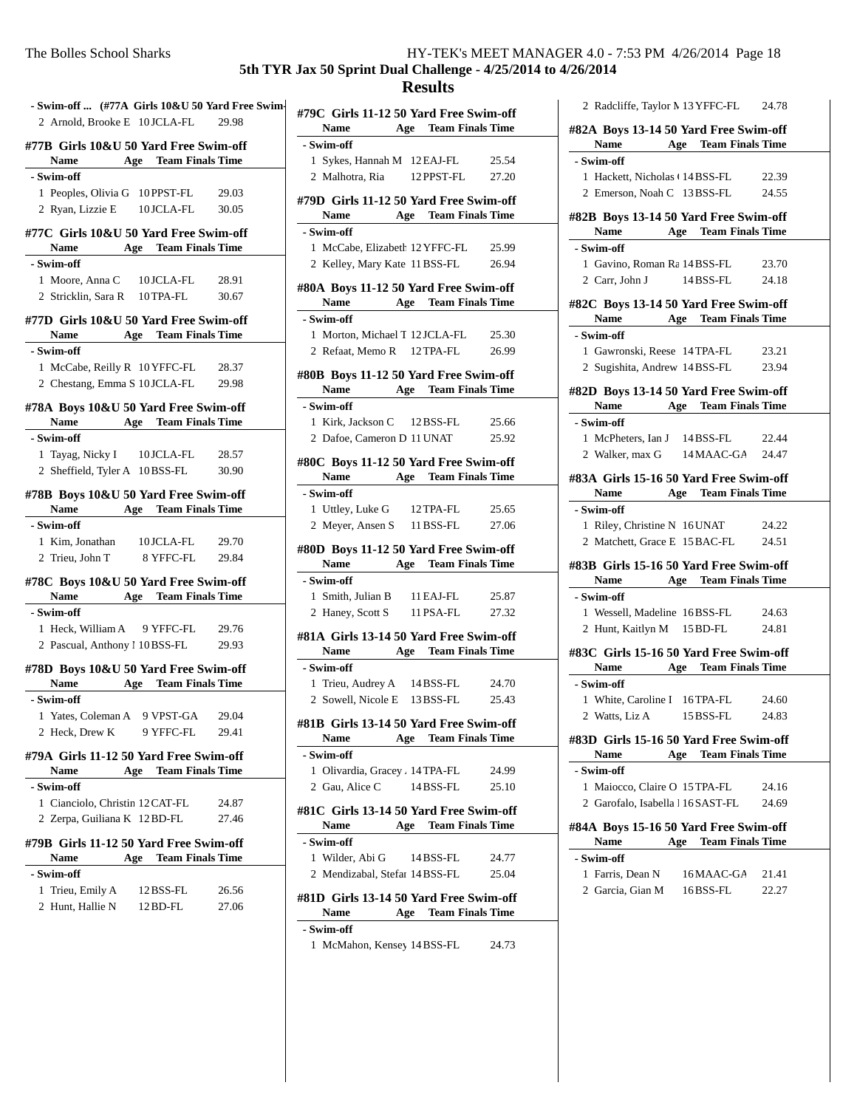**5th TYR Jax 50 Sprint Dual Challenge - 4/25/2014 to 4/26/2014**

#### **Results**

**#79C Girls 11-12 50 Yard Free Swim-off**

| - Swim-off  (#77A Girls 10&U 50 Yard Free Swim-       |                                |       |
|-------------------------------------------------------|--------------------------------|-------|
| 2 Arnold, Brooke E 10 JCLA-FL 29.98                   |                                |       |
| #77B Girls 10&U 50 Yard Free Swim-off<br>Name         | <b>Age</b> Team Finals Time    |       |
| - Swim-off                                            |                                |       |
| 1 Peoples, Olivia G 10 PPST-FL 29.03                  |                                |       |
| 2 Ryan, Lizzie E 10 JCLA-FL                           |                                | 30.05 |
| #77C Girls 10&U 50 Yard Free Swim-off                 |                                |       |
| <b>Name</b>                                           | <b>Age</b> Team Finals Time    |       |
| - Swim-off                                            |                                |       |
| 1 Moore, Anna C 10 JCLA-FL 28.91                      |                                |       |
| 2 Stricklin, Sara R 10TPA-FL 30.67                    |                                |       |
| #77D Girls 10&U 50 Yard Free Swim-off                 |                                |       |
| Name                                                  | <b>Age</b> Team Finals Time    |       |
| - Swim-off                                            |                                |       |
| 1 McCabe, Reilly R 10 YFFC-FL 28.37                   |                                |       |
| 2 Chestang, Emma S 10 JCLA-FL 29.98                   |                                |       |
| #78A Boys 10&U 50 Yard Free Swim-off                  |                                |       |
|                                                       | Name Age Team Finals Time      |       |
| - Swim-off                                            |                                |       |
| 1 Tayag, Nicky I 10 JCLA-FL 28.57                     |                                |       |
| 2 Sheffield, Tyler A 10 BSS-FL                        |                                | 30.90 |
| #78B Boys 10&U 50 Yard Free Swim-off                  | Name Age Team Finals Time      |       |
| - Swim-off                                            |                                |       |
| 1 Kim, Jonathan 10 JCLA-FL 29.70                      |                                |       |
| 2 Trieu, John T 8 YFFC-FL 29.84                       |                                |       |
| #78C Boys 10&U 50 Yard Free Swim-off                  |                                |       |
| Name                                                  | <b>Age</b> Team Finals Time    |       |
| - Swim-off                                            |                                |       |
| 1 Heck, William A 9 YFFC-FL 29.76                     |                                |       |
| 2 Pascual, Anthony 1 10 BSS-FL 29.93                  |                                |       |
| #78D Boys 10&U 50 Yard Free Swim-off                  |                                |       |
|                                                       | Name Age Team Finals Time      |       |
| - Swim-off                                            |                                |       |
| 1 Yates, Coleman A 9 VPST-GA 29.04                    |                                |       |
| 2 Heck, Drew K                                        | 9 YFFC-FL                      | 29.41 |
| #79A Girls 11-12 50 Yard Free Swim-off<br><b>Name</b> | <b>Team Finals Time</b><br>Age |       |
| - Swim-off                                            |                                |       |
| 1 Cianciolo, Christin 12 CAT-FL                       |                                | 24.87 |
| 2 Zerpa, Guiliana K 12 BD-FL                          |                                | 27.46 |
|                                                       |                                |       |
| #79B Girls 11-12 50 Yard Free Swim-off                |                                |       |
| <b>Name</b>                                           | <b>Team Finals Time</b><br>Age |       |
| - Swim-off                                            |                                |       |
| Trieu, Emily A<br>1.                                  | 12 BSS-FL                      | 26.56 |
| Hunt, Hallie N<br>$\overline{2}$                      | 12 BD-FL                       | 27.06 |

| Name                                          | <b>Age</b> Team Finals Time |       |
|-----------------------------------------------|-----------------------------|-------|
| - Swim-off                                    |                             |       |
| 1 Sykes, Hannah M 12 EAJ-FL                   |                             | 25.54 |
| 2 Malhotra, Ria 12 PPST-FL                    |                             | 27.20 |
|                                               |                             |       |
| #79D Girls 11-12 50 Yard Free Swim-off        |                             |       |
| Name Age Team Finals Time                     |                             |       |
| - Swim-off                                    |                             |       |
| 1 McCabe, Elizabeth 12 YFFC-FL                |                             | 25.99 |
| 2 Kelley, Mary Kate 11 BSS-FL                 |                             | 26.94 |
| #80A Boys 11-12 50 Yard Free Swim-off         |                             |       |
| Name                                          | <b>Age</b> Team Finals Time |       |
| - Swim-off                                    |                             |       |
| 1 Morton, Michael T 12 JCLA-FL                |                             | 25.30 |
| 2 Refaat, Memo R 12 TPA-FL                    |                             | 26.99 |
|                                               |                             |       |
| #80B Boys 11-12 50 Yard Free Swim-off         |                             |       |
| Name Age Team Finals Time                     |                             |       |
| - Swim-off                                    |                             |       |
| 1 Kirk, Jackson C 12 BSS-FL                   |                             | 25.66 |
| 2 Dafoe, Cameron D 11 UNAT                    |                             | 25.92 |
|                                               |                             |       |
| #80C Boys 11-12 50 Yard Free Swim-off<br>Name | <b>Age</b> Team Finals Time |       |
|                                               |                             |       |
| - Swim-off                                    |                             |       |
| 1 Uttley, Luke G 12 TPA-FL                    |                             | 25.65 |
| 2 Meyer, Ansen S 11 BSS-FL                    |                             | 27.06 |
| #80D Boys 11-12 50 Yard Free Swim-off         |                             |       |
| Name Age Team Finals Time                     |                             |       |
| - Swim-off                                    |                             |       |
| 1 Smith, Julian B 11 EAJ-FL                   |                             | 25.87 |
| 2 Haney, Scott S 11 PSA-FL                    |                             | 27.32 |
|                                               |                             |       |
| #81A Girls 13-14 50 Yard Free Swim-off        |                             |       |
| Name Age Team Finals Time                     |                             |       |
| - Swim-off                                    |                             |       |
| 1 Trieu, Audrey A 14 BSS-FL                   |                             | 24.70 |
| 2 Sowell, Nicole E 13 BSS-FL 25.43            |                             |       |
| #81B Girls 13-14 50 Yard Free Swim-off        |                             |       |
| <b>Name</b>                                   | <b>Age</b> Team Finals Time |       |
| - Swim-off                                    |                             |       |
| 1 Olivardia, Gracey , 14 TPA-FL               |                             | 24.99 |
| 2 Gau. Alice C 14 BSS-FL                      |                             | 25.10 |
|                                               |                             |       |
| #81C Girls 13-14 50 Yard Free Swim-off        |                             |       |
| <b>Name</b>                                   | <b>Age</b> Team Finals Time |       |
| - Swim-off                                    |                             |       |
| 1 Wilder, Abi G 14 BSS-FL                     |                             | 24.77 |
| 2 Mendizabal, Stefar 14 BSS-FL                |                             | 25.04 |
| #81D Girls 13-14 50 Yard Free Swim-off        |                             |       |
| <b>Name</b>                                   | Age Team Finals Time        |       |
| - Swim-off                                    |                             |       |

1 McMahon, Kensey 14 BSS-FL 24.73

2 Radcliffe, Taylor M 13 YFFC-FL 24.78 **#82A Boys 13-14 50 Yard Free Swim-off Name Age Team Finals Time - Swim-off** 1 Hackett, Nicholas (14BSS-FL 22.39) 2 Emerson, Noah C 13BSS-FL 24.55 **#82B Boys 13-14 50 Yard Free Swim-off Name Age Team Finals Time - Swim-off** 1 Gavino, Roman Ra 14 BSS-FL 23.70 2 Carr, John J 14 BSS-FL 24.18 **#82C Boys 13-14 50 Yard Free Swim-off Name Age Team Finals Time - Swim-off** 1 23.21 Gawronski, Reese 14TPA-FL 2 Sugishita, Andrew 14BSS-FL 23.94 **#82D Boys 13-14 50 Yard Free Swim-off Name Age Team Finals Time - Swim-off** 1 22.44 McPheters, Ian J 14BSS-FL 2 Walker, max G 14 MAAC-GA 24.47 **#83A Girls 15-16 50 Yard Free Swim-off Name Age Team Finals Time - Swim-off** 1 24.22 Riley, Christine N 16UNAT 2 Matchett, Grace E 15 BAC-FL 24.51 **#83B Girls 15-16 50 Yard Free Swim-off Name Age Team Finals Time - Swim-off** 1 24.63 Wessell, Madeline 16BSS-FL 2 Hunt, Kaitlyn M 15 BD-FL 24.81 **#83C Girls 15-16 50 Yard Free Swim-off Name Age Team Finals Time - Swim-off** 1 24.60 White, Caroline I 16TPA-FL 2 Watts, Liz A 15 BSS-FL 24.83 **#83D Girls 15-16 50 Yard Free Swim-off Name Age Team Finals Time - Swim-off** 1 Maiocco, Claire O 15 TPA-FL 24.16 2 Garofalo, Isabella 16SAST-FL 24.69 **#84A Boys 15-16 50 Yard Free Swim-off Name Age Team Finals Time - Swim-off** 1 Farris, Dean N 16 MAAC-GA 21.41 2 Garcia, Gian M 16BSS-FL 22.27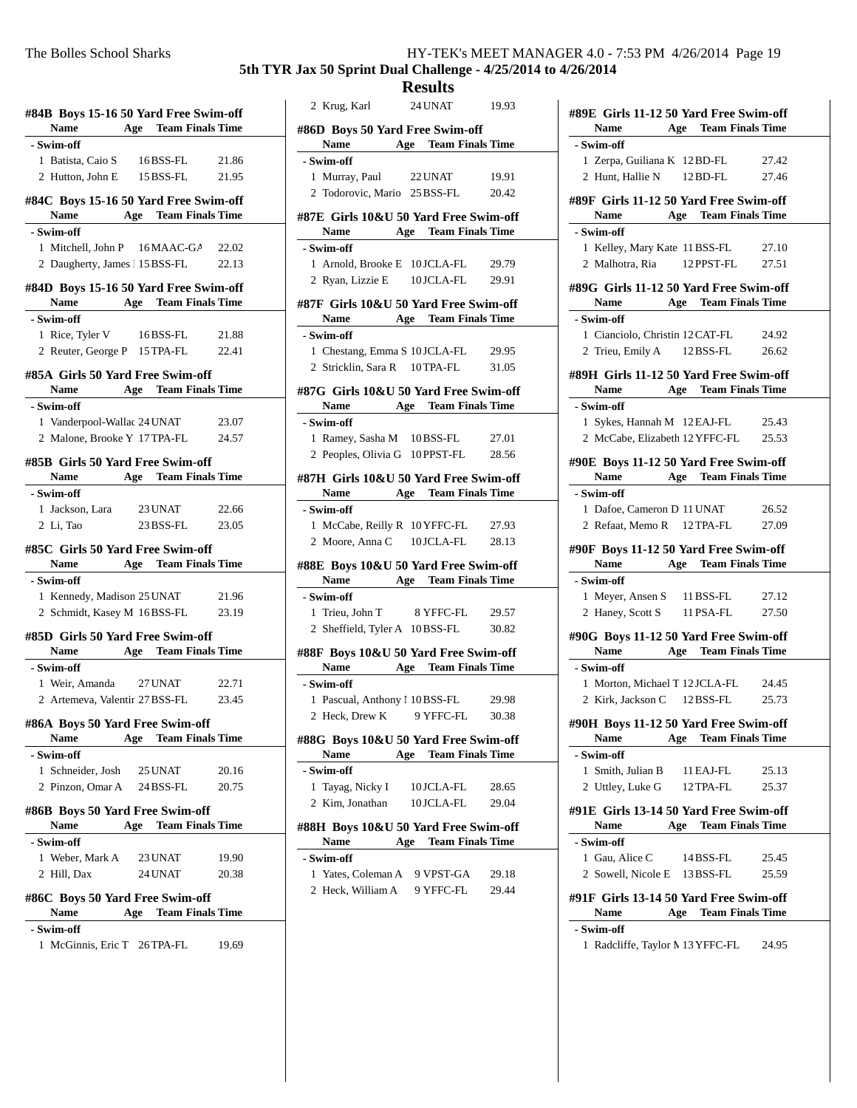**5th TYR Jax 50 Sprint Dual Challenge - 4/25/2014 to 4/26/2014**

| #84B Boys 15-16 50 Yard Free Swim-off<br><b>Name</b>                      |                    | <b>Age</b> Team Finals Time |
|---------------------------------------------------------------------------|--------------------|-----------------------------|
| - Swim-off                                                                |                    |                             |
| 1 Batista, Caio S 16BSS-FL                                                |                    | 21.86                       |
| 2 Hutton, John E 15 BSS-FL                                                |                    | 21.95                       |
| #84C Boys 15-16 50 Yard Free Swim-off<br>Name Age Team Finals Time        |                    |                             |
| - Swim-off                                                                |                    |                             |
|                                                                           |                    |                             |
| 1 Mitchell, John P 16 MAAC-GA 22.02<br>2 Daugherty, James 15 BSS-FL 22.13 |                    |                             |
|                                                                           |                    |                             |
| #84D Boys 15-16 50 Yard Free Swim-off<br>Name Age Team Finals Time        |                    |                             |
| - Swim-off                                                                |                    |                             |
| 1 Rice, Tyler V 16BSS-FL                                                  |                    | 21.88                       |
| 2 Reuter, George P 15 TPA-FL 22.41                                        |                    |                             |
| #85A Girls 50 Yard Free Swim-off                                          |                    |                             |
| Name Age Team Finals Time                                                 |                    |                             |
| - Swim-off                                                                |                    |                             |
| 1 Vanderpool-Wallac 24 UNAT                                               |                    | 23.07                       |
| 2 Malone, Brooke Y 17 TPA-FL 24.57                                        |                    |                             |
| #85B Girls 50 Yard Free Swim-off                                          |                    |                             |
| Name Age Team Finals Time                                                 |                    |                             |
| - Swim-off                                                                |                    |                             |
| 1 Jackson, Lara 23 UNAT                                                   |                    | 22.66                       |
| 2 Li, Tao                                                                 |                    | 23 BSS-FL 23.05             |
| #85C Girls 50 Yard Free Swim-off<br>Name                                  |                    | <b>Age</b> Team Finals Time |
| - Swim-off                                                                |                    |                             |
| 1 Kennedy, Madison 25 UNAT                                                |                    | 21.96                       |
| 2 Schmidt, Kasey M 16 BSS-FL 23.19                                        |                    |                             |
| #85D  Girls 50 Yard Free Swim-off                                         |                    |                             |
| <b>Name</b>                                                               |                    | <b>Age</b> Team Finals Time |
| - Swim-off                                                                |                    |                             |
| 1 Weir, Amanda 27 UNAT                                                    |                    | 22.71                       |
| 2 Artemeva, Valentir 27 BSS-FL                                            |                    | 23.45                       |
| #86A Boys 50 Yard Free Swim-off                                           |                    |                             |
| Name Age Team Finals Time                                                 |                    |                             |
|                                                                           |                    |                             |
| - Swim-off                                                                |                    |                             |
| 1 Schneider, Josh 25 UNAT                                                 |                    | 20.16                       |
| 2 Pinzon, Omar A 24 BSS-FL                                                |                    | 20.75                       |
|                                                                           |                    |                             |
| Name                                                                      |                    |                             |
| - Swim-off                                                                |                    | <b>Age</b> Team Finals Time |
|                                                                           |                    |                             |
| 1 Weber, Mark A<br>2 Hill, Dax                                            | 23 UNAT<br>24 UNAT | 19.90<br>20.38              |
|                                                                           |                    |                             |
| #86B Boys 50 Yard Free Swim-off<br>#86C Boys 50 Yard Free Swim-off        |                    |                             |
| Name<br>- Swim-off                                                        |                    | <b>Age</b> Team Finals Time |

|                                                                    | <b>Results</b> |            |                             |
|--------------------------------------------------------------------|----------------|------------|-----------------------------|
| 2 Krug, Karl 24 UNAT                                               |                |            | 19.93                       |
| #86D Boys 50 Yard Free Swim-off<br>Name Age Team Finals Time       |                |            |                             |
| - Swim-off                                                         |                |            |                             |
| 1 Murray, Paul 22 UNAT                                             |                |            | 19.91                       |
| 2 Todorovic, Mario 25 BSS-FL                                       |                |            | 20.42                       |
| #87E Girls 10&U 50 Yard Free Swim-off<br>Name                      |                |            | <b>Age</b> Team Finals Time |
| - Swim-off                                                         |                |            |                             |
| 1 Arnold, Brooke E 10 JCLA-FL                                      |                |            | 29.79                       |
| 2 Ryan, Lizzie E 10 JCLA-FL                                        |                |            | 29.91                       |
| #87F Girls 10&U 50 Yard Free Swim-off<br>Name Age Team Finals Time |                |            |                             |
| - Swim-off                                                         |                |            |                             |
| 1 Chestang, Emma S 10 JCLA-FL 29.95                                |                |            |                             |
| 2 Stricklin, Sara R 10 TPA-FL                                      |                |            | 31.05                       |
| #87G Girls 10&U 50 Yard Free Swim-off<br>Name Age Team Finals Time |                |            |                             |
| - Swim-off                                                         |                |            |                             |
| 1 Ramey, Sasha M 10BSS-FL                                          |                |            | 27.01                       |
| 2 Peoples, Olivia G 10 PPST-FL 28.56                               |                |            |                             |
| #87H Girls 10&U 50 Yard Free Swim-off<br>Name                      |                |            | <b>Age</b> Team Finals Time |
| - Swim-off                                                         |                |            |                             |
| 1 McCabe, Reilly R 10 YFFC-FL 27.93                                |                |            |                             |
| 2 Moore, Anna C 10 JCLA-FL 28.13                                   |                |            |                             |
| #88E Boys 10&U 50 Yard Free Swim-off<br>Name Age Team Finals Time  |                |            |                             |
| - Swim-off                                                         |                |            |                             |
| 1 Trieu, John T 8 YFFC-FL 29.57                                    |                |            |                             |
| 2 Sheffield, Tyler A 10BSS-FL                                      |                |            | 30.82                       |
| #88F Boys 10&U 50 Yard Free Swim-off<br><b>Name</b>                |                |            | <b>Age</b> Team Finals Time |
| - Swim-off                                                         |                |            |                             |
| 1 Pascual, Anthony 1 10 BSS-FL                                     |                |            | 29.98                       |
| 2 Heck, Drew K                                                     |                | 9 YFFC-FL  | 30.38                       |
| #88G Boys 10&U 50 Yard Free Swim-off<br>Name                       |                |            | <b>Age</b> Team Finals Time |
| - Swim-off                                                         |                |            |                             |
| 1 Tayag, Nicky I                                                   |                | 10 JCLA-FL | 28.65                       |
| 2 Kim, Jonathan                                                    |                | 10 JCLA-FL | 29.04                       |
|                                                                    |                |            |                             |
| #88H Boys 10&U 50 Yard Free Swim-off<br>Name                       |                |            | <b>Age</b> Team Finals Time |
| - Swim-off<br>1 Yates, Coleman A 9 VPST-GA                         |                |            |                             |
| 2 Heck, William A 9 YFFC-FL                                        |                |            | 29.18<br>29.44              |
|                                                                    |                |            |                             |
|                                                                    |                |            |                             |
|                                                                    |                |            |                             |
|                                                                    |                |            |                             |
|                                                                    |                |            |                             |

|   | #89E Girls 11-12 50 Yard Free Swim-off                              | <b>Age</b> Team Finals Time    |       |
|---|---------------------------------------------------------------------|--------------------------------|-------|
|   | Name                                                                |                                |       |
|   | - Swim-off                                                          |                                |       |
|   | 1 Zerpa, Guiliana K 12BD-FL                                         |                                | 27.42 |
|   | 2 Hunt, Hallie N 12BD-FL                                            |                                | 27.46 |
|   | #89F Girls 11-12 50 Yard Free Swim-off<br>Name                      | <b>Age</b> Team Finals Time    |       |
|   | - Swim-off                                                          |                                |       |
|   | 1 Kelley, Mary Kate 11 BSS-FL                                       |                                | 27.10 |
|   | 2 Malhotra, Ria 12PPST-FL 27.51                                     |                                |       |
|   | #89G Girls 11-12 50 Yard Free Swim-off<br>Name Age Team Finals Time |                                |       |
|   | - Swim-off                                                          |                                |       |
|   | 1 Cianciolo, Christin 12 CAT-FL 24.92                               |                                |       |
|   | 2 Trieu, Emily A 12 BSS-FL 26.62                                    |                                |       |
|   |                                                                     |                                |       |
|   | #89H Girls 11-12 50 Yard Free Swim-off                              |                                |       |
|   | <b>Name</b>                                                         | <b>Age</b> Team Finals Time    |       |
|   | - Swim-off                                                          |                                |       |
|   | 1 Sykes, Hannah M 12 EAJ-FL                                         |                                | 25.43 |
|   | 2 McCabe, Elizabeth 12 YFFC-FL 25.53                                |                                |       |
|   | #90E Boys 11-12 50 Yard Free Swim-off<br><b>Name</b>                | <b>Age</b> Team Finals Time    |       |
|   | - Swim-off                                                          |                                |       |
|   | 1 Dafoe, Cameron D 11 UNAT                                          |                                | 26.52 |
|   | 2 Refaat, Memo R 12 TPA-FL 27.09                                    |                                |       |
|   |                                                                     |                                |       |
|   | #90F Boys 11-12 50 Yard Free Swim-off<br>Name Age Team Finals Time  |                                |       |
|   | - Swim-off                                                          |                                |       |
|   | 1 Meyer, Ansen S 11 BSS-FL 27.12                                    |                                |       |
|   |                                                                     |                                | 27.50 |
|   | 2 Haney, Scott S 11 PSA-FL                                          |                                |       |
|   | #90G Boys 11-12 50 Yard Free Swim-off                               |                                |       |
|   | Name Age Team Finals Time                                           |                                |       |
|   | - Swim-off                                                          |                                |       |
|   | 1 Morton, Michael T 12 JCLA-FL 24.45                                |                                |       |
|   | 2 Kirk, Jackson C 12BSS-FL                                          |                                | 25.73 |
|   | #90H Boys 11-12 50 Yard Free Swim-off<br>Name                       | <b>Age</b> Team Finals Time    |       |
|   | - Swim-off                                                          |                                |       |
|   | 1 Smith, Julian B 11 EAJ-FL                                         |                                | 25.13 |
|   | 2 Uttley, Luke G 12 TPA-FL                                          |                                | 25.37 |
|   | #91E Girls 13-14 50 Yard Free Swim-off                              |                                |       |
|   | Name                                                                | Age Team Finals Time           |       |
|   | - Swim-off                                                          |                                |       |
|   | 1 Gau, Alice C 14 BSS-FL                                            |                                | 25.45 |
|   | 2 Sowell, Nicole E 13 BSS-FL                                        |                                | 25.59 |
|   | #91F Girls 13-14 50 Yard Free Swim-off<br>Name                      | <b>Team Finals Time</b><br>Age |       |
|   | - Swim-off                                                          |                                |       |
| 1 | Radcliffe, Taylor N 13 YFFC-FL 24.95                                |                                |       |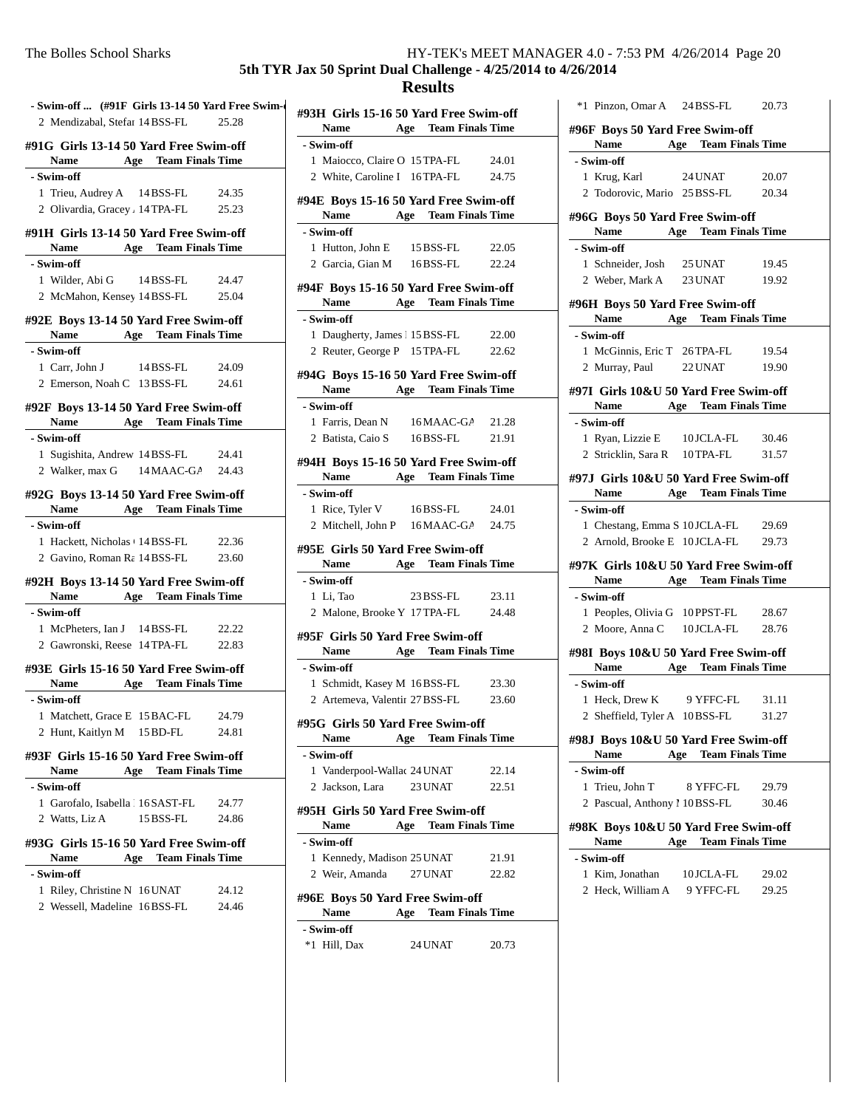# **5th TYR Jax 50 Sprint Dual Challenge - 4/25/2014 to 4/26/2014**

| - Swim-off  (#91F Girls 13-14 50 Yard Free Swim      |                                |       |
|------------------------------------------------------|--------------------------------|-------|
| 2 Mendizabal, Stefar 14 BSS-FL 25.28                 |                                |       |
| #91G Girls 13-14 50 Yard Free Swim-off               |                                |       |
| <b>Name</b>                                          | <b>Age</b> Team Finals Time    |       |
| - Swim-off                                           |                                |       |
| 1 Trieu, Audrey A 14 BSS-FL 24.35                    |                                |       |
| 2 Olivardia, Gracey . 14 TPA-FL 25.23                |                                |       |
| #91H Girls 13-14 50 Yard Free Swim-off               |                                |       |
| Name Age Team Finals Time                            |                                |       |
| - Swim-off                                           |                                |       |
| 1 Wilder, Abi G 14 BSS-FL                            |                                | 24.47 |
| 2 McMahon, Kensey 14 BSS-FL 25.04                    |                                |       |
|                                                      |                                |       |
| #92E Boys 13-14 50 Yard Free Swim-off                |                                |       |
| Name Age Team Finals Time                            |                                |       |
| - Swim-off                                           |                                |       |
| 1 Carr, John J 14 BSS-FL                             |                                | 24.09 |
| 2 Emerson, Noah C 13 BSS-FL 24.61                    |                                |       |
| #92F Boys 13-14 50 Yard Free Swim-off                |                                |       |
| Name Age Team Finals Time                            |                                |       |
| - Swim-off                                           |                                |       |
| 1 Sugishita, Andrew 14 BSS-FL 24.41                  |                                |       |
| 2 Walker, max G 14 MAAC-GA 24.43                     |                                |       |
|                                                      |                                |       |
| #92G Boys 13-14 50 Yard Free Swim-off<br><b>Name</b> | <b>Age</b> Team Finals Time    |       |
| - Swim-off                                           |                                |       |
| 1 Hackett, Nicholas + 14 BSS-FL 22.36                |                                |       |
| 2 Gavino, Roman Ra 14 BSS-FL 23.60                   |                                |       |
|                                                      |                                |       |
| #92H Boys 13-14 50 Yard Free Swim-off                |                                |       |
| Name Age Team Finals Time                            |                                |       |
| - Swim-off                                           |                                |       |
| 1 McPheters, Ian J 14 BSS-FL 22.22                   |                                |       |
| 2 Gawronski, Reese 14 TPA-FL 22.83                   |                                |       |
| #93E Girls 15-16 50 Yard Free Swim-off               |                                |       |
| <b>Name</b>                                          | <b>Age</b> Team Finals Time    |       |
| - Swim-off                                           |                                |       |
| 1 Matchett, Grace E 15 BAC-FL 24.79                  |                                |       |
| 2 Hunt, Kaitlyn M                                    | 15 BD-FL                       | 24.81 |
| #93F Girls 15-16 50 Yard Free Swim-off               |                                |       |
| <b>Name</b>                                          | <b>Team Finals Time</b><br>Age |       |
| - Swim-off                                           |                                |       |
| 1 Garofalo, Isabella   16 SAST-FL                    |                                | 24.77 |
| 2 Watts, Liz A                                       | 15 BSS-FL                      | 24.86 |
|                                                      |                                |       |
| #93G Girls 15-16 50 Yard Free Swim-off               |                                |       |
| Name                                                 | Age<br><b>Team Finals Time</b> |       |
| - Swim-off                                           |                                |       |
| 1 Riley, Christine N 16 UNAT                         |                                | 24.12 |
| 2 Wessell, Madeline 16BSS-FL                         |                                | 24.46 |

| #93H Girls 15-16 50 Yard Free Swim-off<br><b>Name</b> | <b>Age</b> Team Finals Time          |       |
|-------------------------------------------------------|--------------------------------------|-------|
| - Swim-off                                            |                                      |       |
|                                                       | 1 Maiocco, Claire O 15 TPA-FL 24.01  |       |
|                                                       | 2 White, Caroline I 16 TPA-FL 24.75  |       |
|                                                       |                                      |       |
| #94E Boys 15-16 50 Yard Free Swim-off                 | Name Age Team Finals Time            |       |
| - Swim-off                                            |                                      |       |
| 1 Hutton, John E 15 BSS-FL                            |                                      | 22.05 |
|                                                       | 2 Garcia, Gian M 16BSS-FL 22.24      |       |
| #94F Boys 15-16 50 Yard Free Swim-off                 |                                      |       |
|                                                       | Name Age Team Finals Time            |       |
| - Swim-off                                            |                                      |       |
| 1 Daugherty, James 1 15 BSS-FL                        |                                      | 22.00 |
|                                                       | 2 Reuter, George P 15 TPA-FL 22.62   |       |
|                                                       |                                      |       |
| #94G Boys 15-16 50 Yard Free Swim-off                 | Name Age Team Finals Time            |       |
| - Swim-off                                            |                                      |       |
| 1 Farris, Dean N 16 MAAC-GA 21.28                     |                                      |       |
|                                                       | 2 Batista, Caio S 16 BSS-FL          | 21.91 |
|                                                       |                                      |       |
| #94H Boys 15-16 50 Yard Free Swim-off                 | Name Age Team Finals Time            |       |
| - Swim-off                                            |                                      |       |
|                                                       | 1 Rice, Tyler V 16BSS-FL             | 24.01 |
|                                                       | 2 Mitchell, John P 16 MAAC-GA 24.75  |       |
| #95E Girls 50 Yard Free Swim-off<br>Name              | <b>Age</b> Team Finals Time          |       |
| - Swim-off                                            |                                      |       |
| 1 Li, Tao                                             | 23 BSS-FL                            | 23.11 |
|                                                       | 2 Malone, Brooke Y 17 TPA-FL 24.48   |       |
|                                                       |                                      |       |
| #95F Girls 50 Yard Free Swim-off                      |                                      |       |
|                                                       | Name Age Team Finals Time            |       |
| - Swim-off                                            |                                      |       |
|                                                       | 1 Schmidt, Kasey M 16 BSS-FL 23.30   |       |
|                                                       | 2 Artemeva, Valentir 27 BSS-FL 23.60 |       |
| #95G Girls 50 Yard Free Swim-off                      |                                      |       |
| Name                                                  |                                      |       |
|                                                       | <b>Age</b> Team Finals Time          |       |
| - Swim-off                                            |                                      |       |
| 1 Vanderpool-Wallac 24 UNAT                           |                                      | 22.14 |
| 2 Jackson, Lara 23 UNAT                               |                                      | 22.51 |
|                                                       |                                      |       |
| #95H Girls 50 Yard Free Swim-off<br>Name              | <b>Age</b> Team Finals Time          |       |
| - Swim-off                                            |                                      |       |
|                                                       |                                      |       |
| 1 Kennedy, Madison 25 UNAT                            |                                      | 21.91 |
| 2 Weir, Amanda                                        | 27 UNAT                              | 22.82 |
| #96E Boys 50 Yard Free Swim-off                       |                                      |       |
| Name                                                  | <b>Age</b> Team Finals Time          |       |
| - Swim-off<br>*1 Hill, Dax                            |                                      |       |

| *1 Pinzon, Omar A 24 BSS-FL                                        |                                | 20.73 |
|--------------------------------------------------------------------|--------------------------------|-------|
| #96F Boys 50 Yard Free Swim-off                                    |                                |       |
| Name Age Team Finals Time                                          |                                |       |
| - Swim-off                                                         |                                |       |
| 1 Krug, Karl 24 UNAT                                               |                                | 20.07 |
| 2 Todorovic, Mario 25 BSS-FL 20.34                                 |                                |       |
| #96G Boys 50 Yard Free Swim-off<br>Name                            | <b>Age</b> Team Finals Time    |       |
| - Swim-off                                                         |                                |       |
| 1 Schneider, Josh 25 UNAT                                          |                                | 19.45 |
| 2 Weber, Mark A 23 UNAT                                            |                                | 19.92 |
| #96H Boys 50 Yard Free Swim-off                                    |                                |       |
| Name Age Team Finals Time                                          |                                |       |
| - Swim-off                                                         |                                |       |
| 1 McGinnis, Eric T 26 TPA-FL 19.54                                 |                                |       |
| 2 Murray, Paul                                                     | 22 UNAT                        | 19.90 |
| #97I Girls 10&U 50 Yard Free Swim-off                              |                                |       |
| Name Age Team Finals Time                                          |                                |       |
| - Swim-off                                                         |                                |       |
| 1 Ryan, Lizzie E 10JCLA-FL 30.46                                   |                                |       |
| 2 Stricklin, Sara R 10TPA-FL                                       |                                | 31.57 |
|                                                                    |                                |       |
| #97J Girls 10&U 50 Yard Free Swim-off<br>Name Age Team Finals Time |                                |       |
| - Swim-off                                                         |                                |       |
| 1 Chestang, Emma S 10 JCLA-FL 29.69                                |                                |       |
| 2 Arnold, Brooke E 10JCLA-FL 29.73                                 |                                |       |
|                                                                    |                                |       |
| #97K Girls 10&U 50 Yard Free Swim-off<br>Name Age Team Finals Time |                                |       |
| - Swim-off                                                         |                                |       |
| 1 Peoples, Olivia G 10PPST-FL 28.67                                |                                |       |
| 2 Moore, Anna C 10JCLA-FL 28.76                                    |                                |       |
|                                                                    |                                |       |
| #98I Boys 10&U 50 Yard Free Swim-off                               |                                |       |
| Name Age Team Finals Time                                          |                                |       |
| - Swim-off                                                         |                                |       |
| 1 Heck, Drew K 9 YFFC-FL 31.11<br>2 Sheffield, Tyler A 10BSS-FL    |                                |       |
|                                                                    |                                | 31.27 |
| #98J Boys 10&U 50 Yard Free Swim-off<br>Name                       | <b>Team Finals Time</b><br>Age |       |
| - Swim-off                                                         |                                |       |
| 1 Trieu, John T                                                    | 8 YFFC-FL                      | 29.79 |
| 2 Pascual, Anthony 1 10 BSS-FL                                     |                                | 30.46 |
| #98K Boys 10&U 50 Yard Free Swim-off<br><b>Name</b>                | <b>Team Finals Time</b><br>Age |       |
| - Swim-off                                                         |                                |       |
| 1 Kim. Jonathan                                                    | 10 JCLA-FL                     | 29.02 |
| 2 Heck, William A 9 YFFC-FL                                        |                                | 29.25 |
|                                                                    |                                |       |
|                                                                    |                                |       |
|                                                                    |                                |       |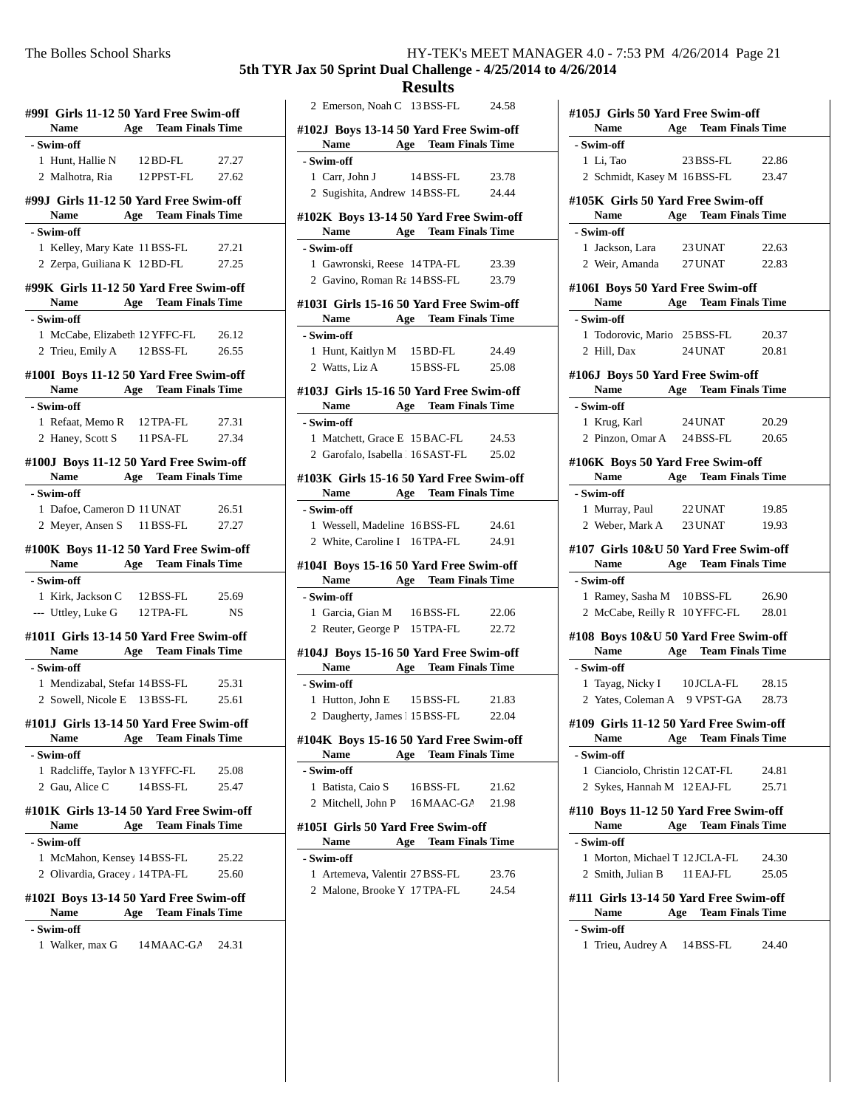#### **5th TYR Jax 50 Sprint Dual Challenge - 4/25/2014 to 4/26/2014**

**#99I Girls 11-12 50 Yard Free Swim-off Name Age Team Finals Time - Swim-off** 1 Hunt, Hallie N 12 BD-FL 27.27 2 Malhotra, Ria 12 PPST-FL 27.62 **#99J Girls 11-12 50 Yard Free Swim-off Name Age Team Finals Time - Swim-off** 1 27.21 Kelley, Mary Kate 11BSS-FL 2 Zerpa, Guiliana K 12 BD-FL 27.25 **#99K Girls 11-12 50 Yard Free Swim-off Name Age Team Finals Time - Swim-off** 1 McCabe, Elizabeth 12 YFFC-FL 26.12 2 Trieu, Emily A 12 BSS-FL 26.55 **#100I Boys 11-12 50 Yard Free Swim-off Name Age Team Finals Time - Swim-off** 1 27.31 Refaat, Memo R 12TPA-FL 2 Haney, Scott S 11 PSA-FL 27.34 **#100J Boys 11-12 50 Yard Free Swim-off Name Age Team Finals Time - Swim-off** 1 26.51 Dafoe, Cameron D 11 UNAT 2 Meyer, Ansen S 11 BSS-FL 27.27 **#100K Boys 11-12 50 Yard Free Swim-off Name Age Team Finals Time - Swim-off** 1 Kirk, Jackson C 12 BSS-FL 25.69 --- Uttley, Luke G 12 TPA-FL NS **#101I Girls 13-14 50 Yard Free Swim-off Name Age Team Finals Time - Swim-off** 1 25.31 Mendizabal, Stefan 14BSS-FL 2 Sowell, Nicole E 13 BSS-FL 25.61 **#101J Girls 13-14 50 Yard Free Swim-off Name Age Team Finals Time - Swim-off** 1 Radcliffe, Taylor M 13 YFFC-FL 25.08 2 Gau, Alice C 14 BSS-FL 25.47 **#101K Girls 13-14 50 Yard Free Swim-off Name Age Team Finals Time - Swim-off** 1 McMahon, Kensey 14 BSS-FL 25.22 2 Olivardia, Gracey A 14TPA-FL 25.60 **#102I Boys 13-14 50 Yard Free Swim-off Name Age Team Finals Time - Swim-off** 1 Walker, max G 14 MAAC-GA 24.31

|                                                       |  | <b>Results</b>              |       |
|-------------------------------------------------------|--|-----------------------------|-------|
| 2 Emerson, Noah C 13 BSS-FL 24.58                     |  |                             |       |
| #102J Boys 13-14 50 Yard Free Swim-off<br><b>Name</b> |  | <b>Age</b> Team Finals Time |       |
| - Swim-off                                            |  |                             |       |
| 1 Carr, John J 14 BSS-FL 23.78                        |  |                             |       |
| 2 Sugishita, Andrew 14 BSS-FL 24.44                   |  |                             |       |
| #102K Boys 13-14 50 Yard Free Swim-off                |  | <b>Age</b> Team Finals Time |       |
| Name $\frac{ }{ }$<br>- Swim-off                      |  |                             |       |
| 1 Gawronski, Reese 14 TPA-FL                          |  |                             | 23.39 |
| 2 Gavino, Roman Ra 14 BSS-FL 23.79                    |  |                             |       |
|                                                       |  |                             |       |
| #103I Girls 15-16 50 Yard Free Swim-off               |  |                             |       |
| Name Age Team Finals Time                             |  |                             |       |
| - Swim-off                                            |  |                             |       |
| 1 Hunt, Kaitlyn M 15 BD-FL                            |  |                             | 24.49 |
| 2 Watts, Liz A 15 BSS-FL 25.08                        |  |                             |       |
| #103J Girls 15-16 50 Yard Free Swim-off               |  |                             |       |
| Name Age Team Finals Time                             |  |                             |       |
| - Swim-off                                            |  |                             |       |
| 1 Matchett, Grace E 15 BAC-FL 24.53                   |  |                             |       |
| 2 Garofalo, Isabella   16 SAST-FL 25.02               |  |                             |       |
| #103K Girls 15-16 50 Yard Free Swim-off               |  |                             |       |
| Name Age Team Finals Time                             |  |                             |       |
| - Swim-off                                            |  |                             |       |
| 1 Wessell, Madeline 16BSS-FL                          |  |                             | 24.61 |
| 2 White, Caroline I 16TPA-FL 24.91                    |  |                             |       |
|                                                       |  |                             |       |
| #104I Boys 15-16 50 Yard Free Swim-off                |  |                             |       |
| Name Age Team Finals Time                             |  |                             |       |
| - Swim-off                                            |  |                             |       |
|                                                       |  |                             |       |
| 1 Garcia, Gian M 16 BSS-FL 22.06                      |  |                             |       |
| 2 Reuter, George P 15 TPA-FL 22.72                    |  |                             |       |
| #104J Boys 15-16 50 Yard Free Swim-off                |  |                             |       |
|                                                       |  | <b>Age</b> Team Finals Time |       |
| Name $\qquad \qquad$<br>- Swim-off                    |  |                             |       |
| 1 Hutton, John E 15 BSS-FL                            |  |                             | 21.83 |
| 2 Daugherty, James 1 15 BSS-FL                        |  |                             | 22.04 |
|                                                       |  |                             |       |
| #104K Boys 15-16 50 Yard Free Swim-off                |  |                             |       |
| Name                                                  |  | <b>Age</b> Team Finals Time |       |
| - Swim-off                                            |  |                             |       |
| 1 Batista, Caio S                                     |  | 16 BSS-FL                   | 21.62 |
| 2 Mitchell, John P 16 MAAC-GA 21.98                   |  |                             |       |
| #105I Girls 50 Yard Free Swim-off<br>Name             |  | Age Team Finals Time        |       |
| - Swim-off                                            |  |                             |       |
| 1 Artemeva, Valentir 27 BSS-FL                        |  |                             | 23.76 |
| 2 Malone, Brooke Y 17 TPA-FL                          |  |                             | 24.54 |
|                                                       |  |                             |       |
|                                                       |  |                             |       |
|                                                       |  |                             |       |

| #105J Girls 50 Yard Free Swim-off                             |     |                             |                         |  |
|---------------------------------------------------------------|-----|-----------------------------|-------------------------|--|
| Name Age Team Finals Time                                     |     |                             |                         |  |
| - Swim-off                                                    |     |                             |                         |  |
| 1 Li, Tao                                                     |     | 23 BSS-FL 22.86             |                         |  |
| 2 Schmidt, Kasey M 16BSS-FL 23.47                             |     |                             |                         |  |
|                                                               |     |                             |                         |  |
| #105K Girls 50 Yard Free Swim-off                             |     |                             |                         |  |
| Name Age Team Finals Time<br>- Swim-off                       |     |                             |                         |  |
|                                                               |     |                             |                         |  |
| 1 Jackson, Lara 23 UNAT 22.63<br>2 Weir, Amanda 27 UNAT 22.83 |     |                             |                         |  |
|                                                               |     |                             |                         |  |
| #106I Boys 50 Yard Free Swim-off                              |     |                             |                         |  |
| Name Age Team Finals Time                                     |     |                             |                         |  |
| - Swim-off                                                    |     |                             |                         |  |
| 1 Todorovic, Mario 25 BSS-FL 20.37                            |     |                             |                         |  |
| 2 Hill, Dax 24 UNAT 20.81                                     |     |                             |                         |  |
| #106J Boys 50 Yard Free Swim-off                              |     |                             |                         |  |
| Name Age Team Finals Time                                     |     |                             |                         |  |
| - Swim-off                                                    |     |                             |                         |  |
| 1 Krug, Karl                                                  |     | 24 UNAT                     | 20.29                   |  |
| 2 Pinzon, Omar A 24 BSS-FL 20.65                              |     |                             |                         |  |
|                                                               |     |                             |                         |  |
| #106K Boys 50 Yard Free Swim-off                              |     |                             |                         |  |
| Name Age Team Finals Time                                     |     |                             |                         |  |
| - Swim-off                                                    |     |                             |                         |  |
| 1 Murray, Paul 22 UNAT                                        |     |                             | 19.85                   |  |
| 2 Weber, Mark A 23 UNAT 19.93                                 |     |                             |                         |  |
| #107 Girls 10&U 50 Yard Free Swim-off                         |     |                             |                         |  |
|                                                               |     |                             |                         |  |
| Name Age Team Finals Time                                     |     |                             |                         |  |
| - Swim-off                                                    |     |                             |                         |  |
| 1 Ramey, Sasha M 10BSS-FL 26.90                               |     |                             |                         |  |
| 2 McCabe, Reilly R 10 YFFC-FL 28.01                           |     |                             |                         |  |
|                                                               |     |                             |                         |  |
| #108 Boys 10&U 50 Yard Free Swim-off                          |     |                             |                         |  |
| Name Age Team Finals Time                                     |     |                             |                         |  |
| - Swim-off                                                    |     |                             |                         |  |
| 1 Tayag, Nicky I 10JCLA-FL 28.15                              |     |                             |                         |  |
| 2 Yates, Coleman A 9 VPST-GA 28.73                            |     |                             |                         |  |
| #109 Girls 11-12 50 Yard Free Swim-off                        |     |                             |                         |  |
| Name                                                          | Age |                             | <b>Team Finals Time</b> |  |
| - Swim-off                                                    |     |                             |                         |  |
| 1 Cianciolo, Christin 12 CAT-FL                               |     |                             | 24.81                   |  |
| 2 Sykes, Hannah M 12 EAJ-FL                                   |     |                             | 25.71                   |  |
|                                                               |     |                             |                         |  |
| #110 Boys 11-12 50 Yard Free Swim-off<br><b>Name</b>          |     |                             |                         |  |
|                                                               |     | <b>Age</b> Team Finals Time |                         |  |
| - Swim-off                                                    |     |                             |                         |  |
| 1 Morton, Michael T 12 JCLA-FL                                |     |                             | 24.30                   |  |
| 2 Smith, Julian B                                             |     | 11 EAJ-FL                   | 25.05                   |  |
| #111 Girls 13-14 50 Yard Free Swim-off                        |     |                             |                         |  |
| Name                                                          | Age |                             | <b>Team Finals Time</b> |  |
| - Swim-off                                                    |     |                             |                         |  |
| 1 Trieu, Audrey A 14 BSS-FL                                   |     |                             | 24.40                   |  |